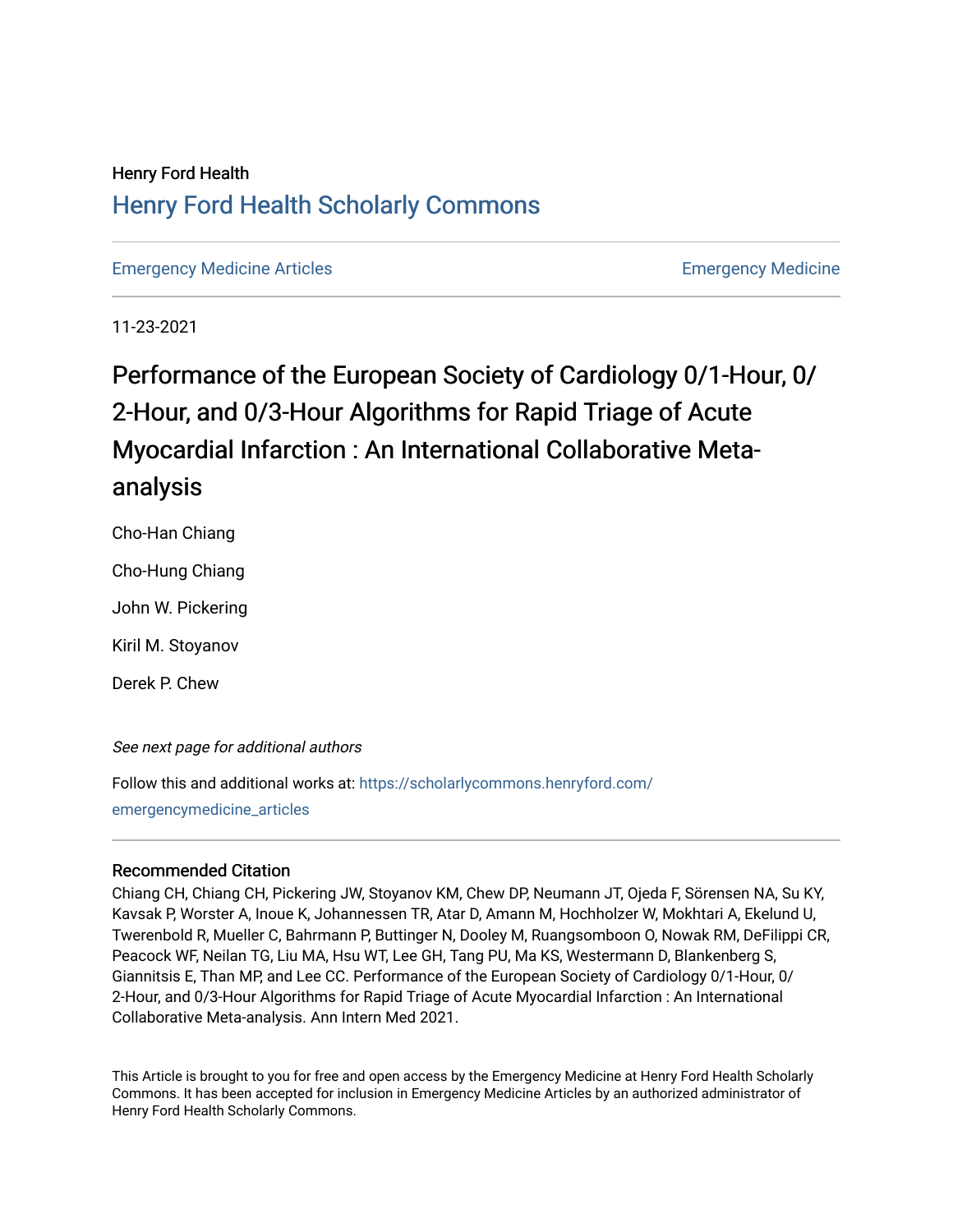## Henry Ford Health [Henry Ford Health Scholarly Commons](https://scholarlycommons.henryford.com/)

[Emergency Medicine Articles](https://scholarlycommons.henryford.com/emergencymedicine_articles) [Emergency Medicine](https://scholarlycommons.henryford.com/emergencymedicine) 

11-23-2021

# Performance of the European Society of Cardiology 0/1-Hour, 0/ 2-Hour, and 0/3-Hour Algorithms for Rapid Triage of Acute Myocardial Infarction : An International Collaborative Metaanalysis

Cho-Han Chiang

Cho-Hung Chiang

John W. Pickering

Kiril M. Stoyanov

Derek P. Chew

#### See next page for additional authors

Follow this and additional works at: [https://scholarlycommons.henryford.com/](https://scholarlycommons.henryford.com/emergencymedicine_articles?utm_source=scholarlycommons.henryford.com%2Femergencymedicine_articles%2F250&utm_medium=PDF&utm_campaign=PDFCoverPages) [emergencymedicine\\_articles](https://scholarlycommons.henryford.com/emergencymedicine_articles?utm_source=scholarlycommons.henryford.com%2Femergencymedicine_articles%2F250&utm_medium=PDF&utm_campaign=PDFCoverPages) 

#### Recommended Citation

Chiang CH, Chiang CH, Pickering JW, Stoyanov KM, Chew DP, Neumann JT, Ojeda F, Sörensen NA, Su KY, Kavsak P, Worster A, Inoue K, Johannessen TR, Atar D, Amann M, Hochholzer W, Mokhtari A, Ekelund U, Twerenbold R, Mueller C, Bahrmann P, Buttinger N, Dooley M, Ruangsomboon O, Nowak RM, DeFilippi CR, Peacock WF, Neilan TG, Liu MA, Hsu WT, Lee GH, Tang PU, Ma KS, Westermann D, Blankenberg S, Giannitsis E, Than MP, and Lee CC. Performance of the European Society of Cardiology 0/1-Hour, 0/ 2-Hour, and 0/3-Hour Algorithms for Rapid Triage of Acute Myocardial Infarction : An International Collaborative Meta-analysis. Ann Intern Med 2021.

This Article is brought to you for free and open access by the Emergency Medicine at Henry Ford Health Scholarly Commons. It has been accepted for inclusion in Emergency Medicine Articles by an authorized administrator of Henry Ford Health Scholarly Commons.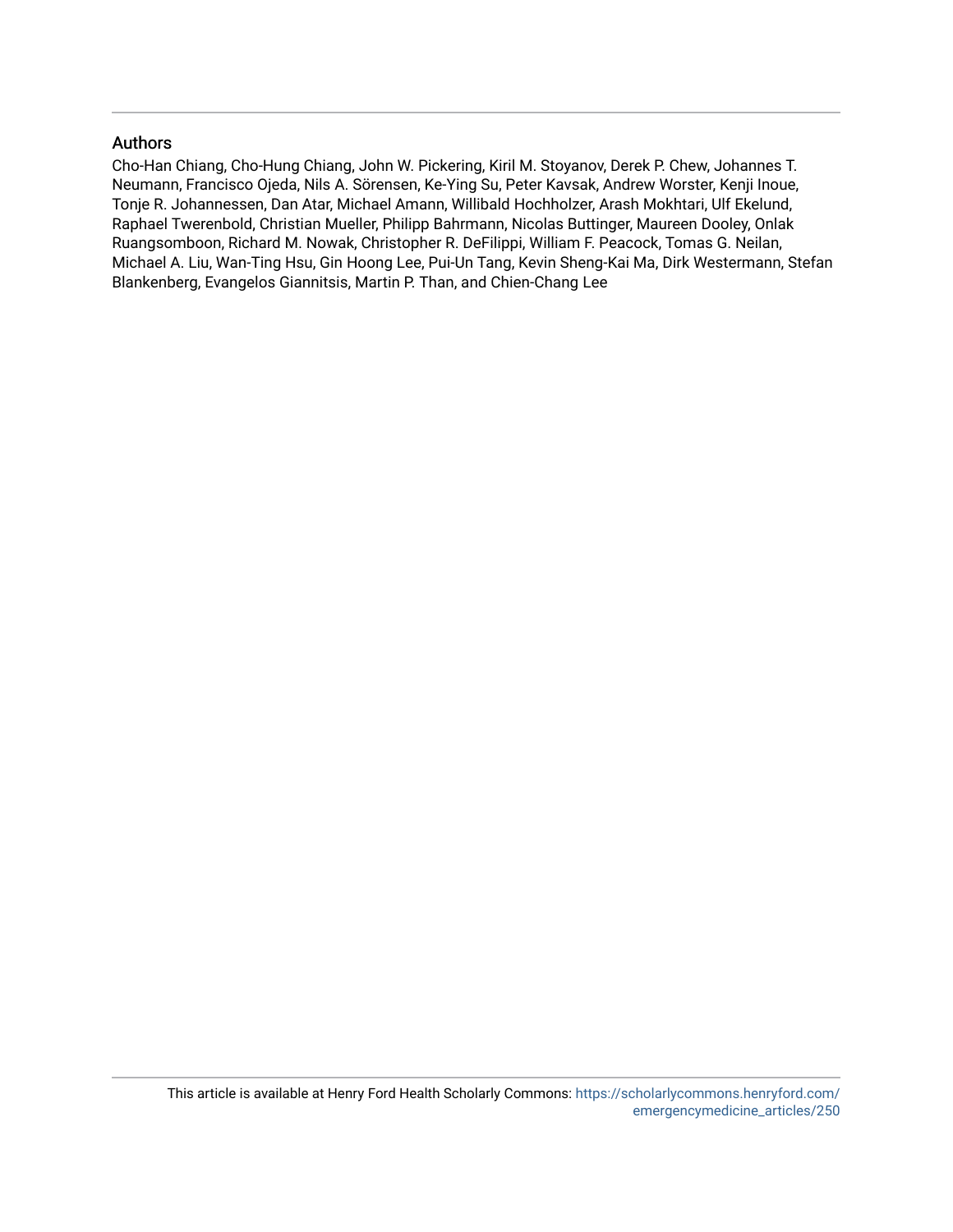#### Authors

Cho-Han Chiang, Cho-Hung Chiang, John W. Pickering, Kiril M. Stoyanov, Derek P. Chew, Johannes T. Neumann, Francisco Ojeda, Nils A. Sörensen, Ke-Ying Su, Peter Kavsak, Andrew Worster, Kenji Inoue, Tonje R. Johannessen, Dan Atar, Michael Amann, Willibald Hochholzer, Arash Mokhtari, Ulf Ekelund, Raphael Twerenbold, Christian Mueller, Philipp Bahrmann, Nicolas Buttinger, Maureen Dooley, Onlak Ruangsomboon, Richard M. Nowak, Christopher R. DeFilippi, William F. Peacock, Tomas G. Neilan, Michael A. Liu, Wan-Ting Hsu, Gin Hoong Lee, Pui-Un Tang, Kevin Sheng-Kai Ma, Dirk Westermann, Stefan Blankenberg, Evangelos Giannitsis, Martin P. Than, and Chien-Chang Lee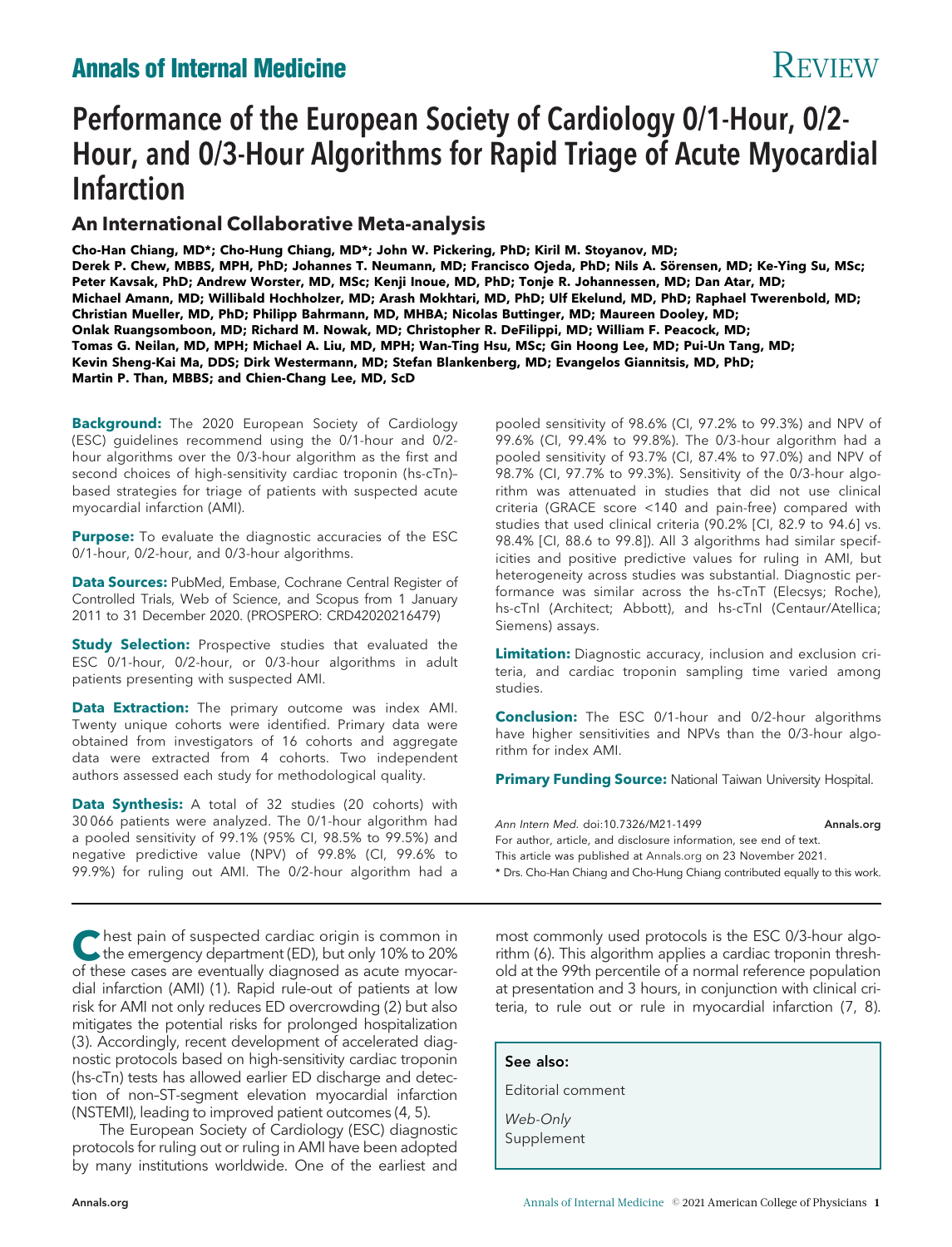## **Annals of Internal Medicine Review Annals of Internal Medicine**

# Performance of the European Society of Cardiology 0/1-Hour, 0/2- Hour, and 0/3-Hour Algorithms for Rapid Triage of Acute Myocardial Infarction

### An International Collaborative Meta-analysis

Cho-Han Chiang, MD\*; Cho-Hung Chiang, MD\*; John W. Pickering, PhD; Kiril M. Stoyanov, MD; Derek P. Chew, MBBS, MPH, PhD; Johannes T. Neumann, MD; Francisco Ojeda, PhD; Nils A. Sörensen, MD; Ke-Ying Su, MSc; Peter Kavsak, PhD; Andrew Worster, MD, MSc; Kenji Inoue, MD, PhD; Tonje R. Johannessen, MD; Dan Atar, MD; Michael Amann, MD; Willibald Hochholzer, MD; Arash Mokhtari, MD, PhD; Ulf Ekelund, MD, PhD; Raphael Twerenbold, MD; Christian Mueller, MD, PhD; Philipp Bahrmann, MD, MHBA; Nicolas Buttinger, MD; Maureen Dooley, MD; Onlak Ruangsomboon, MD; Richard M. Nowak, MD; Christopher R. DeFilippi, MD; William F. Peacock, MD; Tomas G. Neilan, MD, MPH; Michael A. Liu, MD, MPH; Wan-Ting Hsu, MSc; Gin Hoong Lee, MD; Pui-Un Tang, MD; Kevin Sheng-Kai Ma, DDS; Dirk Westermann, MD; Stefan Blankenberg, MD; Evangelos Giannitsis, MD, PhD; Martin P. Than, MBBS; and Chien-Chang Lee, MD, ScD

Background: The 2020 European Society of Cardiology (ESC) guidelines recommend using the 0/1-hour and 0/2 hour algorithms over the 0/3-hour algorithm as the first and second choices of high-sensitivity cardiac troponin (hs-cTn)– based strategies for triage of patients with suspected acute myocardial infarction (AMI).

**Purpose:** To evaluate the diagnostic accuracies of the ESC 0/1-hour, 0/2-hour, and 0/3-hour algorithms.

Data Sources: PubMed, Embase, Cochrane Central Register of Controlled Trials, Web of Science, and Scopus from 1 January 2011 to 31 December 2020. (PROSPERO: CRD42020216479)

**Study Selection:** Prospective studies that evaluated the ESC 0/1-hour, 0/2-hour, or 0/3-hour algorithms in adult patients presenting with suspected AMI.

Data Extraction: The primary outcome was index AMI. Twenty unique cohorts were identified. Primary data were obtained from investigators of 16 cohorts and aggregate data were extracted from 4 cohorts. Two independent authors assessed each study for methodological quality.

Data Synthesis: A total of 32 studies (20 cohorts) with 30 066 patients were analyzed. The 0/1-hour algorithm had a pooled sensitivity of 99.1% (95% CI, 98.5% to 99.5%) and negative predictive value (NPV) of 99.8% (CI, 99.6% to 99.9%) for ruling out AMI. The 0/2-hour algorithm had a

Thest pain of suspected cardiac origin is common in<br>the emergency department (ED), but only 10% to 20%<br>of these access are avantually discussed as equity museum of these cases are eventually diagnosed as acute myocardial infarction (AMI) (1). Rapid rule-out of patients at low risk for AMI not only reduces ED overcrowding (2) but also mitigates the potential risks for prolonged hospitalization (3). Accordingly, recent development of accelerated diagnostic protocols based on high-sensitivity cardiac troponin (hs-cTn) tests has allowed earlier ED discharge and detection of non–ST-segment elevation myocardial infarction (NSTEMI), leading to improved patient outcomes (4, 5).

The European Society of Cardiology (ESC) diagnostic protocols for ruling out or ruling in AMI have been adopted by many institutions worldwide. One of the earliest and pooled sensitivity of 98.6% (CI, 97.2% to 99.3%) and NPV of 99.6% (CI, 99.4% to 99.8%). The 0/3-hour algorithm had a pooled sensitivity of 93.7% (CI, 87.4% to 97.0%) and NPV of 98.7% (CI, 97.7% to 99.3%). Sensitivity of the 0/3-hour algorithm was attenuated in studies that did not use clinical criteria (GRACE score <140 and pain-free) compared with studies that used clinical criteria (90.2% [CI, 82.9 to 94.6] vs. 98.4% [CI, 88.6 to 99.8]). All 3 algorithms had similar specificities and positive predictive values for ruling in AMI, but heterogeneity across studies was substantial. Diagnostic performance was similar across the hs-cTnT (Elecsys; Roche), hs-cTnI (Architect; Abbott), and hs-cTnI (Centaur/Atellica; Siemens) assays.

Limitation: Diagnostic accuracy, inclusion and exclusion criteria, and cardiac troponin sampling time varied among studies.

**Conclusion:** The ESC 0/1-hour and 0/2-hour algorithms have higher sensitivities and NPVs than the 0/3-hour algorithm for index AMI.

**Primary Funding Source: National Taiwan University Hospital.** 

Ann Intern Med. doi:10.7326/M21-1499<br>For author, article, and disclosure information, see end of text. This article was published at [Annals.org](http://www.annals.org) on 23 November 2021. \* Drs. Cho-Han Chiang and Cho-Hung Chiang contributed equally to this work.

most commonly used protocols is the ESC 0/3-hour algorithm (6). This algorithm applies a cardiac troponin threshold at the 99th percentile of a normal reference population at presentation and 3 hours, in conjunction with clinical criteria, to rule out or rule in myocardial infarction (7, 8).

See also:

Editorial comment

Web-Only Supplement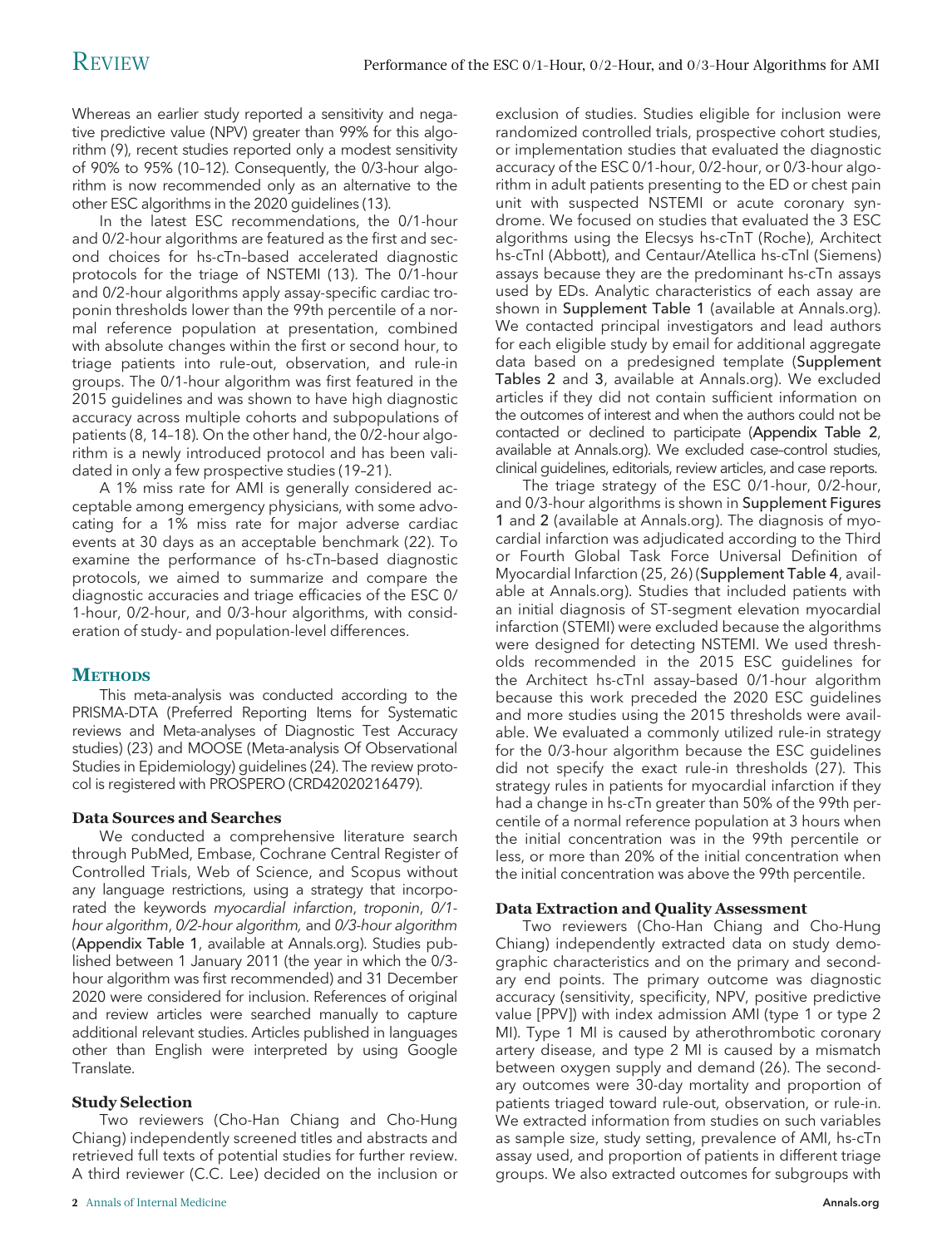Whereas an earlier study reported a sensitivity and negative predictive value (NPV) greater than 99% for this algorithm (9), recent studies reported only a modest sensitivity of 90% to 95% (10–12). Consequently, the 0/3-hour algorithm is now recommended only as an alternative to the other ESC algorithms in the 2020 guidelines (13).

In the latest ESC recommendations, the 0/1-hour and 0/2-hour algorithms are featured as the first and second choices for hs-cTn–based accelerated diagnostic protocols for the triage of NSTEMI (13). The 0/1-hour and 0/2-hour algorithms apply assay-specific cardiac troponin thresholds lower than the 99th percentile of a normal reference population at presentation, combined with absolute changes within the first or second hour, to triage patients into rule-out, observation, and rule-in groups. The 0/1-hour algorithm was first featured in the 2015 guidelines and was shown to have high diagnostic accuracy across multiple cohorts and subpopulations of patients (8, 14–18). On the other hand, the 0/2-hour algorithm is a newly introduced protocol and has been validated in only a few prospective studies (19–21).

A 1% miss rate for AMI is generally considered acceptable among emergency physicians, with some advocating for a 1% miss rate for major adverse cardiac events at 30 days as an acceptable benchmark (22). To examine the performance of hs-cTn–based diagnostic protocols, we aimed to summarize and compare the diagnostic accuracies and triage efficacies of the ESC 0/ 1-hour, 0/2-hour, and 0/3-hour algorithms, with consideration of study- and population-level differences.

#### **METHODS**

This meta-analysis was conducted according to the PRISMA-DTA (Preferred Reporting Items for Systematic reviews and Meta-analyses of Diagnostic Test Accuracy studies) (23) and MOOSE (Meta-analysis Of Observational Studies in Epidemiology) guidelines (24). The review protocol is registered with PROSPERO (CRD42020216479).

#### Data Sources and Searches

We conducted a comprehensive literature search through PubMed, Embase, Cochrane Central Register of Controlled Trials, Web of Science, and Scopus without any language restrictions, using a strategy that incorporated the keywords myocardial infarction, troponin, 0/1 hour algorithm, 0/2-hour algorithm, and 0/3-hour algorithm (Appendix Table 1, available at [Annals.org](http://www.annals.org)). Studies published between 1 January 2011 (the year in which the 0/3 hour algorithm was first recommended) and 31 December 2020 were considered for inclusion. References of original and review articles were searched manually to capture additional relevant studies. Articles published in languages other than English were interpreted by using Google Translate.

#### Study Selection

Two reviewers (Cho-Han Chiang and Cho-Hung Chiang) independently screened titles and abstracts and retrieved full texts of potential studies for further review. A third reviewer (C.C. Lee) decided on the inclusion or exclusion of studies. Studies eligible for inclusion were randomized controlled trials, prospective cohort studies, or implementation studies that evaluated the diagnostic accuracy of the ESC 0/1-hour, 0/2-hour, or 0/3-hour algorithm in adult patients presenting to the ED or chest pain unit with suspected NSTEMI or acute coronary syndrome. We focused on studies that evaluated the 3 ESC algorithms using the Elecsys hs-cTnT (Roche), Architect hs-cTnI (Abbott), and Centaur/Atellica hs-cTnI (Siemens) assays because they are the predominant hs-cTn assays used by EDs. Analytic characteristics of each assay are shown in Supplement Table 1 (available at [Annals.org\)](http://www.annals.org). We contacted principal investigators and lead authors for each eligible study by email for additional aggregate data based on a predesigned template (Supplement Tables 2 and 3, available at [Annals.org\)](http://www.annals.org). We excluded articles if they did not contain sufficient information on the outcomes of interest and when the authors could not be contacted or declined to participate (Appendix Table 2, available at [Annals.org\)](http://www.annals.org). We excluded case–control studies, clinical guidelines, editorials, review articles, and case reports.

The triage strategy of the ESC 0/1-hour, 0/2-hour, and 0/3-hour algorithms is shown in Supplement Figures 1 and 2 (available at [Annals.org](http://www.annals.org)). The diagnosis of myocardial infarction was adjudicated according to the Third or Fourth Global Task Force Universal Definition of Myocardial Infarction (25, 26) (Supplement Table 4, available at [Annals.org](http://www.annals.org)). Studies that included patients with an initial diagnosis of ST-segment elevation myocardial infarction (STEMI) were excluded because the algorithms were designed for detecting NSTEMI. We used thresholds recommended in the 2015 ESC guidelines for the Architect hs-cTnI assay–based 0/1-hour algorithm because this work preceded the 2020 ESC guidelines and more studies using the 2015 thresholds were available. We evaluated a commonly utilized rule-in strategy for the 0/3-hour algorithm because the ESC guidelines did not specify the exact rule-in thresholds (27). This strategy rules in patients for myocardial infarction if they had a change in hs-cTn greater than 50% of the 99th percentile of a normal reference population at 3 hours when the initial concentration was in the 99th percentile or less, or more than 20% of the initial concentration when the initial concentration was above the 99th percentile.

#### Data Extraction and Quality Assessment

Two reviewers (Cho-Han Chiang and Cho-Hung Chiang) independently extracted data on study demographic characteristics and on the primary and secondary end points. The primary outcome was diagnostic accuracy (sensitivity, specificity, NPV, positive predictive value [PPV]) with index admission AMI (type 1 or type 2 MI). Type 1 MI is caused by atherothrombotic coronary artery disease, and type 2 MI is caused by a mismatch between oxygen supply and demand (26). The secondary outcomes were 30-day mortality and proportion of patients triaged toward rule-out, observation, or rule-in. We extracted information from studies on such variables as sample size, study setting, prevalence of AMI, hs-cTn assay used, and proportion of patients in different triage groups. We also extracted outcomes for subgroups with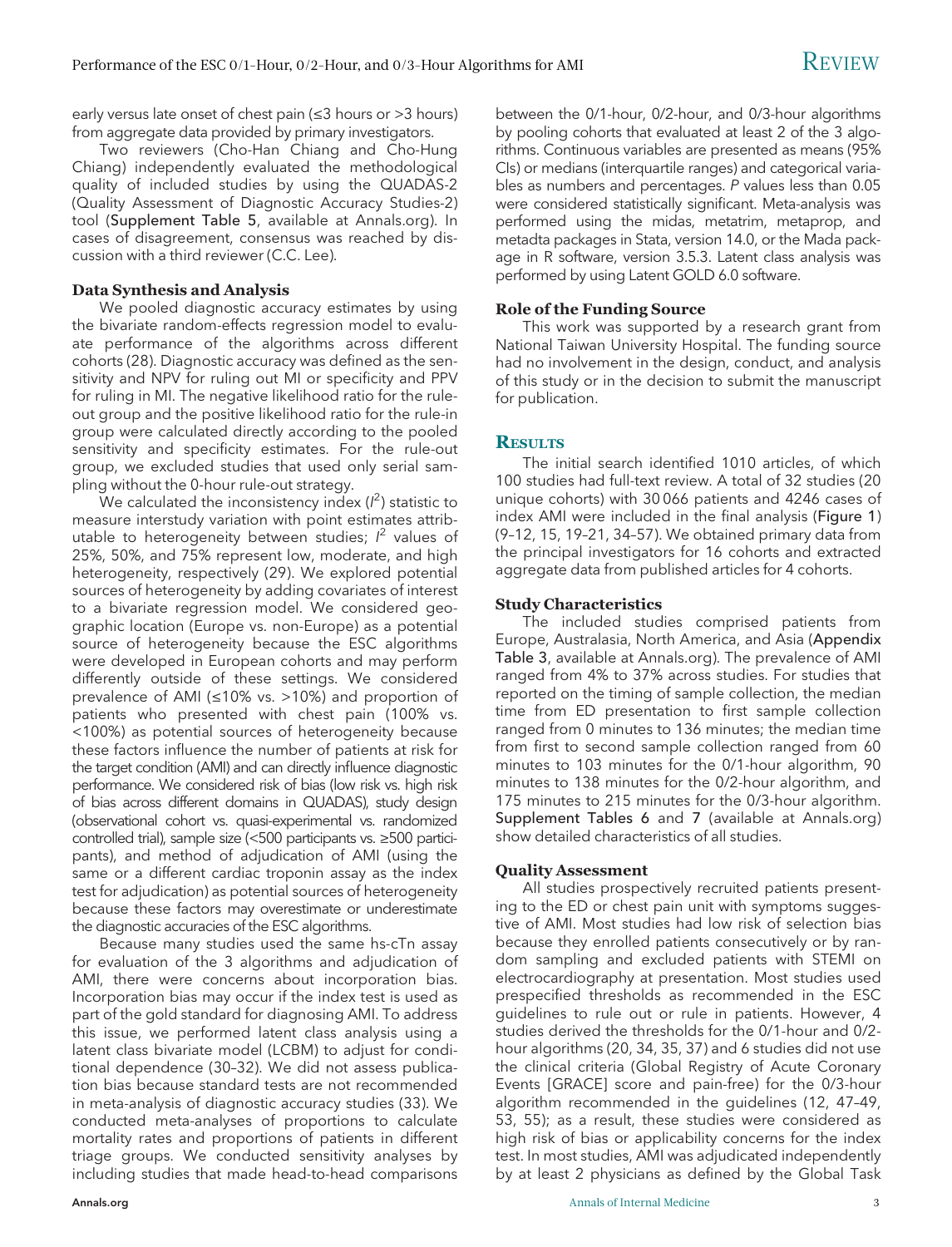early versus late onset of chest pain (≤3 hours or >3 hours) from aggregate data provided by primary investigators.

Two reviewers (Cho-Han Chiang and Cho-Hung Chiang) independently evaluated the methodological quality of included studies by using the QUADAS-2 (Quality Assessment of Diagnostic Accuracy Studies-2) tool (Supplement Table 5, available at [Annals.org](http://www.annals.org)). In cases of disagreement, consensus was reached by discussion with a third reviewer (C.C. Lee).

#### Data Synthesis and Analysis

We pooled diagnostic accuracy estimates by using the bivariate random-effects regression model to evaluate performance of the algorithms across different cohorts (28). Diagnostic accuracy was defined as the sensitivity and NPV for ruling out MI or specificity and PPV for ruling in MI. The negative likelihood ratio for the ruleout group and the positive likelihood ratio for the rule-in group were calculated directly according to the pooled sensitivity and specificity estimates. For the rule-out group, we excluded studies that used only serial sampling without the 0-hour rule-out strategy.

We calculated the inconsistency index ( $l^2$ ) statistic to measure interstudy variation with point estimates attributable to heterogeneity between studies;  $l^2$  values of 25%, 50%, and 75% represent low, moderate, and high heterogeneity, respectively (29). We explored potential sources of heterogeneity by adding covariates of interest to a bivariate regression model. We considered geographic location (Europe vs. non-Europe) as a potential source of heterogeneity because the ESC algorithms were developed in European cohorts and may perform differently outside of these settings. We considered prevalence of AMI (≤10% vs. >10%) and proportion of patients who presented with chest pain (100% vs. <100%) as potential sources of heterogeneity because these factors influence the number of patients at risk for the target condition (AMI) and can directly influence diagnostic performance. We considered risk of bias (low risk vs. high risk of bias across different domains in QUADAS), study design (observational cohort vs. quasi-experimental vs. randomized controlled trial), sample size (<500 participants vs. ≥500 participants), and method of adjudication of AMI (using the same or a different cardiac troponin assay as the index test for adjudication) as potential sources of heterogeneity because these factors may overestimate or underestimate the diagnostic accuracies of the ESC algorithms.

Because many studies used the same hs-cTn assay for evaluation of the 3 algorithms and adjudication of AMI, there were concerns about incorporation bias. Incorporation bias may occur if the index test is used as part of the gold standard for diagnosing AMI. To address this issue, we performed latent class analysis using a latent class bivariate model (LCBM) to adjust for conditional dependence (30–32). We did not assess publication bias because standard tests are not recommended in meta-analysis of diagnostic accuracy studies (33). We conducted meta-analyses of proportions to calculate mortality rates and proportions of patients in different triage groups. We conducted sensitivity analyses by including studies that made head-to-head comparisons

between the 0/1-hour, 0/2-hour, and 0/3-hour algorithms by pooling cohorts that evaluated at least 2 of the 3 algorithms. Continuous variables are presented as means (95% CIs) or medians (interquartile ranges) and categorical variables as numbers and percentages. P values less than 0.05 were considered statistically significant. Meta-analysis was performed using the midas, metatrim, metaprop, and metadta packages in Stata, version 14.0, or the Mada package in R software, version 3.5.3. Latent class analysis was performed by using Latent GOLD 6.0 software.

#### Role of the Funding Source

This work was supported by a research grant from National Taiwan University Hospital. The funding source had no involvement in the design, conduct, and analysis of this study or in the decision to submit the manuscript for publication.

#### **RESULTS**

The initial search identified 1010 articles, of which 100 studies had full-text review. A total of 32 studies (20 unique cohorts) with 30 066 patients and 4246 cases of index AMI were included in the final analysis (Figure 1) (9–12, 15, 19–21, 34–57). We obtained primary data from the principal investigators for 16 cohorts and extracted aggregate data from published articles for 4 cohorts.

#### Study Characteristics

The included studies comprised patients from Europe, Australasia, North America, and Asia (Appendix Table 3, available at [Annals.org](http://www.annals.org)). The prevalence of AMI ranged from 4% to 37% across studies. For studies that reported on the timing of sample collection, the median time from ED presentation to first sample collection ranged from 0 minutes to 136 minutes; the median time from first to second sample collection ranged from 60 minutes to 103 minutes for the 0/1-hour algorithm, 90 minutes to 138 minutes for the 0/2-hour algorithm, and 175 minutes to 215 minutes for the 0/3-hour algorithm. Supplement Tables 6 and 7 (available at [Annals.org](http://www.annals.org)) show detailed characteristics of all studies.

#### Quality Assessment

All studies prospectively recruited patients presenting to the ED or chest pain unit with symptoms suggestive of AMI. Most studies had low risk of selection bias because they enrolled patients consecutively or by random sampling and excluded patients with STEMI on electrocardiography at presentation. Most studies used prespecified thresholds as recommended in the ESC guidelines to rule out or rule in patients. However, 4 studies derived the thresholds for the 0/1-hour and 0/2 hour algorithms (20, 34, 35, 37) and 6 studies did not use the clinical criteria (Global Registry of Acute Coronary Events [GRACE] score and pain-free) for the 0/3-hour algorithm recommended in the guidelines (12, 47–49, 53, 55); as a result, these studies were considered as high risk of bias or applicability concerns for the index test. In most studies, AMI was adjudicated independently by at least 2 physicians as defined by the Global Task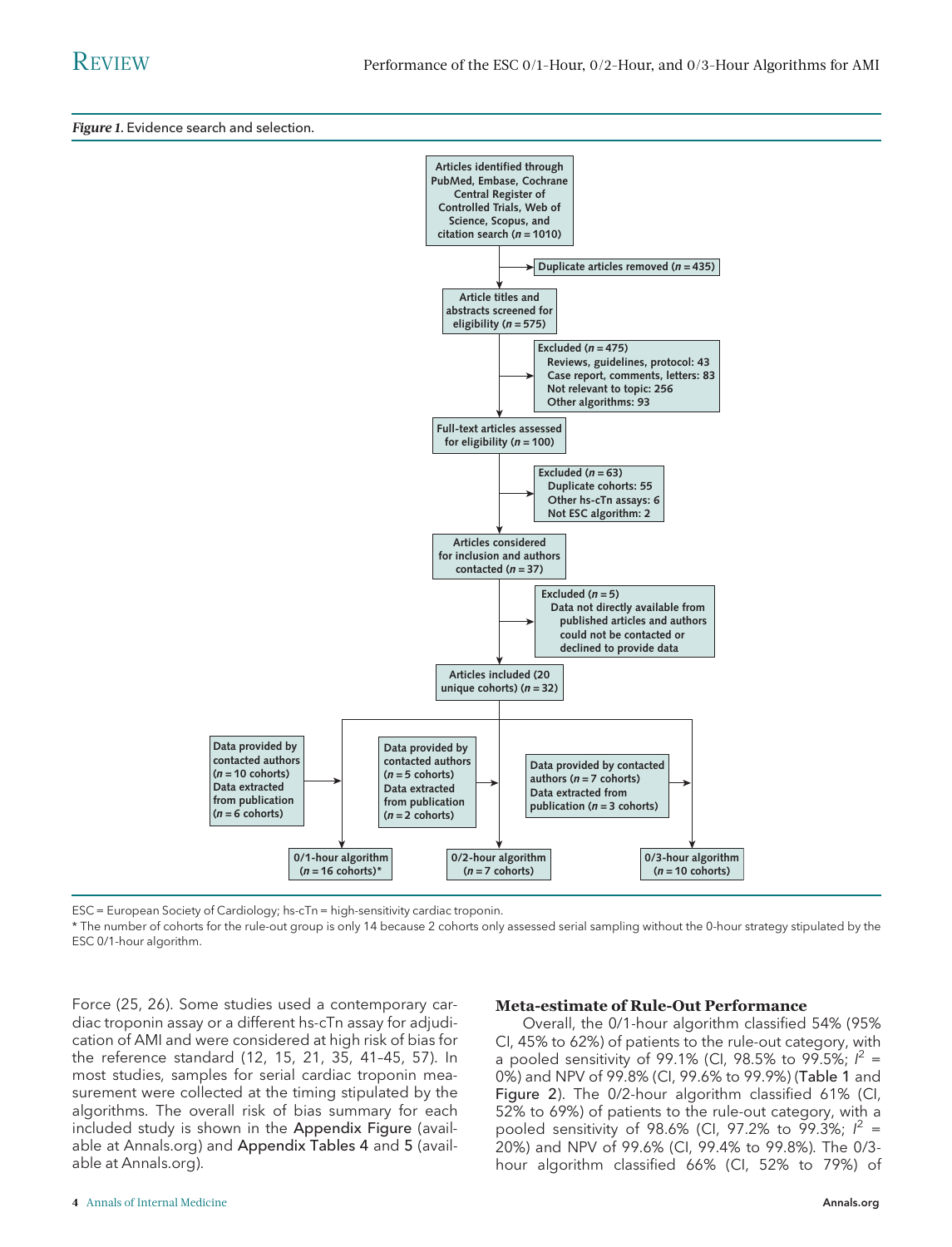Figure 1. Evidence search and selection.



ESC = European Society of Cardiology; hs-cTn = high-sensitivity cardiac troponin.

\* The number of cohorts for the rule-out group is only 14 because 2 cohorts only assessed serial sampling without the 0-hour strategy stipulated by the ESC 0/1-hour algorithm.

Force (25, 26). Some studies used a contemporary cardiac troponin assay or a different hs-cTn assay for adjudication of AMI and were considered at high risk of bias for the reference standard (12, 15, 21, 35, 41–45, 57). In most studies, samples for serial cardiac troponin measurement were collected at the timing stipulated by the algorithms. The overall risk of bias summary for each included study is shown in the Appendix Figure (available at [Annals.org](http://www.annals.org)) and Appendix Tables 4 and 5 (available at [Annals.org](http://www.annals.org)).

#### Meta-estimate of Rule-Out Performance

Overall, the 0/1-hour algorithm classified 54% (95% CI, 45% to 62%) of patients to the rule-out category, with a pooled sensitivity of 99.1% (CI, 98.5% to 99.5%;  $l^2 =$ 0%) and NPV of 99.8% (CI, 99.6% to 99.9%) (Table 1 and Figure 2). The 0/2-hour algorithm classified 61% (CI, 52% to 69%) of patients to the rule-out category, with a pooled sensitivity of 98.6% (CI, 97.2% to 99.3%;  $l^2 =$ 20%) and NPV of 99.6% (CI, 99.4% to 99.8%). The 0/3 hour algorithm classified 66% (CI, 52% to 79%) of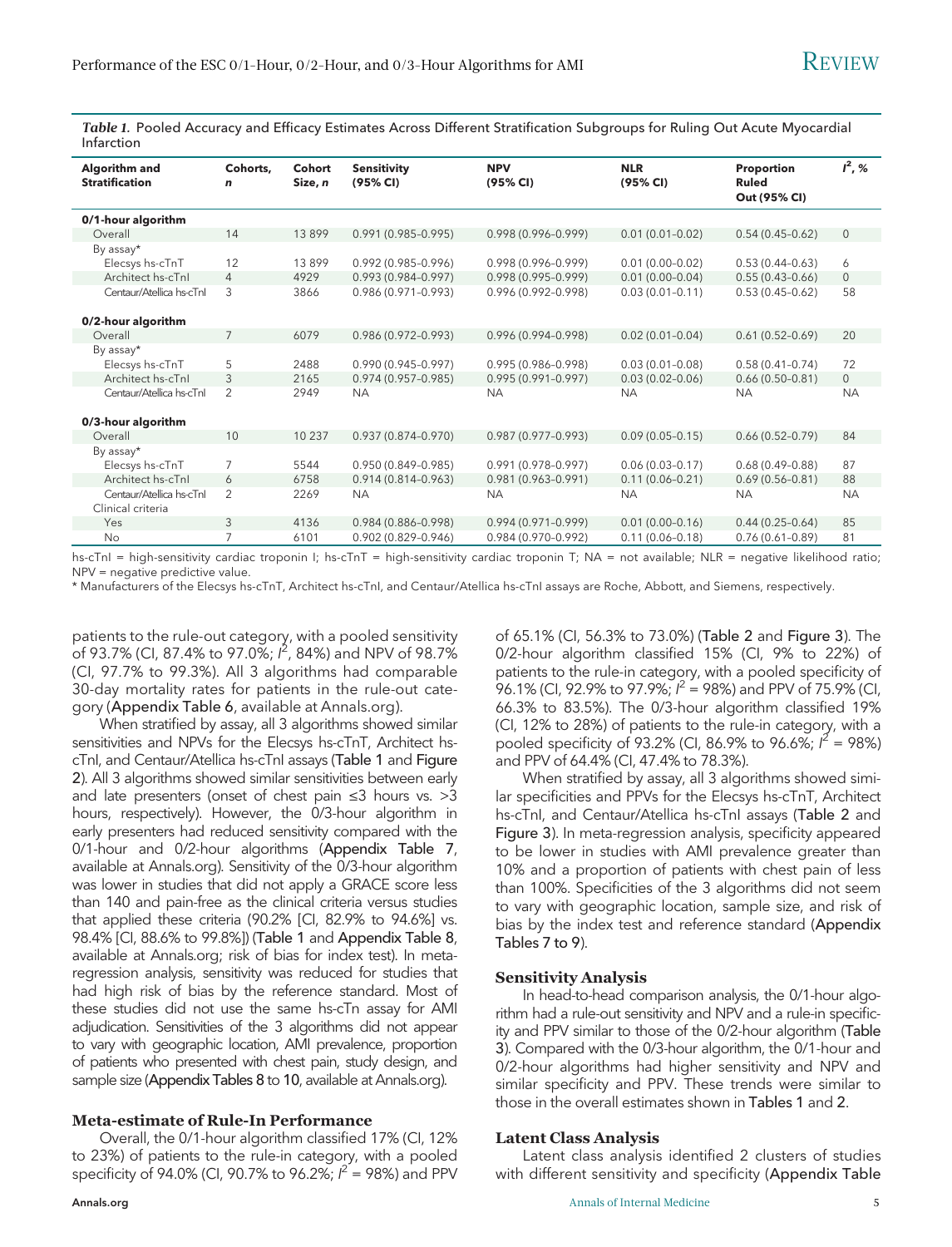Table 1. Pooled Accuracy and Efficacy Estimates Across Different Stratification Subgroups for Ruling Out Acute Myocardial Infarction

| Algorithm and<br><b>Stratification</b>        | Cohorts,<br>$\mathbf n$ | Cohort<br>Size, n | <b>Sensitivity</b><br>(95% CI) | <b>NPV</b><br>(95% CI) | <b>NLR</b><br>(95% CI) | Proportion<br><b>Ruled</b><br>Out (95% CI) | $I^2, %$     |
|-----------------------------------------------|-------------------------|-------------------|--------------------------------|------------------------|------------------------|--------------------------------------------|--------------|
| 0/1-hour algorithm                            |                         |                   |                                |                        |                        |                                            |              |
| Overall                                       | 14                      | 13899             | $0.991(0.985 - 0.995)$         | $0.998(0.996 - 0.999)$ | $0.01(0.01 - 0.02)$    | $0.54(0.45-0.62)$                          | $\mathbf{0}$ |
| By assay*                                     |                         |                   |                                |                        |                        |                                            |              |
| Elecsys hs-cTnT                               | 12                      | 13899             | $0.992(0.985 - 0.996)$         | $0.998(0.996 - 0.999)$ | $0.01(0.00-0.02)$      | $0.53(0.44 - 0.63)$                        | 6            |
| Architect hs-cTnl                             | $\overline{4}$          | 4929              | $0.993(0.984 - 0.997)$         | $0.998(0.995 - 0.999)$ | $0.01(0.00-0.04)$      | $0.55(0.43 - 0.66)$                        | $\mathbf{0}$ |
| Centaur/Atellica hs-cTnl                      | 3                       | 3866              | $0.986(0.971 - 0.993)$         | $0.996(0.992 - 0.998)$ | $0.03(0.01 - 0.11)$    | $0.53(0.45-0.62)$                          | 58           |
| 0/2-hour algorithm                            |                         |                   |                                |                        |                        |                                            |              |
| Overall                                       | 7                       | 6079              | $0.986(0.972 - 0.993)$         | $0.996(0.994 - 0.998)$ | $0.02(0.01 - 0.04)$    | $0.61(0.52 - 0.69)$                        | 20           |
| By assay*                                     |                         |                   |                                |                        |                        |                                            |              |
| Elecsys hs-cTnT                               | 5                       | 2488              | $0.990(0.945 - 0.997)$         | $0.995(0.986 - 0.998)$ | $0.03(0.01 - 0.08)$    | $0.58(0.41 - 0.74)$                        | 72           |
| Architect hs-cTnl                             | 3                       | 2165              | $0.974(0.957 - 0.985)$         | $0.995(0.991 - 0.997)$ | $0.03(0.02 - 0.06)$    | $0.66(0.50-0.81)$                          | $\mathbf{0}$ |
| Centaur/Atellica hs-cTnl                      | $\overline{2}$          | 2949              | <b>NA</b>                      | <b>NA</b>              | <b>NA</b>              | <b>NA</b>                                  | <b>NA</b>    |
| 0/3-hour algorithm                            |                         |                   |                                |                        |                        |                                            |              |
| Overall                                       | 10                      | 10 2 3 7          | $0.937(0.874 - 0.970)$         | $0.987(0.977 - 0.993)$ | $0.09(0.05 - 0.15)$    | $0.66(0.52 - 0.79)$                        | 84           |
| By assay*                                     |                         |                   |                                |                        |                        |                                            |              |
| Elecsys hs-cTnT                               | $\overline{7}$          | 5544              | $0.950(0.849 - 0.985)$         | $0.991(0.978 - 0.997)$ | $0.06(0.03 - 0.17)$    | $0.68(0.49 - 0.88)$                        | 87           |
| Architect hs-cTnl                             | 6                       | 6758              | $0.914(0.814 - 0.963)$         | $0.981(0.963 - 0.991)$ | $0.11(0.06 - 0.21)$    | $0.69(0.56 - 0.81)$                        | 88           |
| Centaur/Atellica hs-cTnl<br>Clinical criteria | $\overline{2}$          | 2269              | <b>NA</b>                      | <b>NA</b>              | <b>NA</b>              | <b>NA</b>                                  | <b>NA</b>    |
| Yes                                           | 3                       | 4136              | $0.984(0.886 - 0.998)$         | $0.994(0.971 - 0.999)$ | $0.01(0.00 - 0.16)$    | $0.44(0.25-0.64)$                          | 85           |
| No                                            | 7                       | 6101              | $0.902(0.829 - 0.946)$         | $0.984(0.970 - 0.992)$ | $0.11(0.06 - 0.18)$    | $0.76(0.61 - 0.89)$                        | 81           |

hs-cTnI = high-sensitivity cardiac troponin I; hs-cTnT = high-sensitivity cardiac troponin T; NA = not available; NLR = negative likelihood ratio; NPV = negative predictive value.

\* Manufacturers of the Elecsys hs-cTnT, Architect hs-cTnI, and Centaur/Atellica hs-cTnI assays are Roche, Abbott, and Siemens, respectively.

patients to the rule-out category, with a pooled sensitivity of 93.7% (CI, 87.4% to 97.0%; I<sup>2</sup>, 84%) and NPV of 98.7% (CI, 97.7% to 99.3%). All 3 algorithms had comparable 30-day mortality rates for patients in the rule-out category (Appendix Table 6, available at [Annals.org\)](http://www.annals.org).

When stratified by assay, all 3 algorithms showed similar sensitivities and NPVs for the Elecsys hs-cTnT, Architect hscTnI, and Centaur/Atellica hs-cTnI assays (Table 1 and Figure 2). All 3 algorithms showed similar sensitivities between early and late presenters (onset of chest pain ≤3 hours vs. >3 hours, respectively). However, the 0/3-hour algorithm in early presenters had reduced sensitivity compared with the 0/1-hour and 0/2-hour algorithms (Appendix Table 7, available at [Annals.org](http://www.annals.org)). Sensitivity of the 0/3-hour algorithm was lower in studies that did not apply a GRACE score less than 140 and pain-free as the clinical criteria versus studies that applied these criteria (90.2% [CI, 82.9% to 94.6%] vs. 98.4% [CI, 88.6% to 99.8%]) (Table 1 and Appendix Table 8, available at [Annals.org;](http://www.annals.org) risk of bias for index test). In metaregression analysis, sensitivity was reduced for studies that had high risk of bias by the reference standard. Most of these studies did not use the same hs-cTn assay for AMI adjudication. Sensitivities of the 3 algorithms did not appear to vary with geographic location, AMI prevalence, proportion of patients who presented with chest pain, study design, and sample size (Appendix Tables 8 to 10, available at [Annals.org\)](http://www.annals.org).

#### Meta-estimate of Rule-In Performance

Overall, the 0/1-hour algorithm classified 17% (CI, 12% to 23%) of patients to the rule-in category, with a pooled specificity of 94.0% (CI, 90.7% to 96.2%;  $l^2$  = 98%) and PPV

of 65.1% (CI, 56.3% to 73.0%) (Table 2 and Figure 3). The 0/2-hour algorithm classified 15% (CI, 9% to 22%) of patients to the rule-in category, with a pooled specificity of 96.1% (CI, 92.9% to 97.9%;  $l^2$  = 98%) and PPV of 75.9% (CI, 66.3% to 83.5%). The 0/3-hour algorithm classified 19% (CI, 12% to 28%) of patients to the rule-in category, with a pooled specificity of 93.2% (CI, 86.9% to 96.6%;  $l^2$  = 98%) and PPV of 64.4% (CI, 47.4% to 78.3%).

When stratified by assay, all 3 algorithms showed similar specificities and PPVs for the Elecsys hs-cTnT, Architect hs-cTnI, and Centaur/Atellica hs-cTnI assays (Table 2 and Figure 3). In meta-regression analysis, specificity appeared to be lower in studies with AMI prevalence greater than 10% and a proportion of patients with chest pain of less than 100%. Specificities of the 3 algorithms did not seem to vary with geographic location, sample size, and risk of bias by the index test and reference standard (Appendix Tables 7 to 9).

#### Sensitivity Analysis

In head-to-head comparison analysis, the 0/1-hour algorithm had a rule-out sensitivity and NPV and a rule-in specificity and PPV similar to those of the 0/2-hour algorithm (Table 3). Compared with the 0/3-hour algorithm, the 0/1-hour and 0/2-hour algorithms had higher sensitivity and NPV and similar specificity and PPV. These trends were similar to those in the overall estimates shown in Tables 1 and 2.

#### Latent Class Analysis

Latent class analysis identified 2 clusters of studies with different sensitivity and specificity (Appendix Table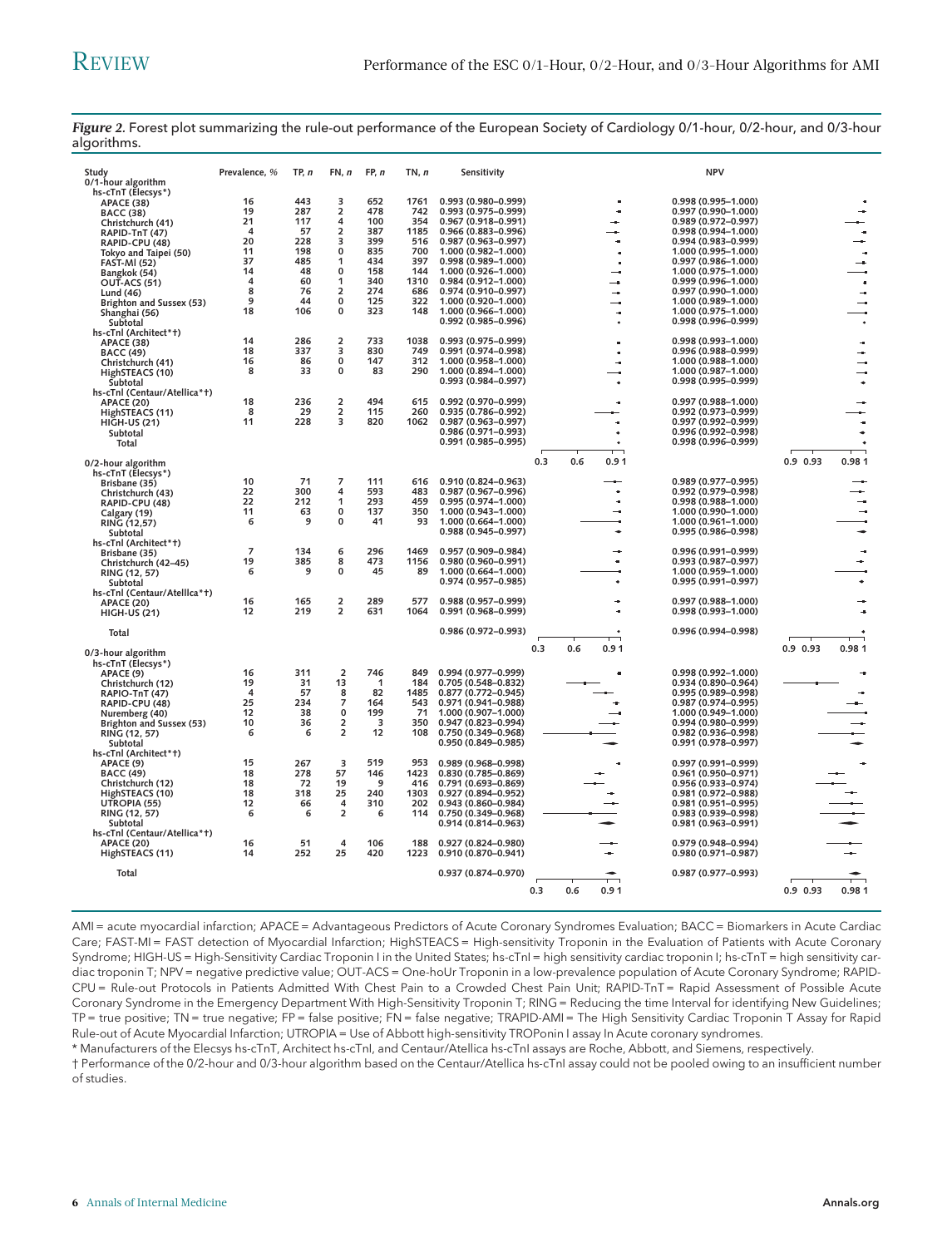| Study<br>0/1-hour algorithm              | Prevalence, % | TP, n    | FN, n                       | FP, n     | TN, n      | Sensitivity                                |     |     |                | <b>NPV</b>                                 |            |               |
|------------------------------------------|---------------|----------|-----------------------------|-----------|------------|--------------------------------------------|-----|-----|----------------|--------------------------------------------|------------|---------------|
| hs-cTnT (Elecsys*)                       |               |          |                             |           |            |                                            |     |     |                |                                            |            |               |
| <b>APACE (38)</b>                        | 16            | 443      | 3                           | 652       | 1761       | $0.993(0.980 - 0.999)$                     |     |     | $\blacksquare$ | $0.998(0.995 - 1.000)$                     |            |               |
| <b>BACC (38)</b>                         | 19            | 287      | $\overline{2}$              | 478       | 742        | 0.993 (0.975-0.999)                        |     |     | $\blacksquare$ | 0.997 (0.990-1.000)                        |            |               |
| Christchurch (41)                        | 21            | 117      | 4                           | 100       | 354        | 0.967 (0.918-0.991)                        |     |     | -              | 0.989 (0.972-0.997)                        |            |               |
| RAPID-TnT (47)                           | 4             | 57       | $\overline{2}$              | 387       | 1185       | 0.966 (0.883-0.996)                        |     |     |                | $0.998(0.994 - 1.000)$                     |            | $\bullet$     |
| RAPID-CPU (48)                           | 20            | 228      | 3                           | 399       | 516        | 0.987 (0.963-0.997)                        |     |     | ÷              | 0.994 (0.983-0.999)                        |            | ÷             |
| Tokyo and Taipei (50)                    | 11            | 198      | $\mathbf{0}$                | 835       | 700        | 1.000 (0.982-1.000)                        |     |     | $\blacksquare$ | 1.000 (0.995-1.000)                        |            | $\alpha$      |
| <b>FAST-MI (52)</b>                      | 37            | 485      | 1                           | 434       | 397        | 0.998 (0.989-1.000)                        |     |     | ×              | 0.997 (0.986-1.000)                        |            | ÷             |
| Bangkok (54)                             | 14            | 48       | $\mathbf{0}$                | 158       | 144        | 1.000 (0.926-1.000)                        |     |     | - 1            | 1.000 (0.975-1.000)                        |            |               |
| OUT-ACS (51)                             | 4             | 60       | 1                           | 340       | 1310       | 0.984 (0.912-1.000)                        |     |     | ٠.             | 0.999 (0.996-1.000)                        |            | $\sim$        |
| Lund (46)                                | 8             | 76       | $\overline{\mathbf{2}}$     | 274       | 686        | 0.974 (0.910-0.997)                        |     |     | 4              | 0.997 (0.990-1.000)                        |            | $\rightarrow$ |
| Brighton and Sussex (53)                 | 9             | 44       | $\mathbf{0}$                | 125       | 322        | 1.000 (0.920-1.000)                        |     |     | ٠.             | 1.000 (0.989-1.000)                        |            |               |
| Shanghai (56)                            | 18            | 106      | $\mathbf{0}$                | 323       | 148        | 1.000 (0.966-1.000)                        |     |     | ÷              | 1.000 (0.975-1.000)                        |            |               |
| Subtotal                                 |               |          |                             |           |            | 0.992 (0.985-0.996)                        |     |     |                | 0.998 (0.996-0.999)                        |            |               |
| hs-cTnl (Architect*+)                    |               |          |                             |           |            |                                            |     |     |                |                                            |            |               |
| APACE (38)                               | 14            | 286      | $\overline{\mathbf{2}}$     | 733       | 1038       | 0.993 (0.975-0.999)                        |     |     |                | 0.998 (0.993-1.000)                        |            | $\bullet$     |
| <b>BACC (49)</b>                         | 18            | 337      | 3                           | 830       | 749        | 0.991 (0.974-0.998)                        |     |     |                | 0.996 (0.988-0.999)                        |            |               |
| Christchurch (41)                        | 16<br>8       | 86<br>33 | $\mathbf 0$<br>$\mathbf{0}$ | 147<br>83 | 312<br>290 | 1.000 (0.958-1.000)                        |     |     |                | 1.000 (0.988-1.000)                        |            |               |
| HighSTEACS (10)                          |               |          |                             |           |            | 1.000 (0.894-1.000)                        |     |     |                | 1.000 (0.987-1.000)                        |            |               |
| Subtotal                                 |               |          |                             |           |            | 0.993 (0.984-0.997)                        |     |     |                | 0.998 (0.995-0.999)                        |            |               |
| hs-cTnl (Centaur/Atellica*t)             |               |          |                             |           |            |                                            |     |     |                |                                            |            |               |
| <b>APACE (20)</b>                        | 18            | 236      | $\overline{\mathbf{2}}$     | 494       | 615        | 0.992 (0.970-0.999)                        |     |     |                | 0.997 (0.988-1.000)                        |            |               |
| HighSTEACS (11)                          | 8             | 29       | $\overline{\mathbf{2}}$     | 115       | 260        | 0.935 (0.786-0.992)                        |     |     |                | 0.992 (0.973-0.999)                        |            |               |
| <b>HIGH-US (21)</b>                      | 11            | 228      | 3                           | 820       | 1062       | 0.987 (0.963-0.997)                        |     |     |                | 0.997 (0.992-0.999)                        |            | ٠             |
| Subtotal                                 |               |          |                             |           |            | $0.986(0.971 - 0.993)$                     |     |     |                | 0.996 (0.992-0.998)                        |            |               |
| Total                                    |               |          |                             |           |            | 0.991 (0.985-0.995)                        |     |     |                | 0.998 (0.996-0.999)                        |            |               |
|                                          |               |          |                             |           |            |                                            |     |     |                |                                            |            |               |
| 0/2-hour algorithm                       |               |          |                             |           |            |                                            | 0.3 | 0.6 | 0.91           |                                            | $0.9$ 0.93 | 0.981         |
| hs-cTnT (Elecsys*)                       | 10            | 71       | 7                           | 111       | 616        | 0.910 (0.824-0.963)                        |     |     |                | 0.989 (0.977-0.995)                        |            |               |
| Brisbane (35)                            | 22            | 300      | 4                           | 593       | 483        | 0.987 (0.967-0.996)                        |     |     | ÷              |                                            |            |               |
| Christchurch (43)                        | 22            | 212      |                             | 293       | 459        |                                            |     |     | ×              | 0.992 (0.979-0.998)                        |            |               |
| RAPID-CPU (48)                           | 11            | 63       | 1<br>0                      | 137       | 350        | 0.995 (0.974-1.000)<br>1.000 (0.943-1.000) |     |     | ÷              | 0.998 (0.988-1.000)<br>1.000 (0.990-1.000) |            | ÷.            |
| Calgary (19)                             | 6             | 9        | 0                           | 41        | 93         | 1.000 (0.664-1.000)                        |     |     |                | 1.000 (0.961-1.000)                        |            |               |
| RING (12,57)                             |               |          |                             |           |            | 0.988 (0.945-0.997)                        |     |     |                | 0.995 (0.986-0.998)                        |            |               |
| Subtotal                                 |               |          |                             |           |            |                                            |     |     |                |                                            |            |               |
| hs-cTnl (Architect*+)                    | 7             | 134      | 6                           | 296       | 1469       | 0.957 (0.909-0.984)                        |     |     | ۰.             | 0.996 (0.991-0.999)                        |            |               |
| Brisbane (35)                            | 19            | 385      | 8                           | 473       | 1156       | 0.980 (0.960-0.991)                        |     |     | $\blacksquare$ | 0.993 (0.987-0.997)                        |            |               |
| Christchurch (42-45)                     | 6             | 9        | 0                           | 45        | 89         | 1.000 (0.664-1.000)                        |     |     |                | 1.000 (0.959-1.000)                        |            |               |
| RING (12, 57)                            |               |          |                             |           |            | 0.974 (0.957-0.985)                        |     |     |                | 0.995 (0.991-0.997)                        |            |               |
| Subtotal                                 |               |          |                             |           |            |                                            |     |     |                |                                            |            |               |
| hs-cTnl (Centaur/Atellica*t)             | 16            | 165      | $\overline{\mathbf{2}}$     | 289       | 577        | $0.988(0.957 - 0.999)$                     |     |     | ÷              | $0.997(0.988 - 1.000)$                     |            |               |
| <b>APACE (20)</b><br><b>HIGH-US (21)</b> | 12            | 219      | 2                           | 631       | 1064       | 0.991 (0.968-0.999)                        |     |     |                | 0.998 (0.993-1.000)                        |            |               |
|                                          |               |          |                             |           |            |                                            |     |     |                |                                            |            |               |
| Total                                    |               |          |                             |           |            | 0.986 (0.972-0.993)                        |     |     |                | 0.996 (0.994-0.998)                        |            |               |
|                                          |               |          |                             |           |            |                                            |     |     |                |                                            |            |               |
| 0/3-hour algorithm                       |               |          |                             |           |            |                                            | 0.3 | 0.6 | 0.91           |                                            | $0.9$ 0.93 | 0.981         |
| hs-cTnT (Elecsys*)                       |               |          |                             |           |            |                                            |     |     |                |                                            |            |               |
| APACE (9)                                | 16            | 311      | $\overline{2}$              | 746       | 849        | 0.994 (0.977-0.999)                        |     |     |                | 0.998 (0.992-1.000)                        |            |               |
| Christchurch (12)                        | 19            | 31       | 13                          | 1         | 184        | $0.705(0.548 - 0.832)$                     |     |     |                | 0.934 (0.890-0.964)                        |            |               |
| RAPIO-TnT (47)                           | 4             | 57       | 8                           | 82        | 1485       | $0.877(0.772 - 0.945)$                     |     |     |                | 0.995 (0.989-0.998)                        |            |               |
| RAPID-CPU (48)                           | 25            | 234      | $\overline{7}$              | 164       | 543        | $0.971(0.941 - 0.988)$                     |     |     |                | $0.987(0.974 - 0.995)$                     |            |               |
| Nuremberg (40)                           | 12            | 38       | $\pmb{0}$                   | 199       | 71         | 1.000 (0.907-1.000)                        |     |     |                | 1.000 (0.949-1.000)                        |            |               |
| Brighton and Sussex (53)                 | 10            | 36       | $\overline{2}$              | 3         | 350        | 0.947 (0.823-0.994)                        |     |     |                | 0.994 (0.980-0.999)                        |            |               |
| RING (12, 57)                            | 6             | 6        | $\overline{2}$              | 12        | 108        | 0.750 (0.349-0.968)                        |     |     |                | 0.982 (0.936-0.998)                        |            |               |
| Subtotal                                 |               |          |                             |           |            | 0.950 (0.849-0.985)                        |     |     |                | 0.991 (0.978-0.997)                        |            |               |
| hs-cTnl (Architect*+)                    |               |          |                             |           |            |                                            |     |     |                |                                            |            |               |
| APACE (9)                                | 15            | 267      | 3                           | 519       | 953        | 0.989 (0.968-0.998)                        |     |     |                | 0.997 (0.991-0.999)                        |            |               |
| <b>BACC (49)</b>                         | 18            | 278      | 57                          | 146       | 1423       | $0.830(0.785 - 0.869)$                     |     |     |                | 0.961 (0.950-0.971)                        |            |               |
| Christchurch (12)                        | 18            | 72       | 19                          | 9         | 416        | 0.791 (0.693-0.869)                        |     |     |                | 0.956 (0.933-0.974)                        |            |               |
| HighSTEACS (10)                          | 18            | 318      | 25                          | 240       | 1303       | $0.927(0.894 - 0.952)$                     |     |     |                | $0.981(0.972 - 0.988)$                     |            |               |
| UTROPIA (55)                             | 12            | 66       | $\overline{\mathbf{4}}$     | 310       | 202        | 0.943 (0.860-0.984)                        |     |     |                | 0.981 (0.951-0.995)                        |            |               |
| RING (12, 57)                            | 6             | 6        | $\overline{2}$              | 6         | 114        | $0.750(0.349 - 0.968)$                     |     |     |                | 0.983 (0.939-0.998)                        |            |               |
| Subtotal                                 |               |          |                             |           |            | $0.914(0.814 - 0.963)$                     |     |     |                | $0.981(0.963 - 0.991)$                     |            |               |
| hs-cTnl (Centaur/Atellica*t)             |               |          |                             |           |            |                                            |     |     |                |                                            |            |               |
| <b>APACE (20)</b>                        | 16            | 51       | 4                           | 106       | 188        | 0.927 (0.824-0.980)                        |     |     |                | 0.979 (0.948-0.994)                        |            |               |
| HighSTEACS (11)                          | 14            | 252      | 25                          | 420       | 1223       | 0.910 (0.870-0.941)                        |     |     |                | 0.980 (0.971-0.987)                        |            |               |
|                                          |               |          |                             |           |            |                                            |     |     |                |                                            |            |               |
| Total                                    |               |          |                             |           |            | $0.937(0.874 - 0.970)$                     |     |     |                | $0.987(0.977 - 0.993)$                     |            |               |
|                                          |               |          |                             |           |            |                                            |     |     |                |                                            |            |               |
|                                          |               |          |                             |           |            |                                            | 0.3 | 0.6 | 0.91           |                                            | $0.9$ 0.93 | 0.981         |
|                                          |               |          |                             |           |            |                                            |     |     |                |                                            |            |               |

Figure 2. Forest plot summarizing the rule-out performance of the European Society of Cardiology 0/1-hour, 0/2-hour, and 0/3-hour algorithms.

AMI = acute myocardial infarction; APACE = Advantageous Predictors of Acute Coronary Syndromes Evaluation; BACC = Biomarkers in Acute Cardiac Care; FAST-MI = FAST detection of Myocardial Infarction; HighSTEACS = High-sensitivity Troponin in the Evaluation of Patients with Acute Coronary Syndrome; HIGH-US = High-Sensitivity Cardiac Troponin I in the United States; hs-cTnI = high sensitivity cardiac troponin I; hs-cTnT = high sensitivity cardiac troponin T; NPV = negative predictive value; OUT-ACS = One-hoUr Troponin in a low-prevalence population of Acute Coronary Syndrome; RAPID-CPU = Rule-out Protocols in Patients Admitted With Chest Pain to a Crowded Chest Pain Unit; RAPID-TnT = Rapid Assessment of Possible Acute Coronary Syndrome in the Emergency Department With High-Sensitivity Troponin T; RING = Reducing the time Interval for identifying New Guidelines; TP = true positive; TN = true negative; FP = false positive; FN = false negative; TRAPID-AMI = The High Sensitivity Cardiac Troponin T Assay for Rapid Rule-out of Acute Myocardial Infarction; UTROPIA = Use of Abbott high-sensitivity TROPonin I assay In Acute coronary syndromes.

\* Manufacturers of the Elecsys hs-cTnT, Architect hs-cTnI, and Centaur/Atellica hs-cTnI assays are Roche, Abbott, and Siemens, respectively.

† Performance of the 0/2-hour and 0/3-hour algorithm based on the Centaur/Atellica hs-cTnI assay could not be pooled owing to an insufficient number of studies.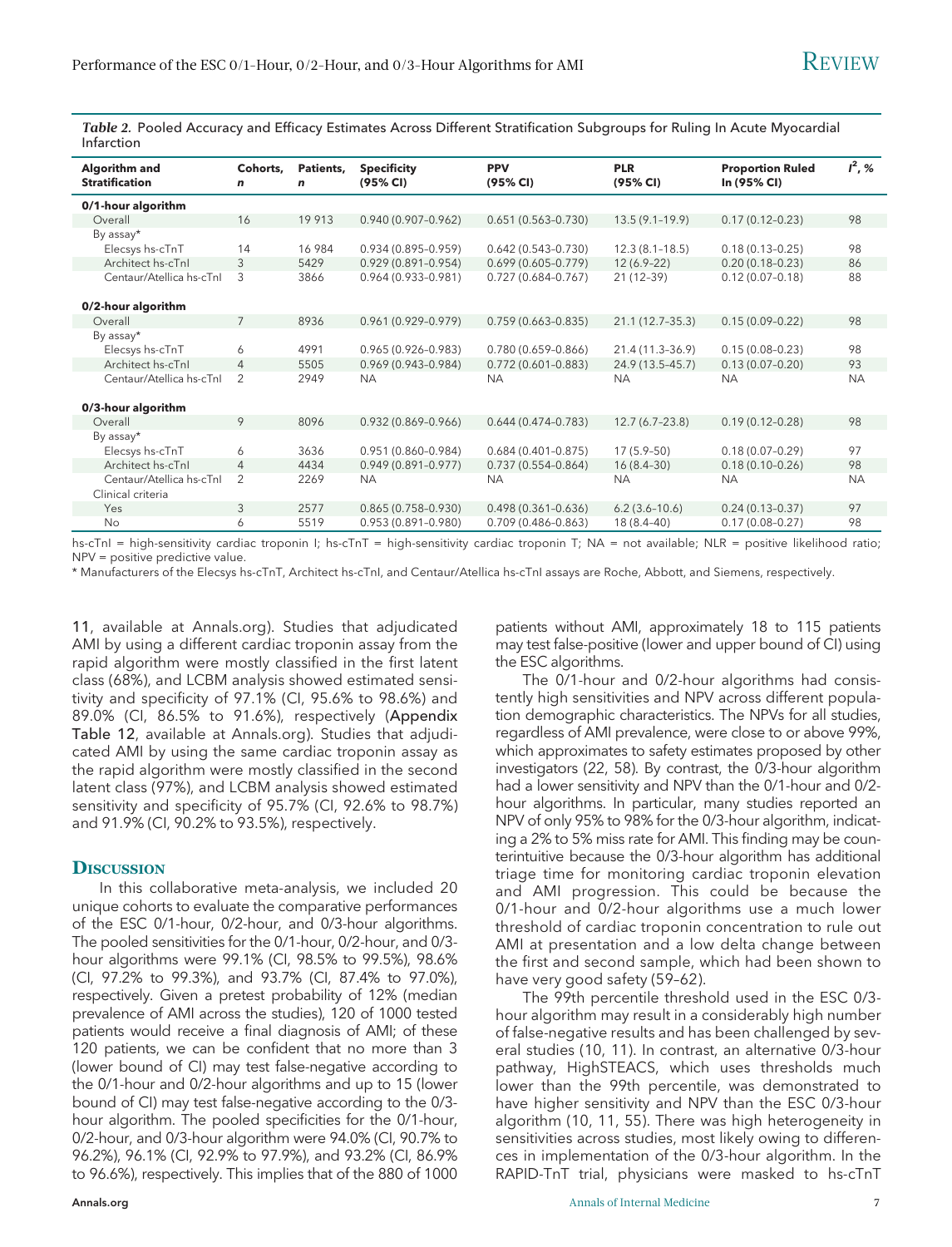Table 2. Pooled Accuracy and Efficacy Estimates Across Different Stratification Subgroups for Ruling In Acute Myocardial Infarction

| Algorithm and<br><b>Stratification</b> | Cohorts.<br>$\mathbf n$ | Patients,<br>n | <b>Specificity</b><br>(95% CI) | <b>PPV</b><br>(95% CI) | <b>PLR</b><br>(95% CI) | <b>Proportion Ruled</b><br>In (95% CI) | $I^2, %$  |
|----------------------------------------|-------------------------|----------------|--------------------------------|------------------------|------------------------|----------------------------------------|-----------|
| 0/1-hour algorithm                     |                         |                |                                |                        |                        |                                        |           |
| Overall                                | 16                      | 19 913         | $0.940(0.907 - 0.962)$         | $0.651(0.563 - 0.730)$ | $13.5(9.1-19.9)$       | $0.17(0.12 - 0.23)$                    | 98        |
| By assay*                              |                         |                |                                |                        |                        |                                        |           |
| Elecsys hs-cTnT                        | 14                      | 16 984         | $0.934(0.895 - 0.959)$         | $0.642(0.543 - 0.730)$ | $12.3(8.1 - 18.5)$     | $0.18(0.13 - 0.25)$                    | 98        |
| Architect hs-cTnl                      | 3                       | 5429           | $0.929(0.891 - 0.954)$         | $0.699(0.605 - 0.779)$ | $12(6.9-22)$           | $0.20(0.18 - 0.23)$                    | 86        |
| Centaur/Atellica hs-cTnl               | 3                       | 3866           | $0.964(0.933 - 0.981)$         | $0.727(0.684 - 0.767)$ | $21(12-39)$            | $0.12(0.07 - 0.18)$                    | 88        |
|                                        |                         |                |                                |                        |                        |                                        |           |
| 0/2-hour algorithm                     |                         |                |                                |                        |                        |                                        |           |
| Overall                                | $7\overline{ }$         | 8936           | $0.961(0.929 - 0.979)$         | $0.759(0.663 - 0.835)$ | 21.1 (12.7-35.3)       | $0.15(0.09 - 0.22)$                    | 98        |
| By assay*                              |                         |                |                                |                        |                        |                                        |           |
| Elecsys hs-cTnT                        | 6                       | 4991           | $0.965(0.926 - 0.983)$         | $0.780(0.659 - 0.866)$ | 21.4 (11.3-36.9)       | $0.15(0.08 - 0.23)$                    | 98        |
| Architect hs-cTnl                      | $\overline{4}$          | 5505           | $0.969(0.943 - 0.984)$         | $0.772(0.601 - 0.883)$ | 24.9 (13.5-45.7)       | $0.13(0.07 - 0.20)$                    | 93        |
| Centaur/Atellica hs-cTnl               | $\overline{2}$          | 2949           | <b>NA</b>                      | <b>NA</b>              | <b>NA</b>              | <b>NA</b>                              | <b>NA</b> |
|                                        |                         |                |                                |                        |                        |                                        |           |
| 0/3-hour algorithm                     |                         |                |                                |                        |                        |                                        |           |
| Overall                                | 9                       | 8096           | $0.932(0.869 - 0.966)$         | $0.644(0.474 - 0.783)$ | $12.7(6.7-23.8)$       | $0.19(0.12 - 0.28)$                    | 98        |
| By assay*                              |                         |                |                                |                        |                        |                                        |           |
| Elecsys hs-cTnT                        | 6                       | 3636           | 0.951 (0.860-0.984)            | $0.684(0.401 - 0.875)$ | $17(5.9-50)$           | $0.18(0.07 - 0.29)$                    | 97        |
| Architect hs-cTnl                      | $\overline{4}$          | 4434           | $0.949(0.891 - 0.977)$         | $0.737(0.554 - 0.864)$ | $16(8.4-30)$           | $0.18(0.10 - 0.26)$                    | 98        |
| Centaur/Atellica hs-cTnl               | 2                       | 2269           | <b>NA</b>                      | <b>NA</b>              | <b>NA</b>              | <b>NA</b>                              | <b>NA</b> |
| Clinical criteria                      |                         |                |                                |                        |                        |                                        |           |
| Yes                                    | 3                       | 2577           | $0.865(0.758 - 0.930)$         | $0.498(0.361 - 0.636)$ | $6.2(3.6-10.6)$        | $0.24(0.13 - 0.37)$                    | 97        |
| No                                     | 6                       | 5519           | $0.953(0.891 - 0.980)$         | $0.709(0.486 - 0.863)$ | 18 (8.4-40)            | $0.17(0.08 - 0.27)$                    | 98        |

hs-cTnI = high-sensitivity cardiac troponin I; hs-cTnT = high-sensitivity cardiac troponin T; NA = not available; NLR = positive likelihood ratio; NPV = positive predictive value.

\* Manufacturers of the Elecsys hs-cTnT, Architect hs-cTnI, and Centaur/Atellica hs-cTnI assays are Roche, Abbott, and Siemens, respectively.

11, available at [Annals.org](http://www.annals.org)). Studies that adjudicated AMI by using a different cardiac troponin assay from the rapid algorithm were mostly classified in the first latent class (68%), and LCBM analysis showed estimated sensitivity and specificity of 97.1% (CI, 95.6% to 98.6%) and 89.0% (CI, 86.5% to 91.6%), respectively (Appendix Table 12, available at [Annals.org\)](http://www.annals.org). Studies that adjudicated AMI by using the same cardiac troponin assay as the rapid algorithm were mostly classified in the second latent class (97%), and LCBM analysis showed estimated sensitivity and specificity of 95.7% (CI, 92.6% to 98.7%) and 91.9% (CI, 90.2% to 93.5%), respectively.

#### **DISCUSSION**

In this collaborative meta-analysis, we included 20 unique cohorts to evaluate the comparative performances of the ESC 0/1-hour, 0/2-hour, and 0/3-hour algorithms. The pooled sensitivities for the 0/1-hour, 0/2-hour, and 0/3 hour algorithms were 99.1% (CI, 98.5% to 99.5%), 98.6% (CI, 97.2% to 99.3%), and 93.7% (CI, 87.4% to 97.0%), respectively. Given a pretest probability of 12% (median prevalence of AMI across the studies), 120 of 1000 tested patients would receive a final diagnosis of AMI; of these 120 patients, we can be confident that no more than 3 (lower bound of CI) may test false-negative according to the 0/1-hour and 0/2-hour algorithms and up to 15 (lower bound of CI) may test false-negative according to the 0/3 hour algorithm. The pooled specificities for the 0/1-hour, 0/2-hour, and 0/3-hour algorithm were 94.0% (CI, 90.7% to 96.2%), 96.1% (CI, 92.9% to 97.9%), and 93.2% (CI, 86.9% to 96.6%), respectively. This implies that of the 880 of 1000

patients without AMI, approximately 18 to 115 patients may test false-positive (lower and upper bound of CI) using the ESC algorithms.

The 0/1-hour and 0/2-hour algorithms had consistently high sensitivities and NPV across different population demographic characteristics. The NPVs for all studies, regardless of AMI prevalence, were close to or above 99%, which approximates to safety estimates proposed by other investigators (22, 58). By contrast, the 0/3-hour algorithm had a lower sensitivity and NPV than the 0/1-hour and 0/2 hour algorithms. In particular, many studies reported an NPV of only 95% to 98% for the 0/3-hour algorithm, indicating a 2% to 5% miss rate for AMI. This finding may be counterintuitive because the 0/3-hour algorithm has additional triage time for monitoring cardiac troponin elevation and AMI progression. This could be because the 0/1-hour and 0/2-hour algorithms use a much lower threshold of cardiac troponin concentration to rule out AMI at presentation and a low delta change between the first and second sample, which had been shown to have very good safety (59–62).

The 99th percentile threshold used in the ESC 0/3 hour algorithm may result in a considerably high number of false-negative results and has been challenged by several studies (10, 11). In contrast, an alternative 0/3-hour pathway, HighSTEACS, which uses thresholds much lower than the 99th percentile, was demonstrated to have higher sensitivity and NPV than the ESC 0/3-hour algorithm (10, 11, 55). There was high heterogeneity in sensitivities across studies, most likely owing to differences in implementation of the 0/3-hour algorithm. In the RAPID-TnT trial, physicians were masked to hs-cTnT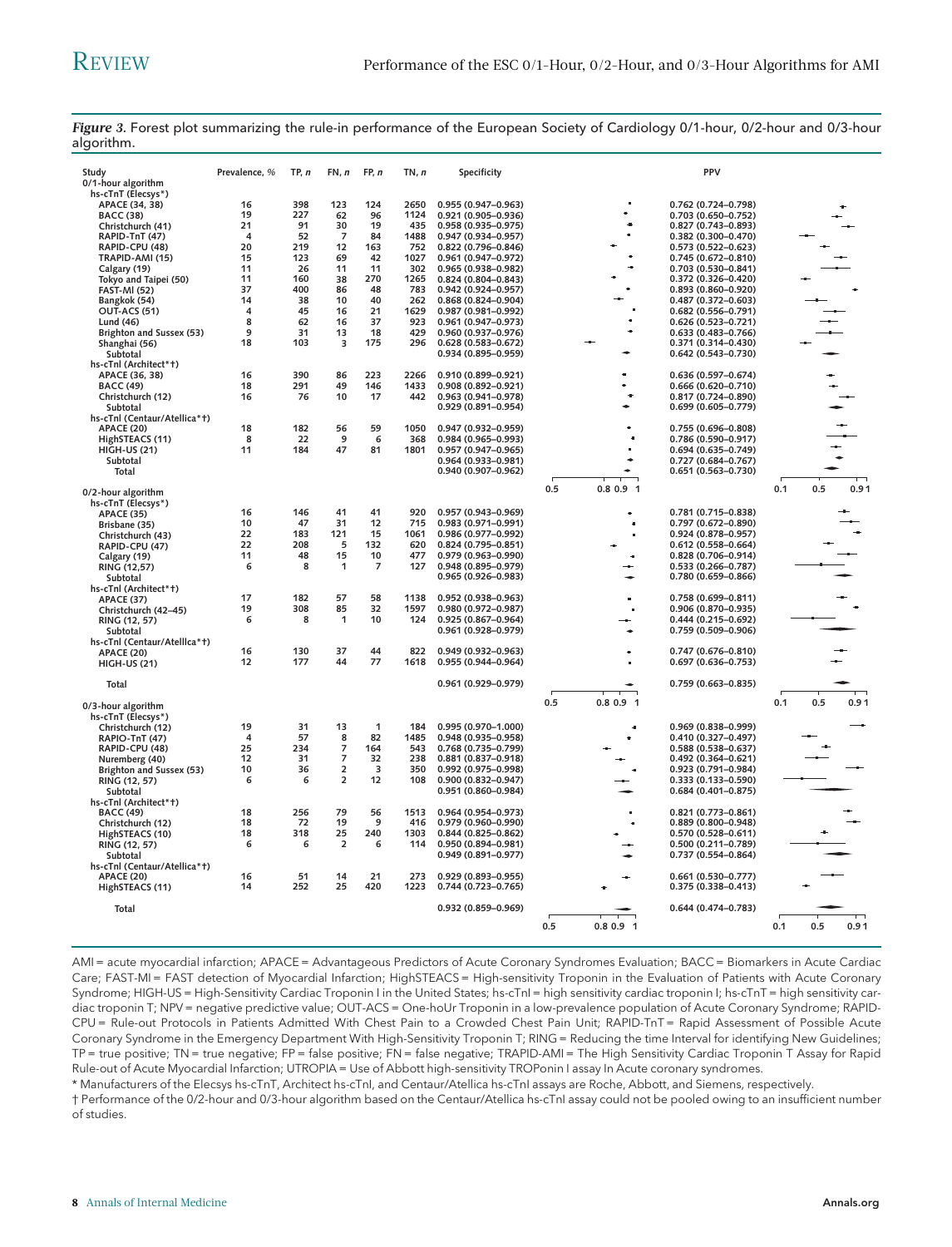| Study<br>0/1-hour algorithm  | Prevalence, %  | TP, n      | FN, n                   | FP, n          | TN, n        | Specificity                                   |                  | PPV                                        |     |     |      |
|------------------------------|----------------|------------|-------------------------|----------------|--------------|-----------------------------------------------|------------------|--------------------------------------------|-----|-----|------|
| hs-cTnT (Elecsys*)           |                |            |                         |                |              |                                               |                  |                                            |     |     |      |
| APACE (34, 38)               | 16             | 398        | 123                     | 124            | 2650         | 0.955 (0.947-0.963)                           |                  | 0.762 (0.724-0.798)                        |     |     |      |
| <b>BACC (38)</b>             | 19             | 227        | 62                      | 96             | 1124         | 0.921 (0.905-0.936)                           |                  | $0.703(0.650 - 0.752)$                     |     |     |      |
| Christchurch (41)            | 21             | 91         | 30                      | 19             | 435          | $0.958(0.935 - 0.975)$                        |                  | 0.827 (0.743-0.893)                        |     |     |      |
| RAPID-TnT (47)               | $\overline{4}$ | 52         | $\overline{7}$          | 84             | 1488         | 0.947 (0.934-0.957)                           |                  | 0.382 (0.300-0.470)                        |     |     |      |
| RAPID-CPU (48)               | 20             | 219        | 12                      | 163            | 752          | 0.822 (0.796-0.846)                           |                  | $0.573(0.522 - 0.623)$                     |     |     |      |
| TRAPID-AMI (15)              | 15             | 123        | 69                      | 42             | 1027         | 0.961 (0.947-0.972)                           |                  | 0.745 (0.672-0.810)                        |     |     |      |
| Calgary (19)                 | 11             | 26         | 11                      | 11             | 302          | 0.965 (0.938-0.982)                           |                  | $0.703(0.530 - 0.841)$                     |     |     |      |
| Tokyo and Taipei (50)        | 11             | 160        | 38                      | 270            | 1265         | $0.824(0.804 - 0.843)$                        |                  | 0.372 (0.326-0.420)                        |     |     |      |
| <b>FAST-MI (52)</b>          | 37             | 400        | 86                      | 48             | 783          | $0.942(0.924 - 0.957)$                        |                  | $0.893(0.860 - 0.920)$                     |     |     |      |
| Bangkok (54)                 | 14             | 38         | 10                      | 40             | 262          | 0.868 (0.824-0.904)                           |                  | 0.487 (0.372-0.603)                        |     |     |      |
| <b>OUT-ACS (51)</b>          | 4              | 45         | 16                      | 21             | 1629         | 0.987 (0.981-0.992)                           |                  | 0.682 (0.556-0.791)                        |     |     |      |
| Lund (46)                    | 8              | 62         | 16                      | 37             | 923          | 0.961 (0.947-0.973)                           |                  | 0.626 (0.523-0.721)                        |     |     |      |
| Brighton and Sussex (53)     | 9              | 31         | 13                      | 18             | 429          | 0.960 (0.937-0.976)                           |                  | 0.633 (0.483-0.766)                        |     |     |      |
| Shanghai (56)                | 18             | 103        | $\overline{\mathbf{3}}$ | 175            | 296          | $0.628(0.583 - 0.672)$                        |                  | 0.371 (0.314-0.430)                        |     |     |      |
| Subtotal                     |                |            |                         |                |              | 0.934 (0.895-0.959)                           |                  | 0.642 (0.543-0.730)                        |     |     |      |
| hs-cTnl (Architect*+)        |                |            |                         |                |              |                                               |                  |                                            |     |     |      |
| APACE (36, 38)               | 16             | 390        | 86                      | 223            | 2266         | 0.910 (0.899-0.921)                           |                  | 0.636 (0.597-0.674)                        |     |     |      |
| <b>BACC (49)</b>             | 18             | 291        | 49                      | 146            | 1433         | 0.908 (0.892-0.921)                           |                  | 0.666 (0.620-0.710)                        |     |     |      |
| Christchurch (12)            | 16             | 76         | 10                      | 17             | 442          | 0.963 (0.941-0.978)                           |                  | 0.817 (0.724-0.890)                        |     |     |      |
| Subtotal                     |                |            |                         |                |              | $0.929(0.891 - 0.954)$                        |                  | $0.699(0.605 - 0.779)$                     |     |     |      |
| hs-cTnl (Centaur/Atellica*t) |                |            |                         |                |              |                                               |                  |                                            |     |     |      |
| <b>APACE (20)</b>            | 18             | 182        | 56                      | 59             | 1050         | 0.947 (0.932-0.959)                           |                  | 0.755 (0.696-0.808)                        |     |     |      |
| HighSTEACS (11)              | 8              | 22         | 9                       | 6              | 368          | 0.984 (0.965-0.993)                           |                  | 0.786 (0.590-0.917)                        |     |     |      |
| <b>HIGH-US (21)</b>          | 11             | 184        | 47                      | 81             | 1801         | 0.957 (0.947-0.965)                           |                  | 0.694 (0.635-0.749)                        |     |     |      |
| Subtotal                     |                |            |                         |                |              | 0.964 (0.933-0.981)                           |                  | 0.727 (0.684-0.767)                        |     |     |      |
| Total                        |                |            |                         |                |              | 0.940 (0.907-0.962)                           |                  | 0.651 (0.563-0.730)                        |     |     |      |
|                              |                |            |                         |                |              |                                               |                  |                                            |     |     |      |
| 0/2-hour algorithm           |                |            |                         |                |              |                                               | 0.8 0.9 1<br>0.5 |                                            | 0.1 | 0.5 | 0.91 |
| hs-cTnT (Elecsys*)           |                |            |                         |                |              |                                               |                  |                                            |     |     |      |
| <b>APACE (35)</b>            | 16             | 146        | 41                      | 41             | 920          | 0.957 (0.943-0.969)                           |                  | 0.781 (0.715-0.838)                        |     |     |      |
| Brisbane (35)                | 10             | 47         | 31                      | 12             | 715          | 0.983 (0.971-0.991)                           | $\blacksquare$   | 0.797 (0.672-0.890)                        |     |     |      |
| Christchurch (43)            | 22             | 183        | 121                     | 15             | 1061         | 0.986 (0.977-0.992)                           |                  | 0.924 (0.878-0.957)                        |     |     |      |
|                              | 22             | 208        | 5                       | 132            | 620          | $0.824(0.795 - 0.851)$                        |                  | $0.612(0.558 - 0.664)$                     |     |     |      |
| RAPID-CPU (47)               | 11             | 48         | 15                      | 10             | 477          | 0.979 (0.963-0.990)                           | ٠                | 0.828 (0.706-0.914)                        |     |     |      |
| Calgary (19)                 | 6              | 8          | $\mathbf{1}$            | $\overline{7}$ | 127          | 0.948 (0.895-0.979)                           |                  | 0.533 (0.266-0.787)                        |     |     |      |
| RING (12,57)                 |                |            |                         |                |              | $0.965(0.926 - 0.983)$                        |                  |                                            |     |     |      |
| Subtotal                     |                |            |                         |                |              |                                               |                  | 0.780 (0.659-0.866)                        |     |     |      |
| hs-cTnl (Architect*†)        | 17             |            |                         | 58             |              |                                               | ٠                |                                            |     |     |      |
| <b>APACE (37)</b>            | 19             | 182<br>308 | 57<br>85                | 32             | 1138<br>1597 | $0.952(0.938 - 0.963)$<br>0.980 (0.972-0.987) |                  | 0.758 (0.699-0.811)<br>0.906 (0.870-0.935) |     |     |      |
| Christchurch (42-45)         | 6              | 8          | 1                       | 10             | 124          |                                               | $\blacksquare$   |                                            |     |     |      |
| RING (12, 57)                |                |            |                         |                |              | 0.925 (0.867-0.964)                           |                  | 0.444 (0.215-0.692)                        |     |     |      |
| Subtotal                     |                |            |                         |                |              | 0.961 (0.928-0.979)                           |                  | 0.759 (0.509-0.906)                        |     |     |      |
| hs-cTnl (Centaur/Atellica*t) |                |            |                         |                |              |                                               |                  |                                            |     |     |      |
| <b>APACE (20)</b>            | 16             | 130        | 37                      | 44             | 822          | $0.949(0.932 - 0.963)$                        |                  | 0.747 (0.676-0.810)                        |     |     |      |
| <b>HIGH-US (21)</b>          | 12             | 177        | 44                      | 77             | 1618         | 0.955 (0.944-0.964)                           |                  | $0.697(0.636 - 0.753)$                     |     |     |      |
|                              |                |            |                         |                |              |                                               |                  |                                            |     |     |      |
| Total                        |                |            |                         |                |              | 0.961 (0.929-0.979)                           |                  | $0.759(0.663 - 0.835)$                     |     |     |      |
|                              |                |            |                         |                |              |                                               | 0.5<br>0.8 0.9 1 |                                            | 0.1 | 0.5 | 0.91 |
| 0/3-hour algorithm           |                |            |                         |                |              |                                               |                  |                                            |     |     |      |
| hs-cTnT (Elecsys*)           |                |            |                         |                |              |                                               |                  |                                            |     |     |      |
| Christchurch (12)            | 19             | 31         | 13                      | 1              | 184          | 0.995 (0.970-1.000)                           |                  | 0.969 (0.838-0.999)                        |     |     |      |
| RAPIO-TnT (47)               | 4              | 57         | 8                       | 82             | 1485         | 0.948 (0.935-0.958)                           |                  | 0.410 (0.327-0.497)                        |     |     |      |
| RAPID-CPU (48)               | 25             | 234        | 7                       | 164            | 543          | 0.768 (0.735-0.799)                           |                  | $0.588(0.538 - 0.637)$                     |     |     |      |
| Nuremberg (40)               | 12             | 31         | $\overline{7}$          | 32             | 238          | 0.881 (0.837-0.918)                           |                  | 0.492 (0.364-0.621)                        |     |     |      |
| Brighton and Sussex (53)     | 10             | 36         | $\overline{\mathbf{c}}$ | 3              | 350          | 0.992 (0.975-0.998)                           |                  | 0.923 (0.791-0.984)                        |     |     |      |
| RING (12, 57)                | 6              | 6          | $\overline{2}$          | 12             | 108          | $0.900(0.832 - 0.947)$                        |                  | $0.333(0.133 - 0.590)$                     |     |     |      |
| Subtotal                     |                |            |                         |                |              | 0.951 (0.860-0.984)                           |                  | $0.684(0.401 - 0.875)$                     |     |     |      |
| hs-cTnl (Architect*+)        |                |            |                         |                |              |                                               |                  |                                            |     |     |      |
| <b>BACC (49)</b>             | 18             | 256        | 79                      | 56             | 1513         | 0.964 (0.954-0.973)                           |                  | $0.821(0.773 - 0.861)$                     |     |     |      |
| Christchurch (12)            | 18             | 72         | 19                      | 9              | 416          | 0.979 (0.960-0.990)                           |                  | 0.889 (0.800-0.948)                        |     |     |      |
| HighSTEACS (10)              | 18             | 318        | 25                      | 240            | 1303         | $0.844(0.825 - 0.862)$                        |                  | $0.570(0.528 - 0.611)$                     |     |     |      |
| RING (12, 57)                | 6              | 6          | $\overline{2}$          | 6              | 114          | 0.950 (0.894-0.981)                           |                  | 0.500 (0.211-0.789)                        |     |     |      |
| Subtotal                     |                |            |                         |                |              | $0.949(0.891 - 0.977)$                        |                  | 0.737 (0.554-0.864)                        |     |     |      |
| hs-cTnl (Centaur/Atellica*t) |                |            |                         |                |              |                                               |                  |                                            |     |     |      |
| <b>APACE (20)</b>            | 16             | 51         | 14                      | 21             | 273          | $0.929(0.893 - 0.955)$                        |                  | $0.661(0.530 - 0.777)$                     |     |     |      |
| HighSTEACS (11)              | 14             | 252        | 25                      | 420            | 1223         | 0.744 (0.723-0.765)                           |                  | $0.375(0.338 - 0.413)$                     |     |     |      |
|                              |                |            |                         |                |              |                                               |                  |                                            |     |     |      |
| Total                        |                |            |                         |                |              | 0.932 (0.859-0.969)                           |                  | 0.644 (0.474-0.783)                        |     |     |      |
|                              |                |            |                         |                |              |                                               |                  |                                            |     |     |      |
|                              |                |            |                         |                |              |                                               | 0.5<br>0.8 0.9 1 |                                            | 0.1 | 0.5 | 0.91 |

Figure 3. Forest plot summarizing the rule-in performance of the European Society of Cardiology 0/1-hour, 0/2-hour and 0/3-hour algorithm.

AMI = acute myocardial infarction; APACE = Advantageous Predictors of Acute Coronary Syndromes Evaluation; BACC = Biomarkers in Acute Cardiac Care; FAST-MI = FAST detection of Myocardial Infarction; HighSTEACS = High-sensitivity Troponin in the Evaluation of Patients with Acute Coronary Syndrome; HIGH-US = High-Sensitivity Cardiac Troponin I in the United States; hs-cTnI = high sensitivity cardiac troponin I; hs-cTnT = high sensitivity cardiac troponin T; NPV = negative predictive value; OUT-ACS = One-hoUr Troponin in a low-prevalence population of Acute Coronary Syndrome; RAPID-CPU = Rule-out Protocols in Patients Admitted With Chest Pain to a Crowded Chest Pain Unit; RAPID-TnT = Rapid Assessment of Possible Acute Coronary Syndrome in the Emergency Department With High-Sensitivity Troponin T; RING = Reducing the time Interval for identifying New Guidelines; TP = true positive; TN = true negative; FP = false positive; FN = false negative; TRAPID-AMI = The High Sensitivity Cardiac Troponin T Assay for Rapid Rule-out of Acute Myocardial Infarction; UTROPIA = Use of Abbott high-sensitivity TROPonin I assay In Acute coronary syndromes.

\* Manufacturers of the Elecsys hs-cTnT, Architect hs-cTnI, and Centaur/Atellica hs-cTnI assays are Roche, Abbott, and Siemens, respectively.

† Performance of the 0/2-hour and 0/3-hour algorithm based on the Centaur/Atellica hs-cTnI assay could not be pooled owing to an insufficient number of studies.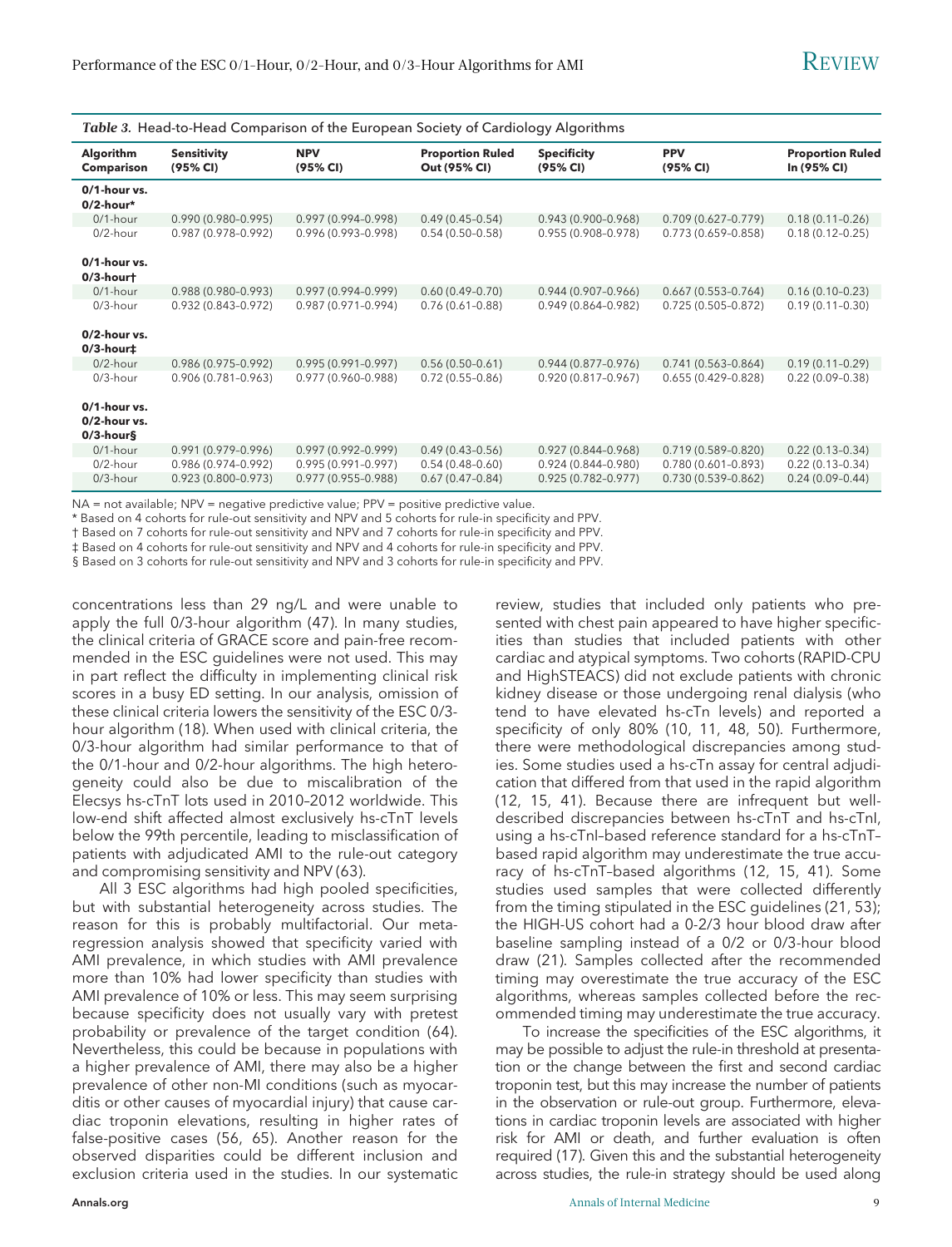| Table 3. Head-to-Head Comparison of the European Society of Cardiology Algorithms |  |  |  |  |  |  |
|-----------------------------------------------------------------------------------|--|--|--|--|--|--|
|-----------------------------------------------------------------------------------|--|--|--|--|--|--|

| Algorithm<br><b>Comparison</b>                      | <b>Sensitivity</b><br>(95% CI) | <b>NPV</b><br>(95% CI) | <b>Proportion Ruled</b><br>Out (95% CI) | <b>Specificity</b><br>(95% CI) | <b>PPV</b><br>(95% CI) | <b>Proportion Ruled</b><br>In (95% CI) |
|-----------------------------------------------------|--------------------------------|------------------------|-----------------------------------------|--------------------------------|------------------------|----------------------------------------|
| 0/1-hour vs.<br>$0/2$ -hour*                        |                                |                        |                                         |                                |                        |                                        |
| $0/1$ -hour                                         | $0.990(0.980 - 0.995)$         | $0.997(0.994 - 0.998)$ | $0.49(0.45 - 0.54)$                     | $0.943(0.900 - 0.968)$         | $0.709(0.627 - 0.779)$ | $0.18(0.11 - 0.26)$                    |
| $0/2$ -hour                                         | 0.987 (0.978-0.992)            | $0.996(0.993 - 0.998)$ | $0.54(0.50-0.58)$                       | $0.955(0.908 - 0.978)$         | $0.773(0.659 - 0.858)$ | $0.18(0.12 - 0.25)$                    |
| $0/1$ -hour vs.<br>$0/3$ -hourt                     |                                |                        |                                         |                                |                        |                                        |
| $0/1$ -hour                                         | $0.988(0.980 - 0.993)$         | $0.997(0.994 - 0.999)$ | $0.60(0.49-0.70)$                       | $0.944(0.907 - 0.966)$         | $0.667(0.553 - 0.764)$ | $0.16(0.10-0.23)$                      |
| $0/3$ -hour                                         | $0.932(0.843 - 0.972)$         | $0.987(0.971 - 0.994)$ | $0.76(0.61 - 0.88)$                     | $0.949(0.864 - 0.982)$         | $0.725(0.505 - 0.872)$ | $0.19(0.11 - 0.30)$                    |
| 0/2-hour vs.<br>$0/3$ -hour $\ddagger$              |                                |                        |                                         |                                |                        |                                        |
| $0/2$ -hour                                         | $0.986(0.975 - 0.992)$         | $0.995(0.991 - 0.997)$ | $0.56(0.50-0.61)$                       | $0.944(0.877 - 0.976)$         | $0.741(0.563 - 0.864)$ | $0.19(0.11 - 0.29)$                    |
| $0/3$ -hour                                         | $0.906(0.781 - 0.963)$         | 0.977 (0.960-0.988)    | $0.72(0.55 - 0.86)$                     | $0.920(0.817 - 0.967)$         | $0.655(0.429 - 0.828)$ | $0.22(0.09 - 0.38)$                    |
| 0/1-hour vs.<br>$0/2$ -hour vs.<br>$0/3$ -hour $\S$ |                                |                        |                                         |                                |                        |                                        |
| $0/1$ -hour                                         | $0.991(0.979 - 0.996)$         | $0.997(0.992 - 0.999)$ | $0.49(0.43 - 0.56)$                     | $0.927(0.844 - 0.968)$         | $0.719(0.589 - 0.820)$ | $0.22(0.13 - 0.34)$                    |
| $0/2$ -hour                                         | $0.986(0.974 - 0.992)$         | $0.995(0.991 - 0.997)$ | $0.54(0.48-0.60)$                       | $0.924(0.844 - 0.980)$         | $0.780(0.601 - 0.893)$ | $0.22(0.13 - 0.34)$                    |
| $0/3$ -hour                                         | $0.923(0.800 - 0.973)$         | $0.977(0.955 - 0.988)$ | $0.67(0.47-0.84)$                       | $0.925(0.782 - 0.977)$         | $0.730(0.539 - 0.862)$ | $0.24(0.09 - 0.44)$                    |

NA = not available; NPV = negative predictive value; PPV = positive predictive value.

\* Based on 4 cohorts for rule-out sensitivity and NPV and 5 cohorts for rule-in specificity and PPV.

† Based on 7 cohorts for rule-out sensitivity and NPV and 7 cohorts for rule-in specificity and PPV.

‡ Based on 4 cohorts for rule-out sensitivity and NPV and 4 cohorts for rule-in specificity and PPV.

§ Based on 3 cohorts for rule-out sensitivity and NPV and 3 cohorts for rule-in specificity and PPV.

concentrations less than 29 ng/L and were unable to apply the full 0/3-hour algorithm (47). In many studies, the clinical criteria of GRACE score and pain-free recommended in the ESC guidelines were not used. This may in part reflect the difficulty in implementing clinical risk scores in a busy ED setting. In our analysis, omission of these clinical criteria lowers the sensitivity of the ESC 0/3 hour algorithm (18). When used with clinical criteria, the 0/3-hour algorithm had similar performance to that of the 0/1-hour and 0/2-hour algorithms. The high heterogeneity could also be due to miscalibration of the Elecsys hs-cTnT lots used in 2010–2012 worldwide. This low-end shift affected almost exclusively hs-cTnT levels below the 99th percentile, leading to misclassification of patients with adjudicated AMI to the rule-out category and compromising sensitivity and NPV (63).

All 3 ESC algorithms had high pooled specificities, but with substantial heterogeneity across studies. The reason for this is probably multifactorial. Our metaregression analysis showed that specificity varied with AMI prevalence, in which studies with AMI prevalence more than 10% had lower specificity than studies with AMI prevalence of 10% or less. This may seem surprising because specificity does not usually vary with pretest probability or prevalence of the target condition (64). Nevertheless, this could be because in populations with a higher prevalence of AMI, there may also be a higher prevalence of other non-MI conditions (such as myocarditis or other causes of myocardial injury) that cause cardiac troponin elevations, resulting in higher rates of false-positive cases (56, 65). Another reason for the observed disparities could be different inclusion and exclusion criteria used in the studies. In our systematic review, studies that included only patients who presented with chest pain appeared to have higher specificities than studies that included patients with other cardiac and atypical symptoms. Two cohorts (RAPID-CPU and HighSTEACS) did not exclude patients with chronic kidney disease or those undergoing renal dialysis (who tend to have elevated hs-cTn levels) and reported a specificity of only 80% (10, 11, 48, 50). Furthermore, there were methodological discrepancies among studies. Some studies used a hs-cTn assay for central adjudication that differed from that used in the rapid algorithm (12, 15, 41). Because there are infrequent but welldescribed discrepancies between hs-cTnT and hs-cTnI, using a hs-cTnI–based reference standard for a hs-cTnT– based rapid algorithm may underestimate the true accuracy of hs-cTnT–based algorithms (12, 15, 41). Some studies used samples that were collected differently from the timing stipulated in the ESC guidelines (21, 53); the HIGH-US cohort had a 0-2/3 hour blood draw after baseline sampling instead of a 0/2 or 0/3-hour blood draw (21). Samples collected after the recommended timing may overestimate the true accuracy of the ESC algorithms, whereas samples collected before the recommended timing may underestimate the true accuracy.

To increase the specificities of the ESC algorithms, it may be possible to adjust the rule-in threshold at presentation or the change between the first and second cardiac troponin test, but this may increase the number of patients in the observation or rule-out group. Furthermore, elevations in cardiac troponin levels are associated with higher risk for AMI or death, and further evaluation is often required (17). Given this and the substantial heterogeneity across studies, the rule-in strategy should be used along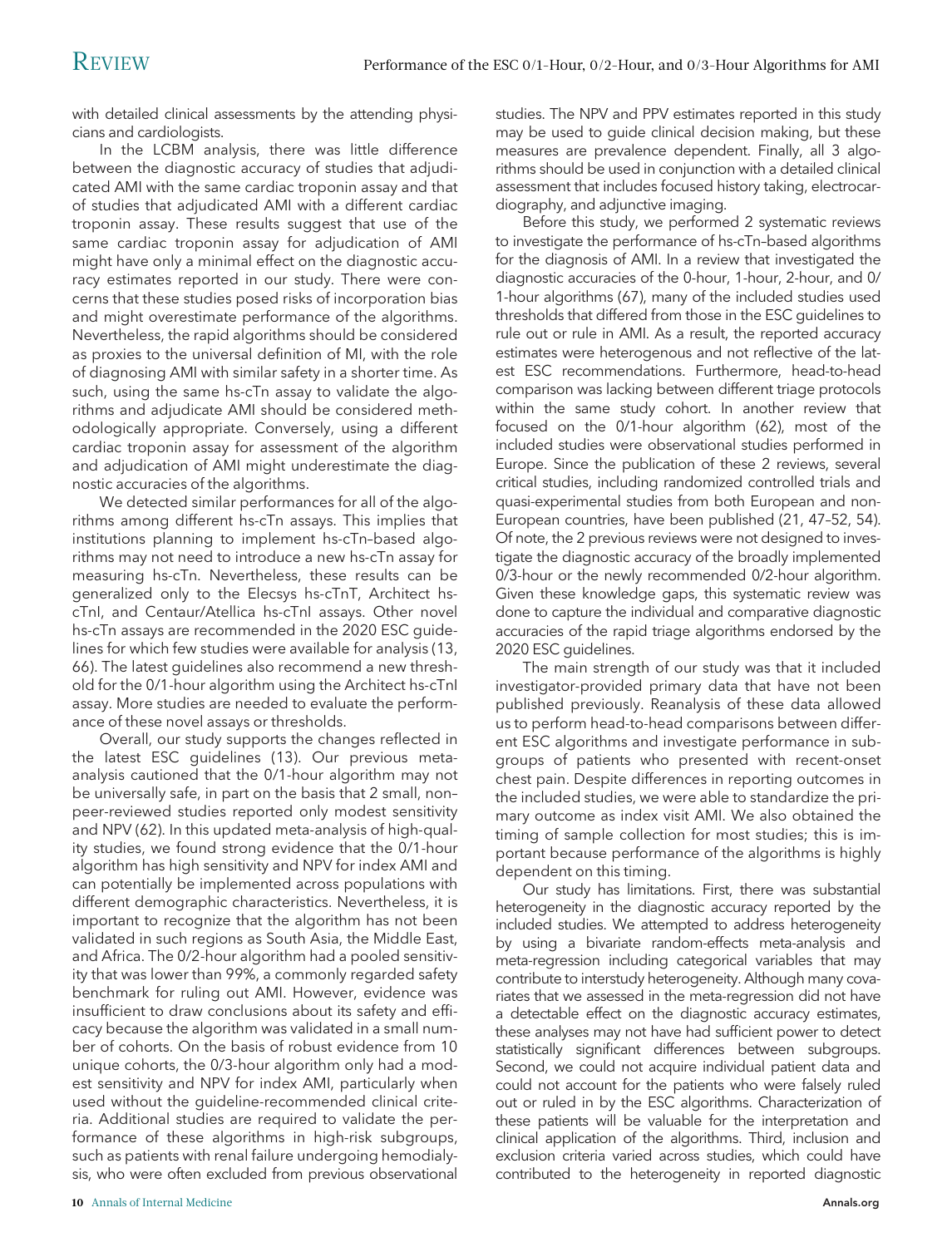with detailed clinical assessments by the attending physicians and cardiologists.

In the LCBM analysis, there was little difference between the diagnostic accuracy of studies that adjudicated AMI with the same cardiac troponin assay and that of studies that adjudicated AMI with a different cardiac troponin assay. These results suggest that use of the same cardiac troponin assay for adjudication of AMI might have only a minimal effect on the diagnostic accuracy estimates reported in our study. There were concerns that these studies posed risks of incorporation bias and might overestimate performance of the algorithms. Nevertheless, the rapid algorithms should be considered as proxies to the universal definition of MI, with the role of diagnosing AMI with similar safety in a shorter time. As such, using the same hs-cTn assay to validate the algorithms and adjudicate AMI should be considered methodologically appropriate. Conversely, using a different cardiac troponin assay for assessment of the algorithm and adjudication of AMI might underestimate the diagnostic accuracies of the algorithms.

We detected similar performances for all of the algorithms among different hs-cTn assays. This implies that institutions planning to implement hs-cTn–based algorithms may not need to introduce a new hs-cTn assay for measuring hs-cTn. Nevertheless, these results can be generalized only to the Elecsys hs-cTnT, Architect hscTnI, and Centaur/Atellica hs-cTnI assays. Other novel hs-cTn assays are recommended in the 2020 ESC guidelines for which few studies were available for analysis (13, 66). The latest guidelines also recommend a new threshold for the 0/1-hour algorithm using the Architect hs-cTnI assay. More studies are needed to evaluate the performance of these novel assays or thresholds.

Overall, our study supports the changes reflected in the latest ESC guidelines (13). Our previous metaanalysis cautioned that the 0/1-hour algorithm may not be universally safe, in part on the basis that 2 small, non– peer-reviewed studies reported only modest sensitivity and NPV (62). In this updated meta-analysis of high-quality studies, we found strong evidence that the 0/1-hour algorithm has high sensitivity and NPV for index AMI and can potentially be implemented across populations with different demographic characteristics. Nevertheless, it is important to recognize that the algorithm has not been validated in such regions as South Asia, the Middle East, and Africa. The 0/2-hour algorithm had a pooled sensitivity that was lower than 99%, a commonly regarded safety benchmark for ruling out AMI. However, evidence was insufficient to draw conclusions about its safety and efficacy because the algorithm was validated in a small number of cohorts. On the basis of robust evidence from 10 unique cohorts, the 0/3-hour algorithm only had a modest sensitivity and NPV for index AMI, particularly when used without the guideline-recommended clinical criteria. Additional studies are required to validate the performance of these algorithms in high-risk subgroups, such as patients with renal failure undergoing hemodialysis, who were often excluded from previous observational

studies. The NPV and PPV estimates reported in this study may be used to guide clinical decision making, but these measures are prevalence dependent. Finally, all 3 algorithms should be used in conjunction with a detailed clinical assessment that includes focused history taking, electrocardiography, and adjunctive imaging.

Before this study, we performed 2 systematic reviews to investigate the performance of hs-cTn–based algorithms for the diagnosis of AMI. In a review that investigated the diagnostic accuracies of the 0-hour, 1-hour, 2-hour, and 0/ 1-hour algorithms (67), many of the included studies used thresholds that differed from those in the ESC guidelines to rule out or rule in AMI. As a result, the reported accuracy estimates were heterogenous and not reflective of the latest ESC recommendations. Furthermore, head-to-head comparison was lacking between different triage protocols within the same study cohort. In another review that focused on the 0/1-hour algorithm (62), most of the included studies were observational studies performed in Europe. Since the publication of these 2 reviews, several critical studies, including randomized controlled trials and quasi-experimental studies from both European and non-European countries, have been published (21, 47–52, 54). Of note, the 2 previous reviews were not designed to investigate the diagnostic accuracy of the broadly implemented 0/3-hour or the newly recommended 0/2-hour algorithm. Given these knowledge gaps, this systematic review was done to capture the individual and comparative diagnostic accuracies of the rapid triage algorithms endorsed by the 2020 ESC guidelines.

The main strength of our study was that it included investigator-provided primary data that have not been published previously. Reanalysis of these data allowed us to perform head-to-head comparisons between different ESC algorithms and investigate performance in subgroups of patients who presented with recent-onset chest pain. Despite differences in reporting outcomes in the included studies, we were able to standardize the primary outcome as index visit AMI. We also obtained the timing of sample collection for most studies; this is important because performance of the algorithms is highly dependent on this timing.

Our study has limitations. First, there was substantial heterogeneity in the diagnostic accuracy reported by the included studies. We attempted to address heterogeneity by using a bivariate random-effects meta-analysis and meta-regression including categorical variables that may contribute to interstudy heterogeneity. Although many covariates that we assessed in the meta-regression did not have a detectable effect on the diagnostic accuracy estimates, these analyses may not have had sufficient power to detect statistically significant differences between subgroups. Second, we could not acquire individual patient data and could not account for the patients who were falsely ruled out or ruled in by the ESC algorithms. Characterization of these patients will be valuable for the interpretation and clinical application of the algorithms. Third, inclusion and exclusion criteria varied across studies, which could have contributed to the heterogeneity in reported diagnostic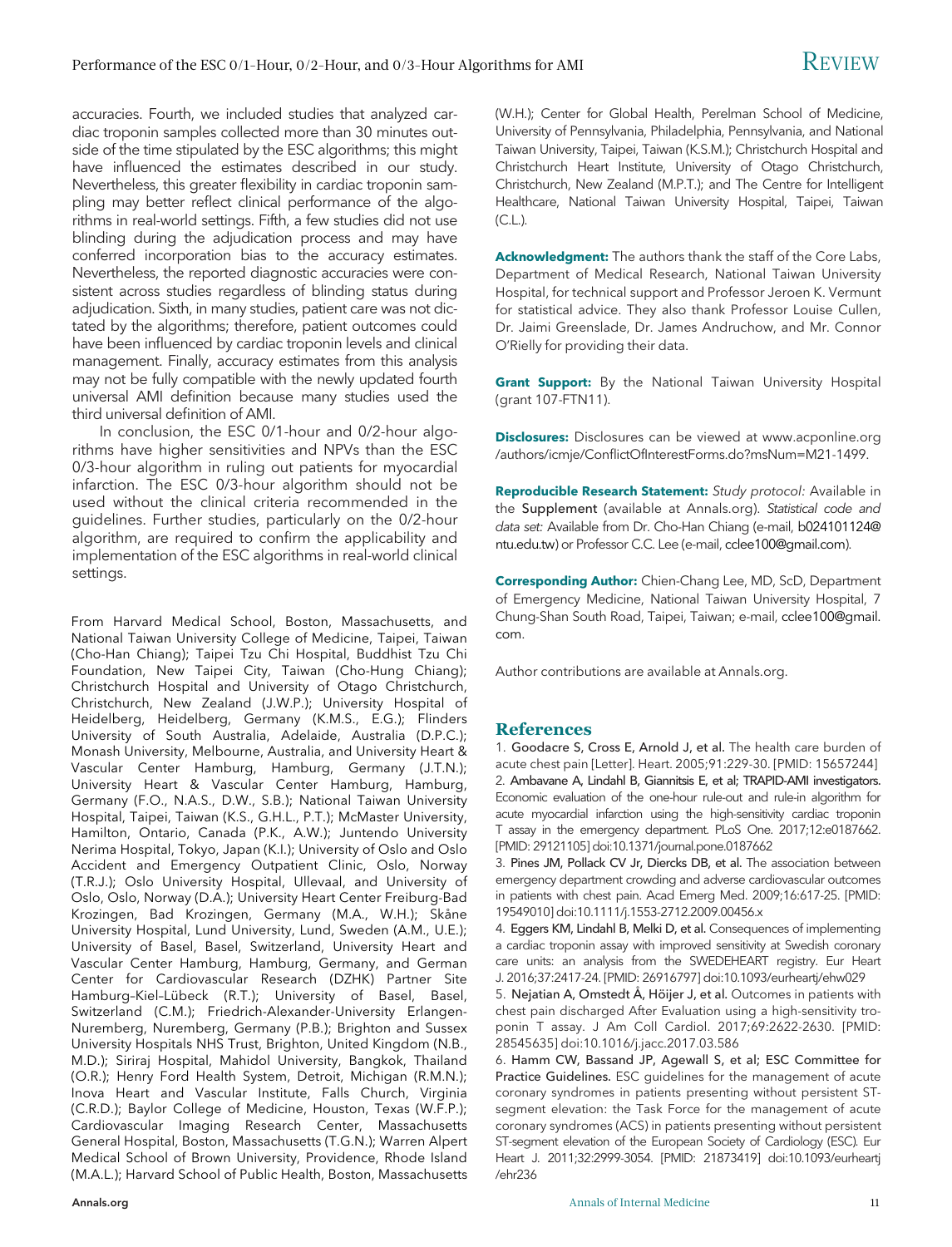accuracies. Fourth, we included studies that analyzed cardiac troponin samples collected more than 30 minutes outside of the time stipulated by the ESC algorithms; this might have influenced the estimates described in our study. Nevertheless, this greater flexibility in cardiac troponin sampling may better reflect clinical performance of the algorithms in real-world settings. Fifth, a few studies did not use blinding during the adjudication process and may have conferred incorporation bias to the accuracy estimates. Nevertheless, the reported diagnostic accuracies were consistent across studies regardless of blinding status during adjudication. Sixth, in many studies, patient care was not dictated by the algorithms; therefore, patient outcomes could have been influenced by cardiac troponin levels and clinical management. Finally, accuracy estimates from this analysis may not be fully compatible with the newly updated fourth universal AMI definition because many studies used the third universal definition of AMI.

In conclusion, the ESC 0/1-hour and 0/2-hour algorithms have higher sensitivities and NPVs than the ESC 0/3-hour algorithm in ruling out patients for myocardial infarction. The ESC 0/3-hour algorithm should not be used without the clinical criteria recommended in the guidelines. Further studies, particularly on the 0/2-hour algorithm, are required to confirm the applicability and implementation of the ESC algorithms in real-world clinical settings.

From Harvard Medical School, Boston, Massachusetts, and National Taiwan University College of Medicine, Taipei, Taiwan (Cho-Han Chiang); Taipei Tzu Chi Hospital, Buddhist Tzu Chi Foundation, New Taipei City, Taiwan (Cho-Hung Chiang); Christchurch Hospital and University of Otago Christchurch, Christchurch, New Zealand (J.W.P.); University Hospital of Heidelberg, Heidelberg, Germany (K.M.S., E.G.); Flinders University of South Australia, Adelaide, Australia (D.P.C.); Monash University, Melbourne, Australia, and University Heart & Vascular Center Hamburg, Hamburg, Germany (J.T.N.); University Heart & Vascular Center Hamburg, Hamburg, Germany (F.O., N.A.S., D.W., S.B.); National Taiwan University Hospital, Taipei, Taiwan (K.S., G.H.L., P.T.); McMaster University, Hamilton, Ontario, Canada (P.K., A.W.); Juntendo University Nerima Hospital, Tokyo, Japan (K.I.); University of Oslo and Oslo Accident and Emergency Outpatient Clinic, Oslo, Norway (T.R.J.); Oslo University Hospital, Ullevaal, and University of Oslo, Oslo, Norway (D.A.); University Heart Center Freiburg-Bad Krozingen, Bad Krozingen, Germany (M.A., W.H.); Skåne University Hospital, Lund University, Lund, Sweden (A.M., U.E.); University of Basel, Basel, Switzerland, University Heart and Vascular Center Hamburg, Hamburg, Germany, and German Center for Cardiovascular Research (DZHK) Partner Site Hamburg–Kiel–Lübeck (R.T.); University of Basel, Basel, Switzerland (C.M.); Friedrich-Alexander-University Erlangen-Nuremberg, Nuremberg, Germany (P.B.); Brighton and Sussex University Hospitals NHS Trust, Brighton, United Kingdom (N.B., M.D.); Siriraj Hospital, Mahidol University, Bangkok, Thailand (O.R.); Henry Ford Health System, Detroit, Michigan (R.M.N.); Inova Heart and Vascular Institute, Falls Church, Virginia (C.R.D.); Baylor College of Medicine, Houston, Texas (W.F.P.); Cardiovascular Imaging Research Center, Massachusetts General Hospital, Boston, Massachusetts (T.G.N.); Warren Alpert Medical School of Brown University, Providence, Rhode Island (M.A.L.); Harvard School of Public Health, Boston, Massachusetts (W.H.); Center for Global Health, Perelman School of Medicine, University of Pennsylvania, Philadelphia, Pennsylvania, and National Taiwan University, Taipei, Taiwan (K.S.M.); Christchurch Hospital and Christchurch Heart Institute, University of Otago Christchurch, Christchurch, New Zealand (M.P.T.); and The Centre for Intelligent Healthcare, National Taiwan University Hospital, Taipei, Taiwan  $(C.L.).$ 

Acknowledgment: The authors thank the staff of the Core Labs, Department of Medical Research, National Taiwan University Hospital, for technical support and Professor Jeroen K. Vermunt for statistical advice. They also thank Professor Louise Cullen, Dr. Jaimi Greenslade, Dr. James Andruchow, and Mr. Connor O'Rielly for providing their data.

Grant Support: By the National Taiwan University Hospital (grant 107-FTN11).

**Disclosures:** Disclosures can be viewed at [www.acponline.org](http://www.acponline.org/authors/icmje/ConflictOfInterestForms.do?msNum=M21-1499) /authors/icmje/Confl[ictOfInterestForms.do?msNum=M21-1499](http://www.acponline.org/authors/icmje/ConflictOfInterestForms.do?msNum=M21-1499).

Reproducible Research Statement: Study protocol: Available in the Supplement (available at [Annals.org\)](http://www.annals.org). Statistical code and data set: Available from Dr. Cho-Han Chiang (e-mail, [b024101124@](mailto:b024101124@ntu.edu.tw) [ntu.edu.tw](mailto:b024101124@ntu.edu.tw)) or Professor C.C. Lee (e-mail, [cclee100@gmail.com](mailto:cclee100@gmail.com)).

Corresponding Author: Chien-Chang Lee, MD, ScD, Department of Emergency Medicine, National Taiwan University Hospital, 7 Chung-Shan South Road, Taipei, Taiwan; e-mail, [cclee100@gmail.](mailto:cclee100@gmail.com) [com.](mailto:cclee100@gmail.com)

Author contributions are available at [Annals.org.](http://www.annals.org)

#### **References**

1. Goodacre S, Cross E, Arnold J, et al. The health care burden of acute chest pain [Letter]. Heart. 2005;91:229-30. [PMID: 15657244] 2. Ambavane A, Lindahl B, Giannitsis E, et al; TRAPID-AMI investigators. Economic evaluation of the one-hour rule-out and rule-in algorithm for acute myocardial infarction using the high-sensitivity cardiac troponin T assay in the emergency department. PLoS One. 2017;12:e0187662. [PMID: 29121105] doi[:10.1371/journal.pone.0187662](https://doi.org/10.1371/journal.pone.0187662)

3. Pines JM, Pollack CV Jr, Diercks DB, et al. The association between emergency department crowding and adverse cardiovascular outcomes in patients with chest pain. Acad Emerg Med. 2009;16:617-25. [PMID: 19549010] doi[:10.1111/j.1553-2712.2009.00456.x](https://doi.org/10.1111/j.1553-2712.2009.00456.x)

4. Eggers KM, Lindahl B, Melki D, et al. Consequences of implementing a cardiac troponin assay with improved sensitivity at Swedish coronary care units: an analysis from the SWEDEHEART registry. Eur Heart J. 2016;37:2417-24. [PMID: 26916797] doi:[10.1093/eurheartj/ehw029](https://doi.org/10.1093/eurheartj/ehw029)

5. Nejatian A, Omstedt Å, Höijer J, et al. Outcomes in patients with chest pain discharged After Evaluation using a high-sensitivity troponin T assay. J Am Coll Cardiol. 2017;69:2622-2630. [PMID: 28545635] doi[:10.1016/j.jacc.2017.03.586](https://doi.org/10.1016/j.jacc.2017.03.586)

6. Hamm CW, Bassand JP, Agewall S, et al; ESC Committee for Practice Guidelines. ESC guidelines for the management of acute coronary syndromes in patients presenting without persistent STsegment elevation: the Task Force for the management of acute coronary syndromes (ACS) in patients presenting without persistent ST-segment elevation of the European Society of Cardiology (ESC). Eur Heart J. 2011;32:2999-3054. [PMID: 21873419] doi[:10.1093/eurheartj](https://doi.org/10.1093/eurheartj/ehr236) [/ehr236](https://doi.org/10.1093/eurheartj/ehr236)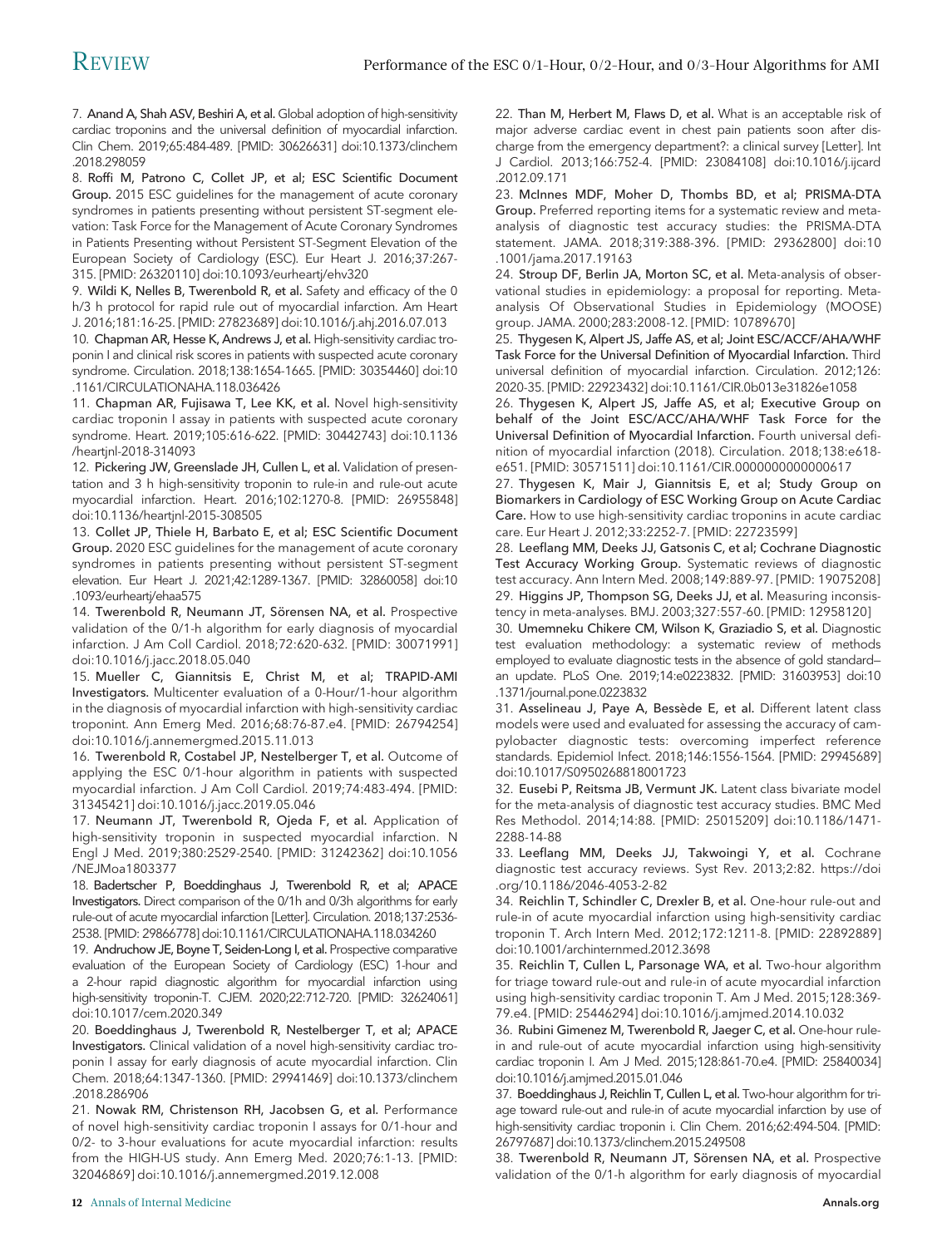7. Anand A, Shah ASV, Beshiri A, et al. Global adoption of high-sensitivity cardiac troponins and the universal definition of myocardial infarction. Clin Chem. 2019;65:484-489. [PMID: 30626631] doi[:10.1373/clinchem](https://doi.org/10.1373/clinchem.2018.298059) [.2018.298059](https://doi.org/10.1373/clinchem.2018.298059)

8. Roffi M, Patrono C, Collet JP, et al; ESC Scientific Document Group. 2015 ESC guidelines for the management of acute coronary syndromes in patients presenting without persistent ST-segment elevation: Task Force for the Management of Acute Coronary Syndromes in Patients Presenting without Persistent ST-Segment Elevation of the European Society of Cardiology (ESC). Eur Heart J. 2016;37:267- 315. [PMID: 26320110] doi:[10.1093/eurheartj/ehv320](https://doi.org/10.1093/eurheartj/ehv320)

9. Wildi K, Nelles B, Twerenbold R, et al. Safety and efficacy of the 0 h/3 h protocol for rapid rule out of myocardial infarction. Am Heart J. 2016;181:16-25. [PMID: 27823689] doi[:10.1016/j.ahj.2016.07.013](https://doi.org/10.1016/j.ahj.2016.07.013)

10. Chapman AR, Hesse K, Andrews J, et al. High-sensitivity cardiac troponin I and clinical risk scores in patients with suspected acute coronary syndrome. Circulation. 2018;138:1654-1665. [PMID: 30354460] doi[:10](https://doi.org/10.1161/CIRCULATIONAHA.118.036426) [.1161/CIRCULATIONAHA.118.036426](https://doi.org/10.1161/CIRCULATIONAHA.118.036426)

11. Chapman AR, Fujisawa T, Lee KK, et al. Novel high-sensitivity cardiac troponin I assay in patients with suspected acute coronary syndrome. Heart. 2019;105:616-622. [PMID: 30442743] doi[:10.1136](https://doi.org/10.1136/heartjnl-2018-314093) [/heartjnl-2018-314093](https://doi.org/10.1136/heartjnl-2018-314093)

12. Pickering JW, Greenslade JH, Cullen L, et al. Validation of presentation and 3 h high-sensitivity troponin to rule-in and rule-out acute myocardial infarction. Heart. 2016;102:1270-8. [PMID: 26955848] doi[:10.1136/heartjnl-2015-308505](https://doi.org/10.1136/heartjnl-2015-308505)

13. Collet JP, Thiele H, Barbato E, et al; ESC Scientific Document Group. 2020 ESC guidelines for the management of acute coronary syndromes in patients presenting without persistent ST-segment elevation. Eur Heart J. 2021;42:1289-1367. [PMID: 32860058] doi[:10](https://doi.org/10.1093/eurheartj/ehaa575) [.1093/eurheartj/ehaa575](https://doi.org/10.1093/eurheartj/ehaa575)

14. Twerenbold R, Neumann JT, Sörensen NA, et al. Prospective validation of the 0/1-h algorithm for early diagnosis of myocardial infarction. J Am Coll Cardiol. 2018;72:620-632. [PMID: 30071991] doi[:10.1016/j.jacc.2018.05.040](https://doi.org/10.1016/j.jacc.2018.05.040)

15. Mueller C, Giannitsis E, Christ M, et al; TRAPID-AMI Investigators. Multicenter evaluation of a 0-Hour/1-hour algorithm in the diagnosis of myocardial infarction with high-sensitivity cardiac troponint. Ann Emerg Med. 2016;68:76-87.e4. [PMID: 26794254] doi[:10.1016/j.annemergmed.2015.11.013](https://doi.org/10.1016/j.annemergmed.2015.11.013)

16. Twerenbold R, Costabel JP, Nestelberger T, et al. Outcome of applying the ESC 0/1-hour algorithm in patients with suspected myocardial infarction. J Am Coll Cardiol. 2019;74:483-494. [PMID: 31345421] doi:[10.1016/j.jacc.2019.05.046](https://doi.org/10.1016/j.jacc.2019.05.046)

17. Neumann JT, Twerenbold R, Ojeda F, et al. Application of high-sensitivity troponin in suspected myocardial infarction. N Engl J Med. 2019;380:2529-2540. [PMID: 31242362] doi[:10.1056](https://doi.org/10.1056/NEJMoa1803377) [/NEJMoa1803377](https://doi.org/10.1056/NEJMoa1803377)

18. Badertscher P, Boeddinghaus J, Twerenbold R, et al; APACE Investigators. Direct comparison of the 0/1h and 0/3h algorithms for early rule-out of acute myocardial infarction [Letter]. Circulation. 2018;137:2536- 2538. [PMID: 29866778] doi:[10.1161/CIRCULATIONAHA.118.034260](https://doi.org/10.1161/CIRCULATIONAHA.118.034260)

19. Andruchow JE, Boyne T, Seiden-Long I, et al. Prospective comparative evaluation of the European Society of Cardiology (ESC) 1-hour and a 2-hour rapid diagnostic algorithm for myocardial infarction using high-sensitivity troponin-T. CJEM. 2020;22:712-720. [PMID: 32624061] doi[:10.1017/cem.2020.349](https://doi.org/10.1017/cem.2020.349)

20. Boeddinghaus J, Twerenbold R, Nestelberger T, et al; APACE Investigators. Clinical validation of a novel high-sensitivity cardiac troponin I assay for early diagnosis of acute myocardial infarction. Clin Chem. 2018;64:1347-1360. [PMID: 29941469] doi[:10.1373/clinchem](https://doi.org/10.1373/clinchem.2018.286906) [.2018.286906](https://doi.org/10.1373/clinchem.2018.286906)

21. Nowak RM, Christenson RH, Jacobsen G, et al. Performance of novel high-sensitivity cardiac troponin I assays for 0/1-hour and 0/2- to 3-hour evaluations for acute myocardial infarction: results from the HIGH-US study. Ann Emerg Med. 2020;76:1-13. [PMID: 32046869] doi:[10.1016/j.annemergmed.2019.12.008](https://doi.org/10.1016/j.annemergmed.2019.12.008)

22. Than M, Herbert M, Flaws D, et al. What is an acceptable risk of major adverse cardiac event in chest pain patients soon after discharge from the emergency department?: a clinical survey [Letter]. Int J Cardiol. 2013;166:752-4. [PMID: 23084108] doi[:10.1016/j.ijcard](https://doi.org/10.1016/j.ijcard.2012.09.171) [.2012.09.171](https://doi.org/10.1016/j.ijcard.2012.09.171)

23. McInnes MDF, Moher D, Thombs BD, et al; PRISMA-DTA Group. Preferred reporting items for a systematic review and metaanalysis of diagnostic test accuracy studies: the PRISMA-DTA statement. JAMA. 2018;319:388-396. [PMID: 29362800] doi:[10](https://doi.org/10.1001/jama.2017.19163) [.1001/jama.2017.19163](https://doi.org/10.1001/jama.2017.19163)

24. Stroup DF, Berlin JA, Morton SC, et al. Meta-analysis of observational studies in epidemiology: a proposal for reporting. Metaanalysis Of Observational Studies in Epidemiology (MOOSE) group. JAMA. 2000;283:2008-12. [PMID: 10789670]

25. Thygesen K, Alpert JS, Jaffe AS, et al; Joint ESC/ACCF/AHA/WHF Task Force for the Universal Definition of Myocardial Infarction. Third universal definition of myocardial infarction. Circulation. 2012;126: 2020-35. [PMID: 22923432] doi[:10.1161/CIR.0b013e31826e1058](https://doi.org/10.1161/CIR.0b013e31826e1058)

26. Thygesen K, Alpert JS, Jaffe AS, et al; Executive Group on behalf of the Joint ESC/ACC/AHA/WHF Task Force for the Universal Definition of Myocardial Infarction. Fourth universal definition of myocardial infarction (2018). Circulation. 2018;138:e618 e651. [PMID: 30571511] doi[:10.1161/CIR.0000000000000617](https://doi.org/10.1161/CIR.0000000000000617)

27. Thygesen K, Mair J, Giannitsis E, et al; Study Group on Biomarkers in Cardiology of ESC Working Group on Acute Cardiac Care. How to use high-sensitivity cardiac troponins in acute cardiac care. Eur Heart J. 2012;33:2252-7. [PMID: 22723599]

28. Leeflang MM, Deeks JJ, Gatsonis C, et al; Cochrane Diagnostic Test Accuracy Working Group. Systematic reviews of diagnostic test accuracy. Ann Intern Med. 2008;149:889-97. [PMID: 19075208] 29. Higgins JP, Thompson SG, Deeks JJ, et al. Measuring inconsistency in meta-analyses. BMJ. 2003;327:557-60. [PMID: 12958120]

30. Umemneku Chikere CM, Wilson K, Graziadio S, et al. Diagnostic test evaluation methodology: a systematic review of methods employed to evaluate diagnostic tests in the absence of gold standard an update. PLoS One. 2019;14:e0223832. [PMID: 31603953] doi[:10](https://doi.org/10.1371/journal.pone.0223832) [.1371/journal.pone.0223832](https://doi.org/10.1371/journal.pone.0223832)

31. Asselineau J, Paye A, Bessède E, et al. Different latent class models were used and evaluated for assessing the accuracy of campylobacter diagnostic tests: overcoming imperfect reference standards. Epidemiol Infect. 2018;146:1556-1564. [PMID: 29945689] doi:[10.1017/S0950268818001723](https://doi.org/10.1017/S0950268818001723)

32. Eusebi P, Reitsma JB, Vermunt JK. Latent class bivariate model for the meta-analysis of diagnostic test accuracy studies. BMC Med Res Methodol. 2014;14:88. [PMID: 25015209] doi[:10.1186/1471-](https://doi.org/10.1186/1471-2288-14-88) [2288-14-88](https://doi.org/10.1186/1471-2288-14-88)

33. Leeflang MM, Deeks JJ, Takwoingi Y, et al. Cochrane diagnostic test accuracy reviews. Syst Rev. 2013;2:82. [https://doi](https://doi.org/10.1186/2046-4053-2-82) [.org/10.1186/2046-4053-2-82](https://doi.org/10.1186/2046-4053-2-82)

34. Reichlin T, Schindler C, Drexler B, et al. One-hour rule-out and rule-in of acute myocardial infarction using high-sensitivity cardiac troponin T. Arch Intern Med. 2012;172:1211-8. [PMID: 22892889] doi:[10.1001/archinternmed.2012.3698](https://doi.org/10.1001/archinternmed.2012.3698)

35. Reichlin T, Cullen L, Parsonage WA, et al. Two-hour algorithm for triage toward rule-out and rule-in of acute myocardial infarction using high-sensitivity cardiac troponin T. Am J Med. 2015;128:369- 79.e4. [PMID: 25446294] doi[:10.1016/j.amjmed.2014.10.032](https://doi.org/10.1016/j.amjmed.2014.10.032)

36. Rubini Gimenez M, Twerenbold R, Jaeger C, et al. One-hour rulein and rule-out of acute myocardial infarction using high-sensitivity cardiac troponin I. Am J Med. 2015;128:861-70.e4. [PMID: 25840034] doi[:10.1016/j.amjmed.2015.01.046](https://doi.org/10.1016/j.amjmed.2015.01.046)

37. Boeddinghaus J, Reichlin T, Cullen L, et al. Two-hour algorithm for triage toward rule-out and rule-in of acute myocardial infarction by use of high-sensitivity cardiac troponin i. Clin Chem. 2016;62:494-504. [PMID: 26797687] doi[:10.1373/clinchem.2015.249508](https://doi.org/10.1373/clinchem.2015.249508)

38. Twerenbold R, Neumann JT, Sörensen NA, et al. Prospective validation of the 0/1-h algorithm for early diagnosis of myocardial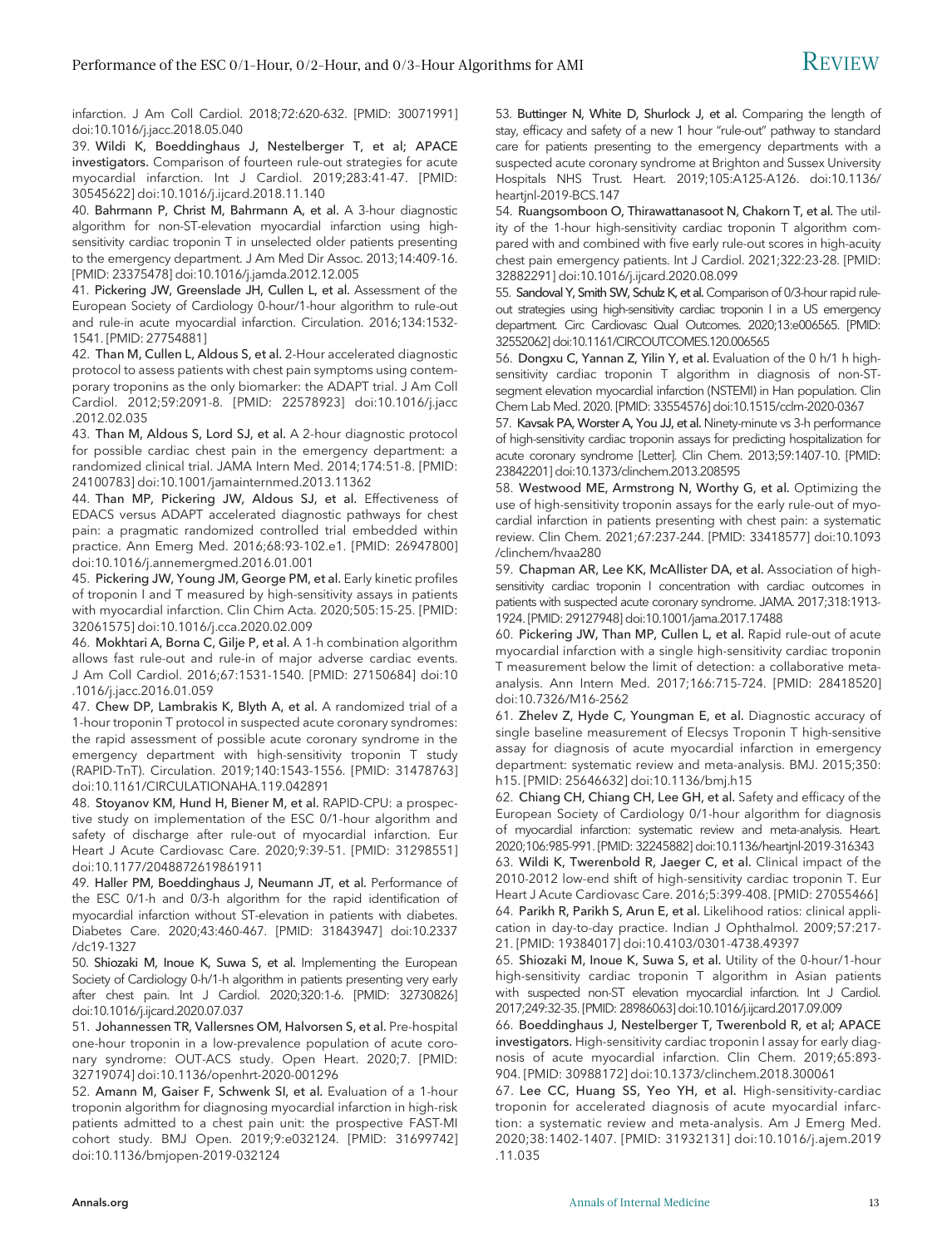infarction. J Am Coll Cardiol. 2018;72:620-632. [PMID: 30071991] doi[:10.1016/j.jacc.2018.05.040](https://doi.org/10.1016/j.jacc.2018.05.040)

39. Wildi K, Boeddinghaus J, Nestelberger T, et al; APACE investigators. Comparison of fourteen rule-out strategies for acute myocardial infarction. Int J Cardiol. 2019;283:41-47. [PMID: 30545622] doi:[10.1016/j.ijcard.2018.11.140](https://doi.org/10.1016/j.ijcard.2018.11.140)

40. Bahrmann P, Christ M, Bahrmann A, et al. A 3-hour diagnostic algorithm for non-ST-elevation myocardial infarction using highsensitivity cardiac troponin T in unselected older patients presenting to the emergency department. J Am Med Dir Assoc. 2013;14:409-16. [PMID: 23375478] doi[:10.1016/j.jamda.2012.12.005](https://doi.org/10.1016/j.jamda.2012.12.005)

41. Pickering JW, Greenslade JH, Cullen L, et al. Assessment of the European Society of Cardiology 0-hour/1-hour algorithm to rule-out and rule-in acute myocardial infarction. Circulation. 2016;134:1532- 1541. [PMID: 27754881]

42. Than M, Cullen L, Aldous S, et al. 2-Hour accelerated diagnostic protocol to assess patients with chest pain symptoms using contemporary troponins as the only biomarker: the ADAPT trial. J Am Coll Cardiol. 2012;59:2091-8. [PMID: 22578923] doi:[10.1016/j.jacc](https://doi.org/10.1016/j.jacc.2012.02.035) [.2012.02.035](https://doi.org/10.1016/j.jacc.2012.02.035)

43. Than M, Aldous S, Lord SJ, et al. A 2-hour diagnostic protocol for possible cardiac chest pain in the emergency department: a randomized clinical trial. JAMA Intern Med. 2014;174:51-8. [PMID: 24100783] doi:[10.1001/jamainternmed.2013.11362](https://doi.org/10.1001/jamainternmed.2013.11362)

44. Than MP, Pickering JW, Aldous SJ, et al. Effectiveness of EDACS versus ADAPT accelerated diagnostic pathways for chest pain: a pragmatic randomized controlled trial embedded within practice. Ann Emerg Med. 2016;68:93-102.e1. [PMID: 26947800] doi[:10.1016/j.annemergmed.2016.01.001](https://doi.org/10.1016/j.annemergmed.2016.01.001)

45. Pickering JW, Young JM, George PM, et al. Early kinetic profiles of troponin I and T measured by high-sensitivity assays in patients with myocardial infarction. Clin Chim Acta. 2020;505:15-25. [PMID: 32061575] doi:[10.1016/j.cca.2020.02.009](https://doi.org/10.1016/j.cca.2020.02.009)

46. Mokhtari A, Borna C, Gilje P, et al. A 1-h combination algorithm allows fast rule-out and rule-in of major adverse cardiac events. J Am Coll Cardiol. 2016;67:1531-1540. [PMID: 27150684] doi:[10](https://doi.org/10.1016/j.jacc.2016.01.059) [.1016/j.jacc.2016.01.059](https://doi.org/10.1016/j.jacc.2016.01.059)

47. Chew DP, Lambrakis K, Blyth A, et al. A randomized trial of a 1-hour troponin T protocol in suspected acute coronary syndromes: the rapid assessment of possible acute coronary syndrome in the emergency department with high-sensitivity troponin T study (RAPID-TnT). Circulation. 2019;140:1543-1556. [PMID: 31478763] doi[:10.1161/CIRCULATIONAHA.119.042891](https://doi.org/10.1161/CIRCULATIONAHA.119.042891)

48. Stoyanov KM, Hund H, Biener M, et al. RAPID-CPU: a prospective study on implementation of the ESC 0/1-hour algorithm and safety of discharge after rule-out of myocardial infarction. Eur Heart J Acute Cardiovasc Care. 2020;9:39-51. [PMID: 31298551] doi[:10.1177/2048872619861911](https://doi.org/10.1177/2048872619861911)

49. Haller PM, Boeddinghaus J, Neumann JT, et al. Performance of the ESC 0/1-h and 0/3-h algorithm for the rapid identification of myocardial infarction without ST-elevation in patients with diabetes. Diabetes Care. 2020;43:460-467. [PMID: 31843947] doi[:10.2337](https://doi.org/10.2337/dc19-1327) [/dc19-1327](https://doi.org/10.2337/dc19-1327)

50. Shiozaki M, Inoue K, Suwa S, et al. Implementing the European Society of Cardiology 0-h/1-h algorithm in patients presenting very early after chest pain. Int J Cardiol. 2020;320:1-6. [PMID: 32730826] doi[:10.1016/j.ijcard.2020.07.037](https://doi.org/10.1016/j.ijcard.2020.07.037)

51. Johannessen TR, Vallersnes OM, Halvorsen S, et al. Pre-hospital one-hour troponin in a low-prevalence population of acute coronary syndrome: OUT-ACS study. Open Heart. 2020;7. [PMID: 32719074] doi:[10.1136/openhrt-2020-001296](https://doi.org/10.1136/openhrt-2020-001296)

52. Amann M, Gaiser F, Schwenk SI, et al. Evaluation of a 1-hour troponin algorithm for diagnosing myocardial infarction in high-risk patients admitted to a chest pain unit: the prospective FAST-MI cohort study. BMJ Open. 2019;9:e032124. [PMID: 31699742] doi[:10.1136/bmjopen-2019-032124](https://doi.org/10.1136/bmjopen-2019-032124)

53. Buttinger N, White D, Shurlock J, et al. Comparing the length of stay, efficacy and safety of a new 1 hour "rule-out" pathway to standard care for patients presenting to the emergency departments with a suspected acute coronary syndrome at Brighton and Sussex University Hospitals NHS Trust. Heart. 2019;105:A125-A126. doi:10.1136/ heartjnl-2019-BCS.147

54. Ruangsomboon O, Thirawattanasoot N, Chakorn T, et al. The utility of the 1-hour high-sensitivity cardiac troponin T algorithm compared with and combined with five early rule-out scores in high-acuity chest pain emergency patients. Int J Cardiol. 2021;322:23-28. [PMID: 32882291] doi[:10.1016/j.ijcard.2020.08.099](https://doi.org/10.1016/j.ijcard.2020.08.099)

55. Sandoval Y, Smith SW, Schulz K, et al. Comparison of 0/3-hour rapid ruleout strategies using high-sensitivity cardiac troponin I in a US emergency department. Circ Cardiovasc Qual Outcomes. 2020;13:e006565. [PMID: 32552062] doi[:10.1161/CIRCOUTCOMES.120.006565](https://doi.org/10.1161/CIRCOUTCOMES.120.006565)

56. Dongxu C, Yannan Z, Yilin Y, et al. Evaluation of the 0 h/1 h highsensitivity cardiac troponin T algorithm in diagnosis of non-STsegment elevation myocardial infarction (NSTEMI) in Han population. Clin Chem Lab Med. 2020. [PMID: 33554576] doi[:10.1515/cclm-2020-0367](https://doi.org/10.1515/cclm-2020-0367)

57. Kavsak PA, Worster A, You JJ, et al. Ninety-minute vs 3-h performance of high-sensitivity cardiac troponin assays for predicting hospitalization for acute coronary syndrome [Letter]. Clin Chem. 2013;59:1407-10. [PMID: 23842201] doi[:10.1373/clinchem.2013.208595](https://doi.org/10.1373/clinchem.2013.208595)

58. Westwood ME, Armstrong N, Worthy G, et al. Optimizing the use of high-sensitivity troponin assays for the early rule-out of myocardial infarction in patients presenting with chest pain: a systematic review. Clin Chem. 2021;67:237-244. [PMID: 33418577] doi:[10.1093](https://doi.org/10.1093/clinchem/hvaa280) [/clinchem/hvaa280](https://doi.org/10.1093/clinchem/hvaa280)

59. Chapman AR, Lee KK, McAllister DA, et al. Association of highsensitivity cardiac troponin I concentration with cardiac outcomes in patients with suspected acute coronary syndrome. JAMA. 2017;318:1913- 1924. [PMID: 29127948] doi[:10.1001/jama.2017.17488](https://doi.org/10.1001/jama.2017.17488)

60. Pickering JW, Than MP, Cullen L, et al. Rapid rule-out of acute myocardial infarction with a single high-sensitivity cardiac troponin T measurement below the limit of detection: a collaborative metaanalysis. Ann Intern Med. 2017;166:715-724. [PMID: 28418520] doi[:10.7326/M16-2562](https://doi.org/10.7326/M16-2562)

61. Zhelev Z, Hyde C, Youngman E, et al. Diagnostic accuracy of single baseline measurement of Elecsys Troponin T high-sensitive assay for diagnosis of acute myocardial infarction in emergency department: systematic review and meta-analysis. BMJ. 2015;350: h15. [PMID: 25646632] doi:[10.1136/bmj.h15](https://doi.org/10.1136/bmj.h15)

62. Chiang CH, Chiang CH, Lee GH, et al. Safety and efficacy of the European Society of Cardiology 0/1-hour algorithm for diagnosis of myocardial infarction: systematic review and meta-analysis. Heart. 2020;106:985-991. [PMID: 32245882] doi:[10.1136/heartjnl-2019-316343](https://doi.org/10.1136/heartjnl-2019-316343)

63. Wildi K, Twerenbold R, Jaeger C, et al. Clinical impact of the 2010-2012 low-end shift of high-sensitivity cardiac troponin T. Eur Heart J Acute Cardiovasc Care. 2016;5:399-408. [PMID: 27055466] 64. Parikh R, Parikh S, Arun E, et al. Likelihood ratios: clinical application in day-to-day practice. Indian J Ophthalmol. 2009;57:217- 21. [PMID: 19384017] doi[:10.4103/0301-4738.49397](https://doi.org/10.4103/0301-4738.49397)

65. Shiozaki M, Inoue K, Suwa S, et al. Utility of the 0-hour/1-hour high-sensitivity cardiac troponin T algorithm in Asian patients with suspected non-ST elevation myocardial infarction. Int J Cardiol. 2017;249:32-35. [PMID: 28986063] doi[:10.1016/j.ijcard.2017.09.009](https://doi.org/10.1016/j.ijcard.2017.09.009)

66. Boeddinghaus J, Nestelberger T, Twerenbold R, et al; APACE investigators. High-sensitivity cardiac troponin I assay for early diagnosis of acute myocardial infarction. Clin Chem. 2019;65:893- 904. [PMID: 30988172] doi:[10.1373/clinchem.2018.300061](https://doi.org/10.1373/clinchem.2018.300061)

67. Lee CC, Huang SS, Yeo YH, et al. High-sensitivity-cardiac troponin for accelerated diagnosis of acute myocardial infarction: a systematic review and meta-analysis. Am J Emerg Med. 2020;38:1402-1407. [PMID: 31932131] doi:[10.1016/j.ajem.2019](https://doi.org/10.1016/j.ajem.2019.11.035) [.11.035](https://doi.org/10.1016/j.ajem.2019.11.035)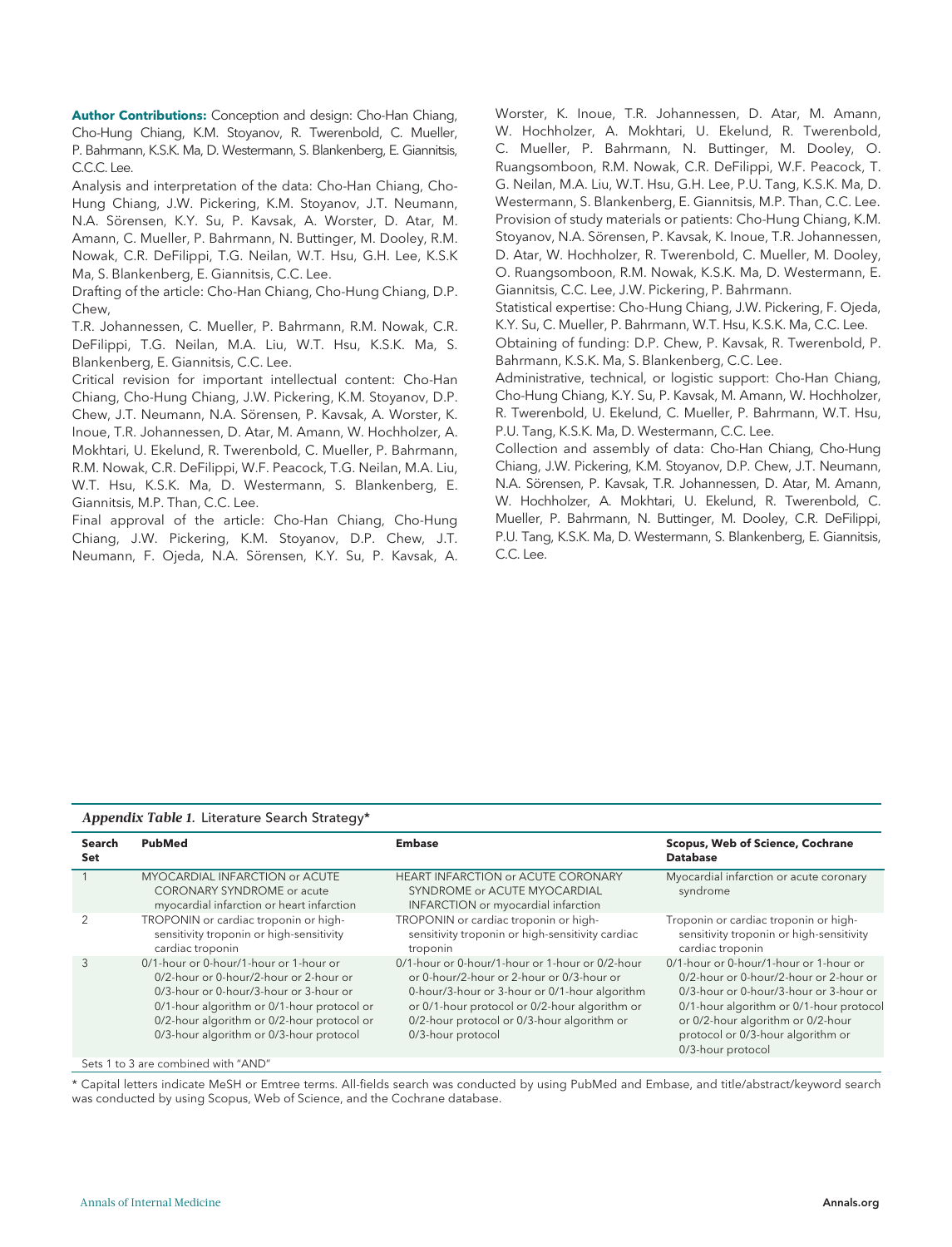Author Contributions: Conception and design: Cho-Han Chiang, Cho-Hung Chiang, K.M. Stoyanov, R. Twerenbold, C. Mueller, P. Bahrmann, K.S.K. Ma, D. Westermann, S. Blankenberg, E. Giannitsis, C.C.C. Lee.

Analysis and interpretation of the data: Cho-Han Chiang, Cho-Hung Chiang, J.W. Pickering, K.M. Stoyanov, J.T. Neumann, N.A. Sörensen, K.Y. Su, P. Kavsak, A. Worster, D. Atar, M. Amann, C. Mueller, P. Bahrmann, N. Buttinger, M. Dooley, R.M. Nowak, C.R. DeFilippi, T.G. Neilan, W.T. Hsu, G.H. Lee, K.S.K Ma, S. Blankenberg, E. Giannitsis, C.C. Lee.

Drafting of the article: Cho-Han Chiang, Cho-Hung Chiang, D.P. Chew,

T.R. Johannessen, C. Mueller, P. Bahrmann, R.M. Nowak, C.R. DeFilippi, T.G. Neilan, M.A. Liu, W.T. Hsu, K.S.K. Ma, S. Blankenberg, E. Giannitsis, C.C. Lee.

Critical revision for important intellectual content: Cho-Han Chiang, Cho-Hung Chiang, J.W. Pickering, K.M. Stoyanov, D.P. Chew, J.T. Neumann, N.A. Sörensen, P. Kavsak, A. Worster, K. Inoue, T.R. Johannessen, D. Atar, M. Amann, W. Hochholzer, A. Mokhtari, U. Ekelund, R. Twerenbold, C. Mueller, P. Bahrmann, R.M. Nowak, C.R. DeFilippi, W.F. Peacock, T.G. Neilan, M.A. Liu, W.T. Hsu, K.S.K. Ma, D. Westermann, S. Blankenberg, E. Giannitsis, M.P. Than, C.C. Lee.

Final approval of the article: Cho-Han Chiang, Cho-Hung Chiang, J.W. Pickering, K.M. Stoyanov, D.P. Chew, J.T. Neumann, F. Ojeda, N.A. Sörensen, K.Y. Su, P. Kavsak, A. Worster, K. Inoue, T.R. Johannessen, D. Atar, M. Amann, W. Hochholzer, A. Mokhtari, U. Ekelund, R. Twerenbold, C. Mueller, P. Bahrmann, N. Buttinger, M. Dooley, O. Ruangsomboon, R.M. Nowak, C.R. DeFilippi, W.F. Peacock, T. G. Neilan, M.A. Liu, W.T. Hsu, G.H. Lee, P.U. Tang, K.S.K. Ma, D. Westermann, S. Blankenberg, E. Giannitsis, M.P. Than, C.C. Lee. Provision of study materials or patients: Cho-Hung Chiang, K.M. Stoyanov, N.A. Sörensen, P. Kavsak, K. Inoue, T.R. Johannessen, D. Atar, W. Hochholzer, R. Twerenbold, C. Mueller, M. Dooley, O. Ruangsomboon, R.M. Nowak, K.S.K. Ma, D. Westermann, E. Giannitsis, C.C. Lee, J.W. Pickering, P. Bahrmann.

Statistical expertise: Cho-Hung Chiang, J.W. Pickering, F. Ojeda, K.Y. Su, C. Mueller, P. Bahrmann, W.T. Hsu, K.S.K. Ma, C.C. Lee.

Obtaining of funding: D.P. Chew, P. Kavsak, R. Twerenbold, P. Bahrmann, K.S.K. Ma, S. Blankenberg, C.C. Lee.

Administrative, technical, or logistic support: Cho-Han Chiang, Cho-Hung Chiang, K.Y. Su, P. Kavsak, M. Amann, W. Hochholzer, R. Twerenbold, U. Ekelund, C. Mueller, P. Bahrmann, W.T. Hsu, P.U. Tang, K.S.K. Ma, D. Westermann, C.C. Lee.

Collection and assembly of data: Cho-Han Chiang, Cho-Hung Chiang, J.W. Pickering, K.M. Stoyanov, D.P. Chew, J.T. Neumann, N.A. Sörensen, P. Kavsak, T.R. Johannessen, D. Atar, M. Amann, W. Hochholzer, A. Mokhtari, U. Ekelund, R. Twerenbold, C. Mueller, P. Bahrmann, N. Buttinger, M. Dooley, C.R. DeFilippi, P.U. Tang, K.S.K. Ma, D. Westermann, S. Blankenberg, E. Giannitsis, C.C. Lee.

#### Appendix Table 1. Literature Search Strategy\*

| Search<br>Set | PubMed                                                                                                                                                                                                                                                            | <b>Embase</b>                                                                                                                                                                                                                                                     | <b>Scopus, Web of Science, Cochrane</b><br><b>Database</b>                                                                                                                                                                                                           |
|---------------|-------------------------------------------------------------------------------------------------------------------------------------------------------------------------------------------------------------------------------------------------------------------|-------------------------------------------------------------------------------------------------------------------------------------------------------------------------------------------------------------------------------------------------------------------|----------------------------------------------------------------------------------------------------------------------------------------------------------------------------------------------------------------------------------------------------------------------|
|               | MYOCARDIAL INFARCTION or ACUTE<br><b>CORONARY SYNDROME</b> or acute<br>myocardial infarction or heart infarction                                                                                                                                                  | <b>HEART INFARCTION or ACUTE CORONARY</b><br>SYNDROME or ACUTE MYOCARDIAL<br>INFARCTION or myocardial infarction                                                                                                                                                  | Myocardial infarction or acute coronary<br>syndrome                                                                                                                                                                                                                  |
|               | TROPONIN or cardiac troponin or high-<br>sensitivity troponin or high-sensitivity<br>cardiac troponin                                                                                                                                                             | TROPONIN or cardiac troponin or high-<br>sensitivity troponin or high-sensitivity cardiac<br>troponin                                                                                                                                                             | Troponin or cardiac troponin or high-<br>sensitivity troponin or high-sensitivity<br>cardiac troponin                                                                                                                                                                |
| 3             | 0/1-hour or 0-hour/1-hour or 1-hour or<br>0/2-hour or 0-hour/2-hour or 2-hour or<br>0/3-hour or 0-hour/3-hour or 3-hour or<br>0/1-hour algorithm or 0/1-hour protocol or<br>0/2-hour algorithm or 0/2-hour protocol or<br>0/3-hour algorithm or 0/3-hour protocol | 0/1-hour or 0-hour/1-hour or 1-hour or 0/2-hour<br>or 0-hour/2-hour or 2-hour or 0/3-hour or<br>0-hour/3-hour or 3-hour or 0/1-hour algorithm<br>or 0/1-hour protocol or 0/2-hour algorithm or<br>0/2-hour protocol or 0/3-hour algorithm or<br>0/3-hour protocol | 0/1-hour or 0-hour/1-hour or 1-hour or<br>0/2-hour or 0-hour/2-hour or 2-hour or<br>0/3-hour or 0-hour/3-hour or 3-hour or<br>0/1-hour algorithm or 0/1-hour protocol<br>or 0/2-hour algorithm or 0/2-hour<br>protocol or 0/3-hour algorithm or<br>0/3-hour protocol |
|               | Sets 1 to 3 are combined with "AND"                                                                                                                                                                                                                               |                                                                                                                                                                                                                                                                   |                                                                                                                                                                                                                                                                      |

\* Capital letters indicate MeSH or Emtree terms. All-fields search was conducted by using PubMed and Embase, and title/abstract/keyword search was conducted by using Scopus, Web of Science, and the Cochrane database.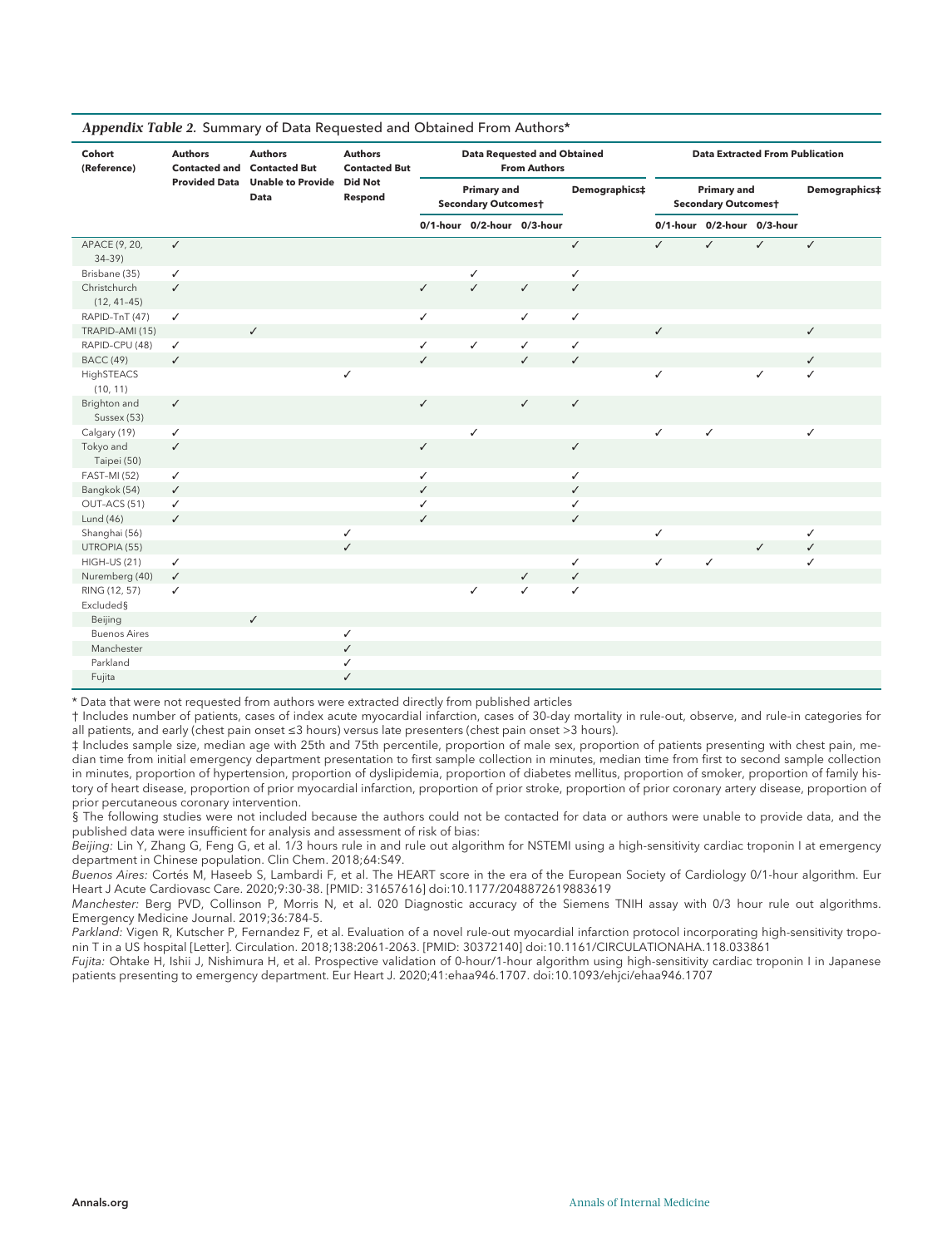| Cohort<br>(Reference)         | <b>Authors</b><br><b>Authors</b><br><b>Authors</b><br><b>Data Requested and Obtained</b><br><b>Contacted and Contacted But</b><br><b>Contacted But</b><br><b>From Authors</b> |                                   |              |              |                                                  |                            | <b>Data Extracted From Publication</b> |              |                                                  |              |               |
|-------------------------------|-------------------------------------------------------------------------------------------------------------------------------------------------------------------------------|-----------------------------------|--------------|--------------|--------------------------------------------------|----------------------------|----------------------------------------|--------------|--------------------------------------------------|--------------|---------------|
|                               | <b>Provided Data</b>                                                                                                                                                          | Unable to Provide Did Not<br>Data | Respond      |              | <b>Primary and</b><br><b>Secondary Outcomest</b> |                            | Demographics‡                          |              | <b>Primary and</b><br><b>Secondary Outcomest</b> |              | Demographics‡ |
|                               |                                                                                                                                                                               |                                   |              |              |                                                  | 0/1-hour 0/2-hour 0/3-hour |                                        |              | 0/1-hour 0/2-hour 0/3-hour                       |              |               |
| APACE (9, 20,<br>$34-39$      | $\checkmark$                                                                                                                                                                  |                                   |              |              |                                                  |                            | $\checkmark$                           | $\checkmark$ | $\checkmark$                                     | $\checkmark$ | $\checkmark$  |
| Brisbane (35)                 | $\checkmark$                                                                                                                                                                  |                                   |              |              | $\checkmark$                                     |                            | ✓                                      |              |                                                  |              |               |
| Christchurch<br>$(12, 41-45)$ | $\checkmark$                                                                                                                                                                  |                                   |              | $\checkmark$ | $\checkmark$                                     | $\checkmark$               | ✓                                      |              |                                                  |              |               |
| RAPID-TnT (47)                | $\checkmark$                                                                                                                                                                  |                                   |              | ✓            |                                                  | $\checkmark$               | ✓                                      |              |                                                  |              |               |
| TRAPID-AMI (15)               |                                                                                                                                                                               | $\checkmark$                      |              |              |                                                  |                            |                                        | $\checkmark$ |                                                  |              | ✓             |
| RAPID-CPU (48)                | ✓                                                                                                                                                                             |                                   |              | ✓            | $\checkmark$                                     | $\checkmark$               | ✓                                      |              |                                                  |              |               |
| <b>BACC</b> (49)              | $\checkmark$                                                                                                                                                                  |                                   |              | $\checkmark$ |                                                  | $\checkmark$               | ✓                                      |              |                                                  |              | ✓             |
| HighSTEACS<br>(10, 11)        |                                                                                                                                                                               |                                   | ✓            |              |                                                  |                            |                                        | ✓            |                                                  | ✓            | ✓             |
| Brighton and<br>Sussex (53)   | $\checkmark$                                                                                                                                                                  |                                   |              | ✓            |                                                  | ✓                          | ✓                                      |              |                                                  |              |               |
| Calgary (19)                  | $\checkmark$                                                                                                                                                                  |                                   |              |              | $\checkmark$                                     |                            |                                        | $\checkmark$ | $\checkmark$                                     |              | ✓             |
| Tokyo and<br>Taipei (50)      | $\checkmark$                                                                                                                                                                  |                                   |              | ✓            |                                                  |                            | ✓                                      |              |                                                  |              |               |
| <b>FAST-MI (52)</b>           | $\checkmark$                                                                                                                                                                  |                                   |              | ✓            |                                                  |                            | ✓                                      |              |                                                  |              |               |
| Bangkok (54)                  | $\checkmark$                                                                                                                                                                  |                                   |              | $\checkmark$ |                                                  |                            | $\checkmark$                           |              |                                                  |              |               |
| OUT-ACS (51)                  | $\checkmark$                                                                                                                                                                  |                                   |              | ✓            |                                                  |                            | ✓                                      |              |                                                  |              |               |
| Lund (46)                     | $\checkmark$                                                                                                                                                                  |                                   |              | $\checkmark$ |                                                  |                            | $\checkmark$                           |              |                                                  |              |               |
| Shanghai (56)                 |                                                                                                                                                                               |                                   | ✓            |              |                                                  |                            |                                        | ✓            |                                                  |              | ✓             |
| UTROPIA (55)                  |                                                                                                                                                                               |                                   | $\checkmark$ |              |                                                  |                            |                                        |              |                                                  | $\checkmark$ | $\checkmark$  |
| HIGH-US (21)                  | $\checkmark$                                                                                                                                                                  |                                   |              |              |                                                  |                            | ✓                                      | $\checkmark$ | $\checkmark$                                     |              | ✓             |
| Nuremberg (40)                | $\checkmark$                                                                                                                                                                  |                                   |              |              |                                                  | $\checkmark$               | $\checkmark$                           |              |                                                  |              |               |
| RING (12, 57)<br>Excluded§    | ✓                                                                                                                                                                             |                                   |              |              | $\checkmark$                                     | ✓                          | ✓                                      |              |                                                  |              |               |
| Beijing                       |                                                                                                                                                                               | $\checkmark$                      |              |              |                                                  |                            |                                        |              |                                                  |              |               |
| <b>Buenos Aires</b>           |                                                                                                                                                                               |                                   | ✓            |              |                                                  |                            |                                        |              |                                                  |              |               |
| Manchester                    |                                                                                                                                                                               |                                   | $\checkmark$ |              |                                                  |                            |                                        |              |                                                  |              |               |
| Parkland                      |                                                                                                                                                                               |                                   | ✓            |              |                                                  |                            |                                        |              |                                                  |              |               |
| Fujita                        |                                                                                                                                                                               |                                   | $\checkmark$ |              |                                                  |                            |                                        |              |                                                  |              |               |

#### Appendix Table 2. Summary of Data Requested and Obtained From Authors\*

\* Data that were not requested from authors were extracted directly from published articles

† Includes number of patients, cases of index acute myocardial infarction, cases of 30-day mortality in rule-out, observe, and rule-in categories for all patients, and early (chest pain onset ≤3 hours) versus late presenters (chest pain onset >3 hours).

‡ Includes sample size, median age with 25th and 75th percentile, proportion of male sex, proportion of patients presenting with chest pain, median time from initial emergency department presentation to first sample collection in minutes, median time from first to second sample collection in minutes, proportion of hypertension, proportion of dyslipidemia, proportion of diabetes mellitus, proportion of smoker, proportion of family history of heart disease, proportion of prior myocardial infarction, proportion of prior stroke, proportion of prior coronary artery disease, proportion of prior percutaneous coronary intervention.

§ The following studies were not included because the authors could not be contacted for data or authors were unable to provide data, and the published data were insufficient for analysis and assessment of risk of bias:

Beijing: Lin Y, Zhang G, Feng G, et al. 1/3 hours rule in and rule out algorithm for NSTEMI using a high-sensitivity cardiac troponin I at emergency department in Chinese population. Clin Chem. 2018;64:S49.

Buenos Aires: Cortés M, Haseeb S, Lambardi F, et al. The HEART score in the era of the European Society of Cardiology 0/1-hour algorithm. Eur Heart J Acute Cardiovasc Care. 2020;9:30-38. [PMID: 31657616] doi:10.1177/2048872619883619

Manchester: Berg PVD, Collinson P, Morris N, et al. 020 Diagnostic accuracy of the Siemens TNIH assay with 0/3 hour rule out algorithms. Emergency Medicine Journal. 2019;36:784-5.

Parkland: Vigen R, Kutscher P, Fernandez F, et al. Evaluation of a novel rule-out myocardial infarction protocol incorporating high-sensitivity troponin T in a US hospital [Letter]. Circulation. 2018;138:2061-2063. [PMID: 30372140] doi:10.1161/CIRCULATIONAHA.118.033861

Fujita: Ohtake H, Ishii J, Nishimura H, et al. Prospective validation of 0-hour/1-hour algorithm using high-sensitivity cardiac troponin I in Japanese patients presenting to emergency department. Eur Heart J. 2020;41:ehaa946.1707. doi:10.1093/ehjci/ehaa946.1707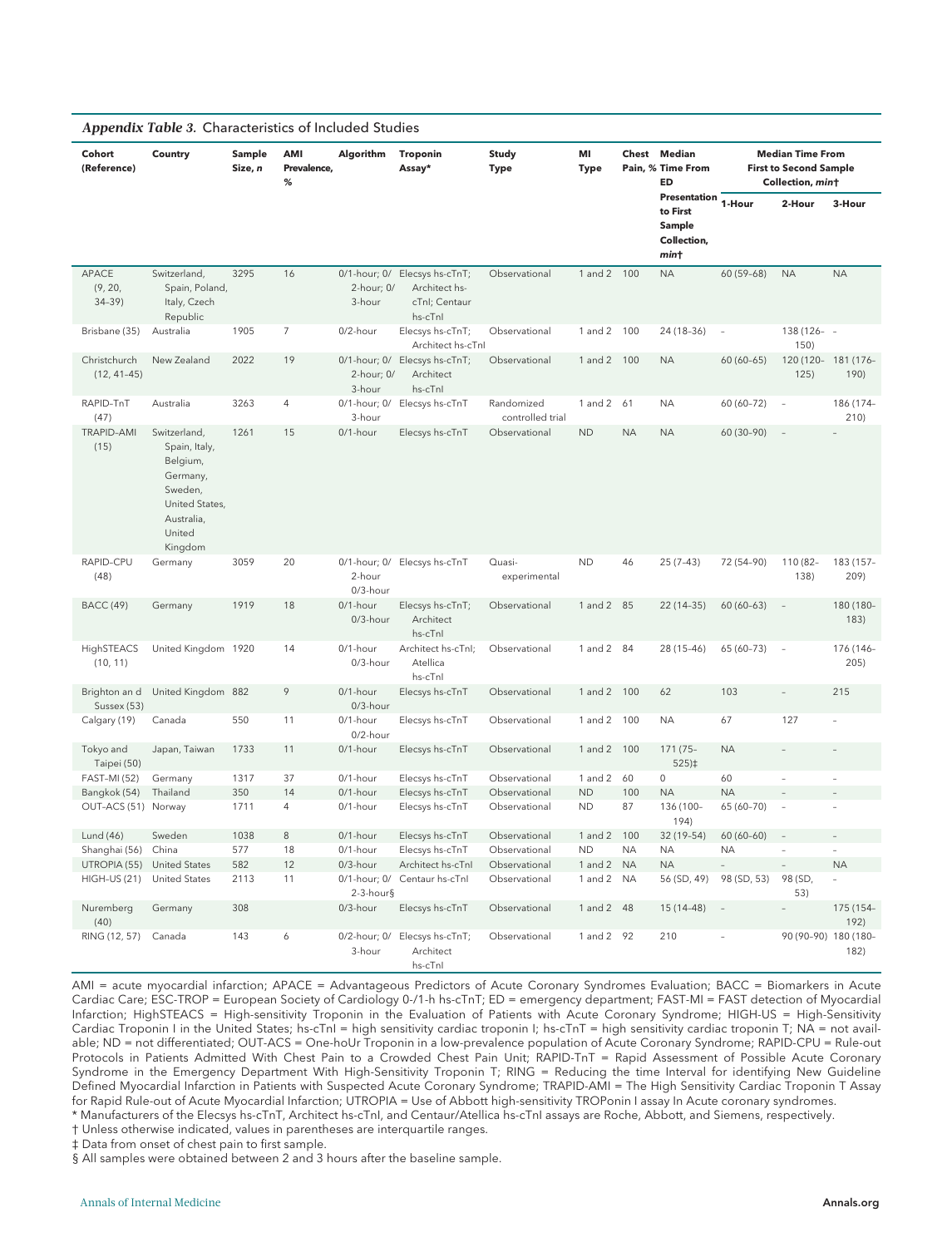|                               | Appendix Table 3. Characteristics of Included Studies                                                                 |                   |                         |                      |                                                                            |                                |                   |           |                                                           |                          |                                                                              |                          |
|-------------------------------|-----------------------------------------------------------------------------------------------------------------------|-------------------|-------------------------|----------------------|----------------------------------------------------------------------------|--------------------------------|-------------------|-----------|-----------------------------------------------------------|--------------------------|------------------------------------------------------------------------------|--------------------------|
| Cohort<br>(Reference)         | Country                                                                                                               | Sample<br>Size, n | AMI<br>Prevalence.<br>% | Algorithm            | <b>Troponin</b><br>Assay*                                                  | Study<br><b>Type</b>           | MI<br><b>Type</b> | Chest     | Median<br>Pain, % Time From<br>ED                         |                          | <b>Median Time From</b><br><b>First to Second Sample</b><br>Collection, mint |                          |
|                               |                                                                                                                       |                   |                         |                      |                                                                            |                                |                   |           | Presentation<br>to First<br>Sample<br>Collection,<br>mint | 1-Hour                   | 2-Hour                                                                       | 3-Hour                   |
| APACE<br>(9, 20,<br>$34-39$   | Switzerland,<br>Spain, Poland,<br>Italy, Czech<br>Republic                                                            | 3295              | 16                      | 2-hour; 0/<br>3-hour | 0/1-hour; 0/ Elecsys hs-cTnT;<br>Architect hs-<br>cTnl: Centaur<br>hs-cTnl | Observational                  | 1 and 2 100       |           | <b>NA</b>                                                 | 60 (59-68)               | <b>NA</b>                                                                    | <b>NA</b>                |
| Brisbane (35)                 | Australia                                                                                                             | 1905              | 7                       | 0/2-hour             | Elecsys hs-cTnT;<br>Architect hs-cTnl                                      | Observational                  | 1 and 2 100       |           | 24 (18-36)                                                | $\overline{a}$           | 138 (126- -<br>150)                                                          |                          |
| Christchurch<br>$(12, 41-45)$ | New Zealand                                                                                                           | 2022              | 19                      | 2-hour; 0/<br>3-hour | 0/1-hour; 0/ Elecsys hs-cTnT;<br>Architect<br>hs-cTnl                      | Observational                  | 1 and $2$         | 100       | <b>NA</b>                                                 | 60 (60-65)               | 120 (120- 181 (176-<br>125)                                                  | 190)                     |
| RAPID-TnT<br>(47)             | Australia                                                                                                             | 3263              | 4                       | 3-hour               | 0/1-hour; 0/ Elecsys hs-cTnT                                               | Randomized<br>controlled trial | 1 and 2           | 61        | <b>NA</b>                                                 | 60 (60-72)               |                                                                              | 186 (174-<br>210)        |
| <b>TRAPID-AMI</b><br>(15)     | Switzerland,<br>Spain, Italy,<br>Belgium,<br>Germany,<br>Sweden,<br>United States.<br>Australia,<br>United<br>Kingdom | 1261              | 15                      | 0/1-hour             | Elecsys hs-cTnT                                                            | Observational                  | <b>ND</b>         | <b>NA</b> | <b>NA</b>                                                 | 60 (30-90)               | $\overline{\phantom{a}}$                                                     |                          |
| RAPID-CPU<br>(48)             | Germany                                                                                                               | 3059              | 20                      | 2-hour<br>0/3-hour   | 0/1-hour; 0/ Elecsys hs-cTnT                                               | Quasi-<br>experimental         | <b>ND</b>         | 46        | $25(7-43)$                                                | 72 (54-90)               | 110 (82-<br>138)                                                             | 183 (157-<br>209)        |
| <b>BACC</b> (49)              | Germany                                                                                                               | 1919              | 18                      | 0/1-hour<br>0/3-hour | Elecsys hs-cTnT;<br>Architect<br>hs-cTnl                                   | Observational                  | $1$ and $2$       | - 85      | $22(14-35)$                                               | $60(60-63)$              | $\overline{\phantom{a}}$                                                     | 180 (180-<br>183)        |
| HighSTEACS<br>(10, 11)        | United Kingdom 1920                                                                                                   |                   | 14                      | 0/1-hour<br>0/3-hour | Architect hs-cTnl;<br>Atellica<br>hs-cTnl                                  | Observational                  | 1 and 2 84        |           | 28 (15-46)                                                | 65 (60-73)               | $\overline{\phantom{a}}$                                                     | 176 (146-<br>205)        |
| Brighton an d<br>Sussex (53)  | United Kingdom 882                                                                                                    |                   | 9                       | 0/1-hour<br>0/3-hour | Elecsys hs-cTnT                                                            | Observational                  | 1 and 2           | 100       | 62                                                        | 103                      |                                                                              | 215                      |
| Calgary (19)                  | Canada                                                                                                                | 550               | 11                      | 0/1-hour<br>0/2-hour | Elecsys hs-cTnT                                                            | Observational                  | 1 and 2           | 100       | <b>NA</b>                                                 | 67                       | 127                                                                          |                          |
| Tokyo and<br>Taipei (50)      | Japan, Taiwan                                                                                                         | 1733              | 11                      | 0/1-hour             | Elecsys hs-cTnT                                                            | Observational                  | 1 and 2           | 100       | 171 (75-<br>$525 \times$                                  | <b>NA</b>                |                                                                              |                          |
| <b>FAST-MI (52)</b>           | Germany                                                                                                               | 1317              | 37                      | 0/1-hour             | Elecsys hs-cTnT                                                            | Observational                  | 1 and 2           | 60        | $\mathsf{O}\xspace$                                       | 60                       | $\overline{a}$                                                               |                          |
| Bangkok (54)                  | Thailand                                                                                                              | 350               | 14                      | 0/1-hour             | Elecsys hs-cTnT                                                            | Observational                  | <b>ND</b>         | 100       | <b>NA</b>                                                 | <b>NA</b>                |                                                                              |                          |
| OUT-ACS (51) Norway           |                                                                                                                       | 1711              | 4                       | $0/1$ -hour          | Elecsys hs-cTnT                                                            | Observational                  | <b>ND</b>         | 87        | 136 (100-<br>194)                                         | 65 (60-70)               | $\overline{\phantom{a}}$                                                     |                          |
| Lund (46)                     | Sweden                                                                                                                | 1038              | 8                       | 0/1-hour             | Elecsys hs-cTnT                                                            | Observational                  | 1 and $2$         | 100       | 32 (19-54)                                                | 60 (60-60)               |                                                                              |                          |
| Shanghai (56)                 | China                                                                                                                 | 577               | 18                      | 0/1-hour             | Elecsys hs-cTnT                                                            | Observational                  | <b>ND</b>         | NA.       | ΝA                                                        | ΝA                       | $\overline{\phantom{a}}$                                                     | $\overline{\phantom{a}}$ |
| UTROPIA (55)                  | <b>United States</b>                                                                                                  | 582               | 12                      | 0/3-hour             | Architect hs-cTnl                                                          | Observational                  | 1 and 2           | <b>NA</b> | <b>NA</b>                                                 |                          |                                                                              | <b>NA</b>                |
| HIGH-US (21)                  | <b>United States</b>                                                                                                  | 2113              | 11                      | $2-3$ -hour§         | 0/1-hour; 0/ Centaur hs-cTnl                                               | Observational                  | 1 and 2           | <b>NA</b> | 56 (SD, 49)                                               | 98 (SD, 53)              | 98 (SD,<br>53)                                                               |                          |
| Nuremberg<br>(40)             | Germany                                                                                                               | 308               |                         | 0/3-hour             | Elecsys hs-cTnT                                                            | Observational                  | 1 and 2 48        |           | 15 (14-48)                                                | $\overline{\phantom{a}}$ |                                                                              | 175 (154-<br>192)        |
| RING (12, 57)                 | Canada                                                                                                                | 143               | 6                       | 3-hour               | 0/2-hour; 0/ Elecsys hs-cTnT;<br>Architect<br>hs-cTnl                      | Observational                  | 1 and 2 92        |           | 210                                                       |                          | 90 (90-90) 180 (180-                                                         | 182)                     |

AMI = acute myocardial infarction; APACE = Advantageous Predictors of Acute Coronary Syndromes Evaluation; BACC = Biomarkers in Acute Cardiac Care; ESC-TROP = European Society of Cardiology 0-/1-h hs-cTnT; ED = emergency department; FAST-MI = FAST detection of Myocardial Infarction; HighSTEACS = High-sensitivity Troponin in the Evaluation of Patients with Acute Coronary Syndrome; HIGH-US = High-Sensitivity Cardiac Troponin I in the United States; hs-cTnI = high sensitivity cardiac troponin I; hs-cTnT = high sensitivity cardiac troponin T; NA = not available; ND = not differentiated; OUT-ACS = One-hoUr Troponin in a low-prevalence population of Acute Coronary Syndrome; RAPID-CPU = Rule-out Protocols in Patients Admitted With Chest Pain to a Crowded Chest Pain Unit; RAPID-TnT = Rapid Assessment of Possible Acute Coronary Syndrome in the Emergency Department With High-Sensitivity Troponin T; RING = Reducing the time Interval for identifying New Guideline Defined Myocardial Infarction in Patients with Suspected Acute Coronary Syndrome; TRAPID-AMI = The High Sensitivity Cardiac Troponin T Assay for Rapid Rule-out of Acute Myocardial Infarction; UTROPIA = Use of Abbott high-sensitivity TROPonin I assay In Acute coronary syndromes. \* Manufacturers of the Elecsys hs-cTnT, Architect hs-cTnI, and Centaur/Atellica hs-cTnI assays are Roche, Abbott, and Siemens, respectively.

† Unless otherwise indicated, values in parentheses are interquartile ranges.

‡ Data from onset of chest pain to first sample.

§ All samples were obtained between 2 and 3 hours after the baseline sample.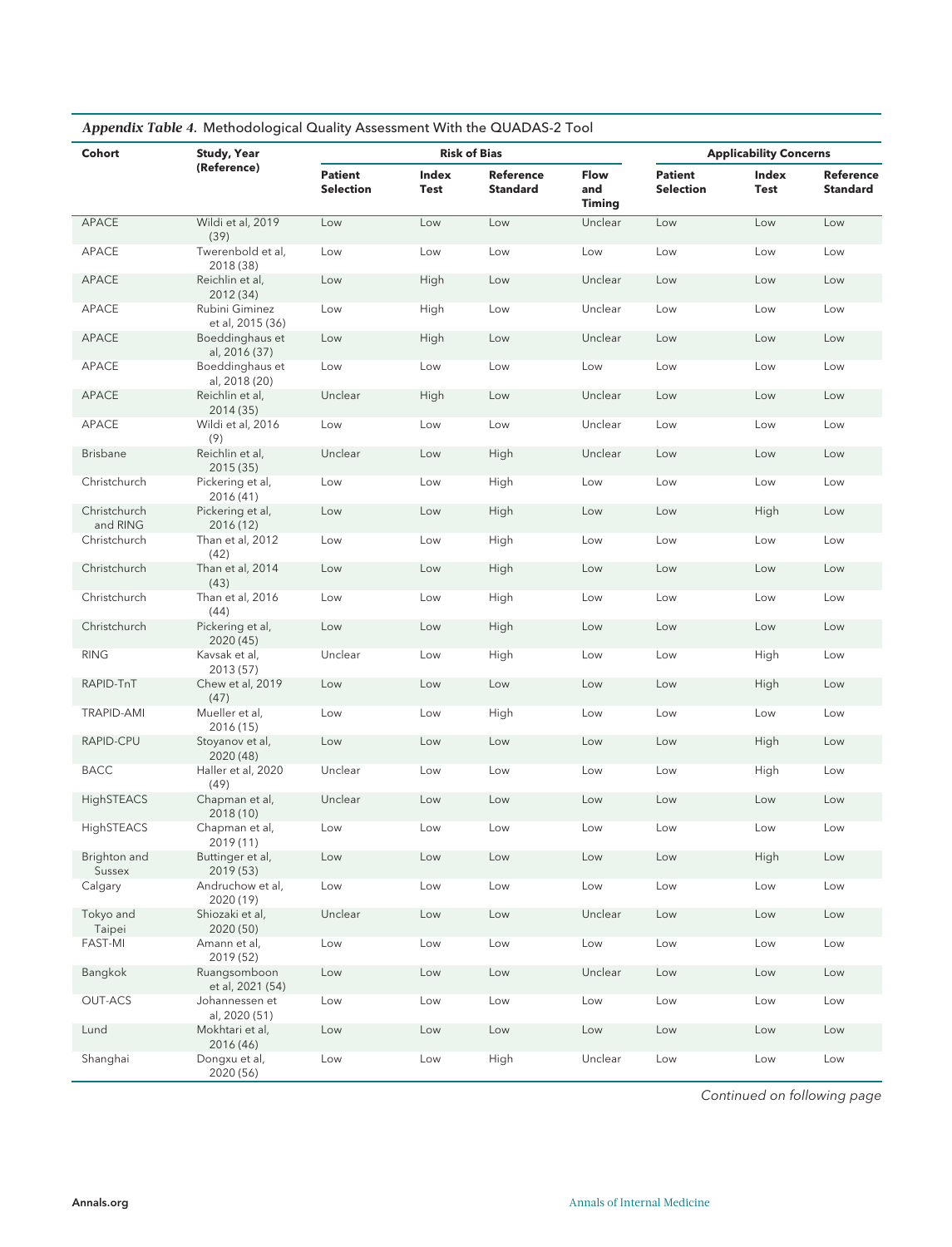| Cohort                   | <b>Study, Year</b>                 |                                    |               | <b>Risk of Bias</b>          |                       | <b>Applicability Concerns</b>      |                      |                       |  |  |
|--------------------------|------------------------------------|------------------------------------|---------------|------------------------------|-----------------------|------------------------------------|----------------------|-----------------------|--|--|
|                          | (Reference)                        | <b>Patient</b><br><b>Selection</b> | Index<br>Test | Reference<br><b>Standard</b> | Flow<br>and<br>Timing | <b>Patient</b><br><b>Selection</b> | Index<br><b>Test</b> | Reference<br>Standard |  |  |
| APACE                    | Wildi et al, 2019<br>(39)          | Low                                | Low           | Low                          | Unclear               | Low                                | Low                  | Low                   |  |  |
| APACE                    | Twerenbold et al,<br>2018 (38)     | Low                                | Low           | Low                          | Low                   | Low                                | Low                  | Low                   |  |  |
| APACE                    | Reichlin et al,<br>2012 (34)       | Low                                | High          | Low                          | Unclear               | Low                                | Low                  | Low                   |  |  |
| APACE                    | Rubini Giminez<br>et al, 2015 (36) | Low                                | High          | Low                          | Unclear               | Low                                | Low                  | Low                   |  |  |
| APACE                    | Boeddinghaus et<br>al, 2016 (37)   | Low                                | High          | Low                          | Unclear               | Low                                | Low                  | Low                   |  |  |
| APACE                    | Boeddinghaus et<br>al, 2018 (20)   | Low                                | Low           | Low                          | Low                   | Low                                | Low                  | Low                   |  |  |
| APACE                    | Reichlin et al,<br>2014 (35)       | Unclear                            | High          | Low                          | Unclear               | Low                                | Low                  | Low                   |  |  |
| APACE                    | Wildi et al, 2016<br>(9)           | Low                                | Low           | Low                          | Unclear               | Low                                | Low                  | Low                   |  |  |
| <b>Brisbane</b>          | Reichlin et al,<br>2015 (35)       | Unclear                            | Low           | High                         | Unclear               | Low                                | Low                  | Low                   |  |  |
| Christchurch             | Pickering et al,<br>2016 (41)      | Low                                | Low           | High                         | Low                   | Low                                | Low                  | Low                   |  |  |
| Christchurch<br>and RING | Pickering et al,<br>2016 (12)      | Low                                | Low           | High                         | Low                   | Low                                | High                 | Low                   |  |  |
| Christchurch             | Than et al, 2012<br>(42)           | Low                                | Low           | High                         | Low                   | Low                                | Low                  | Low                   |  |  |
| Christchurch             | Than et al, 2014<br>(43)           | Low                                | Low           | High                         | Low                   | Low                                | Low                  | Low                   |  |  |
| Christchurch             | Than et al, 2016<br>(44)           | Low                                | Low           | High                         | Low                   | Low                                | Low                  | Low                   |  |  |
| Christchurch             | Pickering et al,<br>2020 (45)      | Low                                | Low           | High                         | Low                   | Low                                | Low                  | Low                   |  |  |
| <b>RING</b>              | Kavsak et al,<br>2013 (57)         | Unclear                            | Low           | High                         | Low                   | Low                                | High                 | Low                   |  |  |
| RAPID-TnT                | Chew et al, 2019<br>(47)           | Low                                | Low           | Low                          | Low                   | Low                                | High                 | Low                   |  |  |
| <b>TRAPID-AMI</b>        | Mueller et al,<br>2016 (15)        | Low                                | Low           | High                         | Low                   | Low                                | Low                  | Low                   |  |  |
| RAPID-CPU                | Stoyanov et al,<br>2020 (48)       | Low                                | Low           | Low                          | Low                   | Low                                | High                 | Low                   |  |  |
| <b>BACC</b>              | Haller et al, 2020<br>(49)         | Unclear                            | Low           | Low                          | Low                   | Low                                | High                 | Low                   |  |  |
| HighSTEACS               | Chapman et al,<br>2018 (10)        | Unclear                            | Low           | Low                          | Low                   | Low                                | Low                  | Low                   |  |  |
| HighSTEACS               | Chapman et al,<br>2019 (11)        | Low                                | Low           | Low                          | Low                   | Low                                | Low                  | Low                   |  |  |
| Brighton and<br>Sussex   | Buttinger et al,<br>2019 (53)      | Low                                | Low           | Low                          | Low                   | Low                                | High                 | Low                   |  |  |
| Calgary                  | Andruchow et al,<br>2020 (19)      | Low                                | Low           | Low                          | Low                   | Low                                | Low                  | Low                   |  |  |
| Tokyo and<br>Taipei      | Shiozaki et al,<br>2020 (50)       | Unclear                            | Low           | Low                          | Unclear               | Low                                | Low                  | Low                   |  |  |
| <b>FAST-MI</b>           | Amann et al,<br>2019 (52)          | Low                                | Low           | Low                          | Low                   | Low                                | Low                  | Low                   |  |  |
| Bangkok                  | Ruangsomboon<br>et al, 2021 (54)   | Low                                | Low           | Low                          | Unclear               | Low                                | Low                  | Low                   |  |  |
| <b>OUT-ACS</b>           | Johannessen et<br>al, 2020 (51)    | Low                                | Low           | Low                          | Low                   | Low                                | Low                  | Low                   |  |  |
| Lund                     | Mokhtari et al,<br>2016 (46)       | Low                                | Low           | Low                          | Low                   | Low                                | Low                  | Low                   |  |  |
| Shanghai                 | Dongxu et al,<br>2020 (56)         | Low                                | Low           | High                         | Unclear               | Low                                | Low                  | Low                   |  |  |

Continued on following page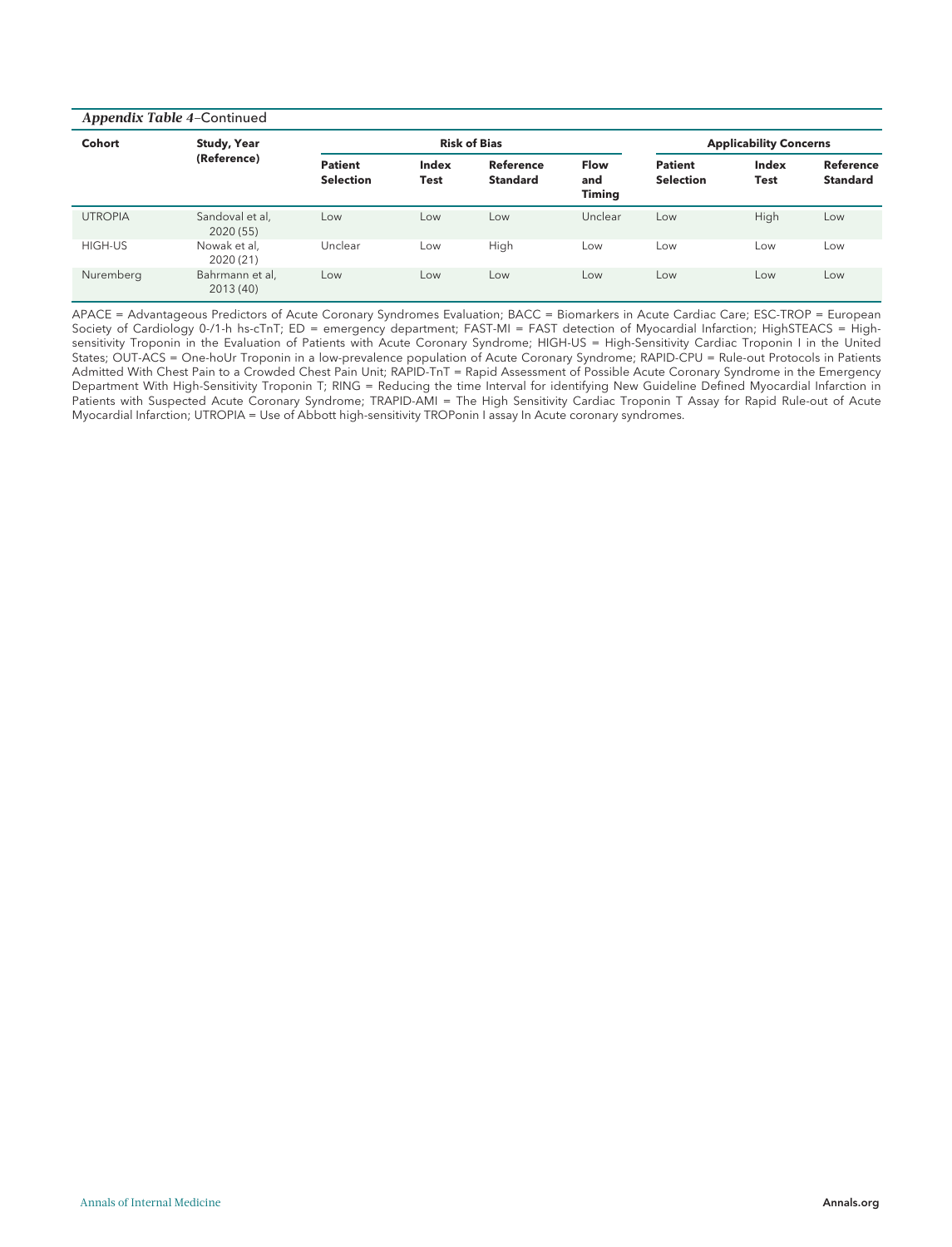|                | Appendix Table 4-Continued   |                                    |                      |                                     |                              |                                    |               |                                     |  |  |  |  |  |  |
|----------------|------------------------------|------------------------------------|----------------------|-------------------------------------|------------------------------|------------------------------------|---------------|-------------------------------------|--|--|--|--|--|--|
| Cohort         | <b>Study, Year</b>           |                                    |                      | <b>Risk of Bias</b>                 |                              | <b>Applicability Concerns</b>      |               |                                     |  |  |  |  |  |  |
|                | (Reference)                  | <b>Patient</b><br><b>Selection</b> | Index<br><b>Test</b> | <b>Reference</b><br><b>Standard</b> | Flow<br>and<br><b>Timing</b> | <b>Patient</b><br><b>Selection</b> | Index<br>Test | <b>Reference</b><br><b>Standard</b> |  |  |  |  |  |  |
| <b>UTROPIA</b> | Sandoval et al,<br>2020 (55) | Low                                | Low                  | Low                                 | Unclear                      | Low                                | High          | Low                                 |  |  |  |  |  |  |
| HIGH-US        | Nowak et al,<br>2020 (21)    | Unclear                            | Low                  | High                                | Low                          | Low                                | Low           | Low                                 |  |  |  |  |  |  |
| Nuremberg      | Bahrmann et al,<br>2013 (40) | Low                                | Low                  | Low                                 | Low                          | Low                                | Low           | Low                                 |  |  |  |  |  |  |

APACE = Advantageous Predictors of Acute Coronary Syndromes Evaluation; BACC = Biomarkers in Acute Cardiac Care; ESC-TROP = European Society of Cardiology 0-/1-h hs-cTnT; ED = emergency department; FAST-MI = FAST detection of Myocardial Infarction; HighSTEACS = Highsensitivity Troponin in the Evaluation of Patients with Acute Coronary Syndrome; HIGH-US = High-Sensitivity Cardiac Troponin I in the United States; OUT-ACS = One-hoUr Troponin in a low-prevalence population of Acute Coronary Syndrome; RAPID-CPU = Rule-out Protocols in Patients Admitted With Chest Pain to a Crowded Chest Pain Unit; RAPID-TnT = Rapid Assessment of Possible Acute Coronary Syndrome in the Emergency Department With High-Sensitivity Troponin T; RING = Reducing the time Interval for identifying New Guideline Defined Myocardial Infarction in Patients with Suspected Acute Coronary Syndrome; TRAPID-AMI = The High Sensitivity Cardiac Troponin T Assay for Rapid Rule-out of Acute Myocardial Infarction; UTROPIA = Use of Abbott high-sensitivity TROPonin I assay In Acute coronary syndromes.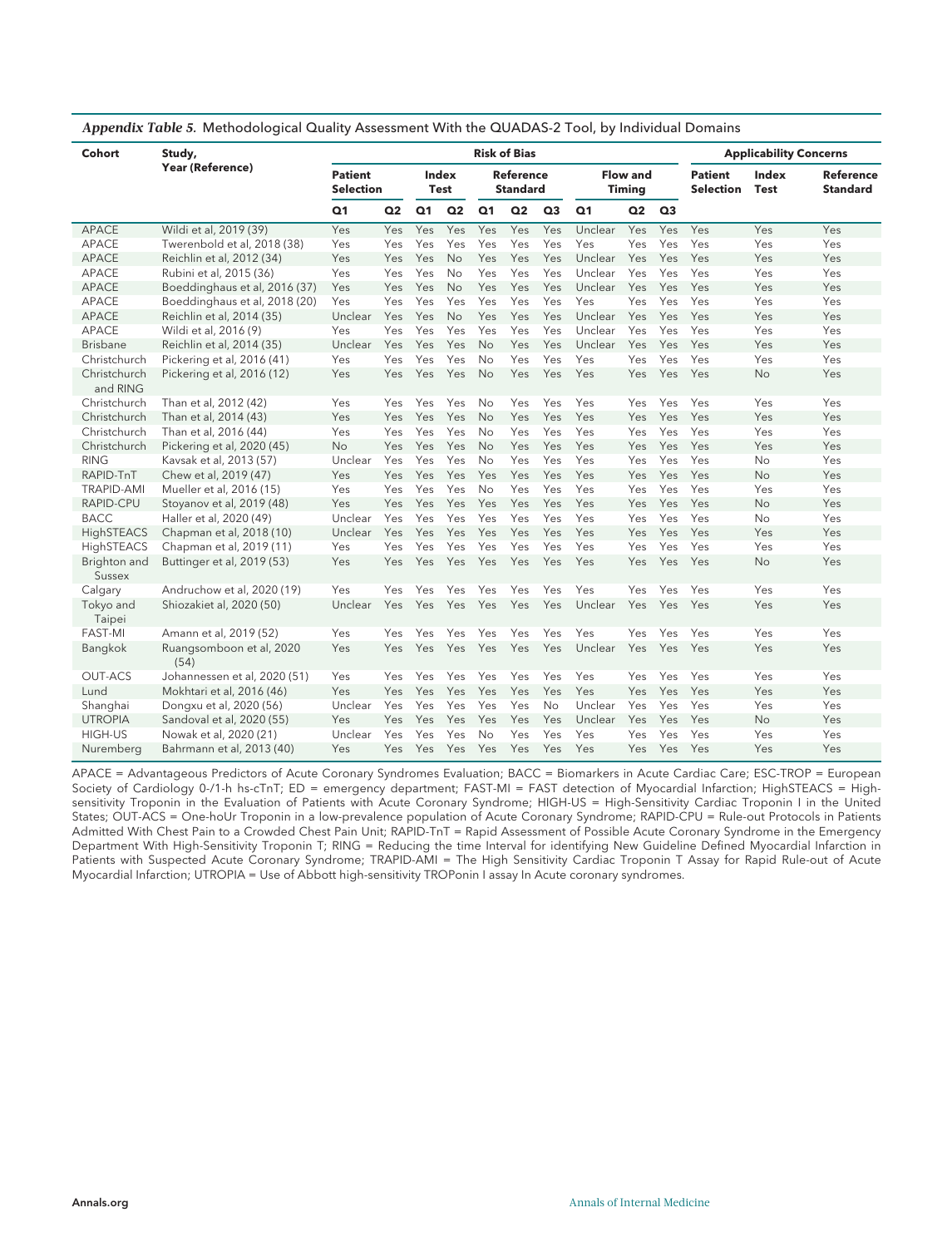| Cohort                   | Study,                           |                                    |                |                |                      |                | <b>Risk of Bias</b>                 |                |                |                                  |                |                                    | <b>Applicability Concerns</b> |                                     |  |
|--------------------------|----------------------------------|------------------------------------|----------------|----------------|----------------------|----------------|-------------------------------------|----------------|----------------|----------------------------------|----------------|------------------------------------|-------------------------------|-------------------------------------|--|
|                          | <b>Year (Reference)</b>          | <b>Patient</b><br><b>Selection</b> |                |                | Index<br><b>Test</b> |                | <b>Reference</b><br><b>Standard</b> |                |                | <b>Flow and</b><br><b>Timing</b> |                | <b>Patient</b><br><b>Selection</b> | Index<br><b>Test</b>          | <b>Reference</b><br><b>Standard</b> |  |
|                          |                                  | Q <sub>1</sub>                     | Q <sub>2</sub> | Q <sub>1</sub> | Q <sub>2</sub>       | Q <sub>1</sub> | Q <sub>2</sub>                      | Q <sub>3</sub> | Q <sub>1</sub> | Q2                               | Q <sub>3</sub> |                                    |                               |                                     |  |
| APACE                    | Wildi et al, 2019 (39)           | Yes                                | Yes            | Yes            | Yes                  | Yes            | Yes                                 | Yes            | Unclear        | Yes                              | Yes            | Yes                                | Yes                           | Yes                                 |  |
| APACE                    | Twerenbold et al, 2018 (38)      | Yes                                | Yes            | Yes            | Yes                  | Yes            | Yes                                 | Yes            | Yes            | Yes                              | Yes            | Yes                                | Yes                           | Yes                                 |  |
| APACE                    | Reichlin et al, 2012 (34)        | Yes                                | Yes            | Yes            | <b>No</b>            | Yes            | Yes                                 | Yes            | Unclear        | Yes                              | Yes            | Yes                                | Yes                           | Yes                                 |  |
| APACE                    | Rubini et al, 2015 (36)          | Yes                                | Yes            | Yes            | <b>No</b>            | Yes            | Yes                                 | Yes            | Unclear        | Yes                              | Yes            | Yes                                | Yes                           | Yes                                 |  |
| APACE                    | Boeddinghaus et al, 2016 (37)    | Yes                                | Yes            | Yes            | <b>No</b>            | Yes            | Yes                                 | Yes            | Unclear        | Yes                              | Yes            | Yes                                | Yes                           | Yes                                 |  |
| APACE                    | Boeddinghaus et al, 2018 (20)    | Yes                                | Yes            | Yes            | Yes                  | Yes            | Yes                                 | Yes            | Yes            | Yes                              | Yes            | Yes                                | Yes                           | Yes                                 |  |
| APACE                    | Reichlin et al, 2014 (35)        | Unclear                            | Yes            | Yes            | <b>No</b>            | Yes            | Yes                                 | Yes            | Unclear        | Yes                              | Yes            | Yes                                | Yes                           | Yes                                 |  |
| APACE                    | Wildi et al, 2016 (9)            | Yes                                | Yes            | Yes            | Yes                  | Yes            | Yes                                 | Yes            | Unclear        | Yes                              | Yes            | Yes                                | Yes                           | Yes                                 |  |
| <b>Brisbane</b>          | Reichlin et al, 2014 (35)        | Unclear                            | Yes            | Yes            | Yes                  | <b>No</b>      | Yes                                 | Yes            | Unclear        | Yes                              | Yes            | Yes                                | Yes                           | Yes                                 |  |
| Christchurch             | Pickering et al, 2016 (41)       | Yes                                | Yes            | Yes            | Yes                  | No             | Yes                                 | Yes            | Yes            | Yes                              | Yes            | Yes                                | Yes                           | Yes                                 |  |
| Christchurch<br>and RING | Pickering et al, 2016 (12)       | Yes                                | Yes            | Yes            | Yes                  | <b>No</b>      | Yes                                 | Yes            | Yes            | Yes                              | Yes            | Yes                                | No                            | Yes                                 |  |
| Christchurch             | Than et al, 2012 (42)            | Yes                                | Yes            | Yes            | Yes                  | No             | Yes                                 | Yes            | Yes            | Yes                              | Yes            | Yes                                | Yes                           | Yes                                 |  |
| Christchurch             | Than et al, 2014 (43)            | Yes                                | Yes            | Yes            | Yes                  | <b>No</b>      | Yes                                 | Yes            | Yes            | Yes                              | Yes            | Yes                                | Yes                           | Yes                                 |  |
| Christchurch             | Than et al, 2016 (44)            | Yes                                | Yes            | Yes            | Yes                  | No             | Yes                                 | Yes            | Yes            | Yes                              | Yes            | Yes                                | Yes                           | Yes                                 |  |
| Christchurch             | Pickering et al, 2020 (45)       | <b>No</b>                          | Yes            | Yes            | Yes                  | No             | Yes                                 | Yes            | Yes            | Yes                              | Yes            | Yes                                | Yes                           | Yes                                 |  |
| <b>RING</b>              | Kavsak et al, 2013 (57)          | Unclear                            | Yes            | Yes            | Yes                  | <b>No</b>      | Yes                                 | Yes            | Yes            | Yes                              | Yes            | Yes                                | No                            | Yes                                 |  |
| RAPID-TnT                | Chew et al, 2019 (47)            | Yes                                | Yes            | Yes            | Yes                  | Yes            | Yes                                 | Yes            | Yes            | Yes                              | Yes            | Yes                                | <b>No</b>                     | Yes                                 |  |
| <b>TRAPID-AMI</b>        | Mueller et al, 2016 (15)         | Yes                                | Yes            | Yes            | Yes                  | No             | Yes                                 | Yes            | Yes            | Yes                              | Yes            | Yes                                | Yes                           | Yes                                 |  |
| RAPID-CPU                | Stoyanov et al, 2019 (48)        | Yes                                | Yes            | Yes            | Yes                  | Yes            | Yes                                 | Yes            | Yes            | Yes                              | Yes            | Yes                                | No                            | Yes                                 |  |
| <b>BACC</b>              | Haller et al, 2020 (49)          | Unclear                            | Yes            | Yes            | Yes                  | Yes            | Yes                                 | Yes            | Yes            | Yes                              | Yes            | Yes                                | <b>No</b>                     | Yes                                 |  |
| HighSTEACS               | Chapman et al, 2018 (10)         | Unclear                            | Yes            | Yes            | Yes                  | Yes            | Yes                                 | Yes            | Yes            | Yes                              | Yes            | Yes                                | Yes                           | Yes                                 |  |
| HighSTEACS               | Chapman et al, 2019 (11)         | Yes                                | Yes            | Yes            | Yes                  | Yes            | Yes                                 | Yes            | Yes            | Yes                              | Yes            | Yes                                | Yes                           | Yes                                 |  |
| Brighton and<br>Sussex   | Buttinger et al, 2019 (53)       | Yes                                | Yes            | Yes            | Yes                  | Yes            | Yes                                 | Yes            | Yes            | Yes                              | Yes            | Yes                                | No                            | Yes                                 |  |
| Calgary                  | Andruchow et al, 2020 (19)       | Yes                                | Yes            | Yes            | Yes                  | Yes            | Yes                                 | Yes            | Yes            | Yes                              | Yes            | Yes                                | Yes                           | Yes                                 |  |
| Tokyo and<br>Taipei      | Shiozakiet al, 2020 (50)         | Unclear                            | Yes            | Yes            | Yes                  | Yes            | Yes                                 | Yes            | Unclear        | Yes                              | Yes            | Yes                                | Yes                           | Yes                                 |  |
| FAST-MI                  | Amann et al, 2019 (52)           | Yes                                | Yes            | Yes            | <b>Yes</b>           | Yes            | Yes                                 | Yes            | Yes            | Yes                              | Yes            | Yes                                | Yes                           | Yes                                 |  |
| Bangkok                  | Ruangsomboon et al, 2020<br>(54) | Yes                                | Yes            | Yes            | Yes                  | Yes            | Yes                                 | Yes            | Unclear        | Yes                              | Yes            | Yes                                | Yes                           | Yes                                 |  |
| <b>OUT-ACS</b>           | Johannessen et al, 2020 (51)     | Yes                                | Yes            | Yes            | Yes                  | Yes            | Yes                                 | Yes            | Yes            | Yes                              | Yes            | Yes                                | Yes                           | Yes                                 |  |
| Lund                     | Mokhtari et al, 2016 (46)        | Yes                                | Yes            | Yes            | Yes                  | Yes            | Yes                                 | Yes            | Yes            | Yes                              | Yes            | Yes                                | Yes                           | Yes                                 |  |
| Shanghai                 | Dongxu et al, 2020 (56)          | Unclear                            | Yes            | Yes            | Yes                  | Yes            | Yes                                 | No             | Unclear        | Yes                              | Yes            | Yes                                | Yes                           | Yes                                 |  |
| <b>UTROPIA</b>           | Sandoval et al, 2020 (55)        | Yes                                | Yes            | Yes            | Yes                  | Yes            | Yes                                 | Yes            | Unclear        | Yes                              | Yes            | Yes                                | No                            | Yes                                 |  |
| <b>HIGH-US</b>           | Nowak et al, 2020 (21)           | Unclear                            | Yes            | Yes            | Yes                  | No             | Yes                                 | Yes            | Yes            | Yes                              | Yes            | Yes                                | Yes                           | Yes                                 |  |
| Nuremberg                | Bahrmann et al, 2013 (40)        | Yes                                | Yes            | Yes            | Yes                  | Yes            | Yes                                 | Yes            | Yes            | Yes                              | Yes            | Yes                                | Yes                           | Yes                                 |  |

Appendix Table 5. Methodological Quality Assessment With the QUADAS-2 Tool, by Individual Domains

APACE = Advantageous Predictors of Acute Coronary Syndromes Evaluation; BACC = Biomarkers in Acute Cardiac Care; ESC-TROP = European Society of Cardiology 0-/1-h hs-cTnT; ED = emergency department; FAST-MI = FAST detection of Myocardial Infarction; HighSTEACS = Highsensitivity Troponin in the Evaluation of Patients with Acute Coronary Syndrome; HIGH-US = High-Sensitivity Cardiac Troponin I in the United States; OUT-ACS = One-hoUr Troponin in a low-prevalence population of Acute Coronary Syndrome; RAPID-CPU = Rule-out Protocols in Patients Admitted With Chest Pain to a Crowded Chest Pain Unit; RAPID-TnT = Rapid Assessment of Possible Acute Coronary Syndrome in the Emergency Department With High-Sensitivity Troponin T; RING = Reducing the time Interval for identifying New Guideline Defined Myocardial Infarction in Patients with Suspected Acute Coronary Syndrome; TRAPID-AMI = The High Sensitivity Cardiac Troponin T Assay for Rapid Rule-out of Acute Myocardial Infarction; UTROPIA = Use of Abbott high-sensitivity TROPonin I assay In Acute coronary syndromes.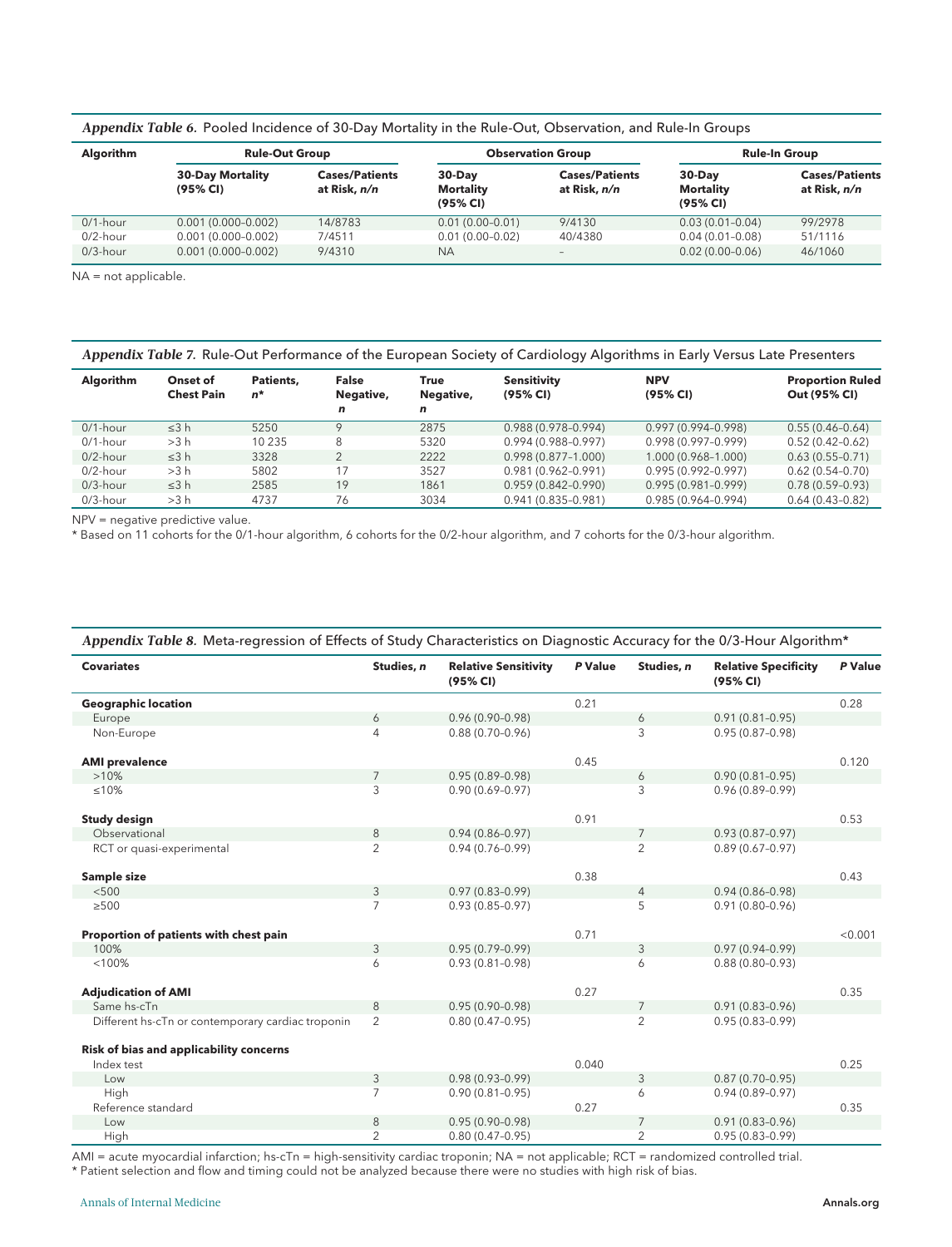| <b>Algorithm</b> | <b>Rule-Out Group</b>               | <b>Observation Group</b><br><b>Rule-In Group</b> |                                          |                                       |                                    |                                       |  |  |
|------------------|-------------------------------------|--------------------------------------------------|------------------------------------------|---------------------------------------|------------------------------------|---------------------------------------|--|--|
|                  | <b>30-Day Mortality</b><br>(95% CI) | <b>Cases/Patients</b><br>at Risk, n/n            | $30-Day$<br><b>Mortality</b><br>(95% CI) | <b>Cases/Patients</b><br>at Risk, n/n | $30$ -Day<br>Mortality<br>(95% CI) | <b>Cases/Patients</b><br>at Risk, n/n |  |  |
| $0/1$ -hour      | $0.001(0.000 - 0.002)$              | 14/8783                                          | $0.01(0.00 - 0.01)$                      | 9/4130                                | $0.03(0.01 - 0.04)$                | 99/2978                               |  |  |
| $0/2$ -hour      | $0.001(0.000 - 0.002)$              | 7/4511                                           | $0.01(0.00 - 0.02)$                      | 40/4380                               | $0.04(0.01 - 0.08)$                | 51/1116                               |  |  |
| $0/3$ -hour      | $0.001(0.000 - 0.002)$              | 9/4310                                           | <b>NA</b>                                | -                                     | $0.02(0.00-0.06)$                  | 46/1060                               |  |  |

Appendix Table 6. Pooled Incidence of 30-Day Mortality in the Rule-Out, Observation, and Rule-In Groups

NA = not applicable.

| Appendix Table 7. Rule-Out Performance of the European Society of Cardiology Algorithms in Early Versus Late Presenters |                               |                    |                                |                        |                                |                        |                                         |
|-------------------------------------------------------------------------------------------------------------------------|-------------------------------|--------------------|--------------------------------|------------------------|--------------------------------|------------------------|-----------------------------------------|
| <b>Algorithm</b>                                                                                                        | Onset of<br><b>Chest Pain</b> | Patients.<br>$n^*$ | <b>False</b><br>Negative,<br>n | True<br>Negative,<br>n | <b>Sensitivity</b><br>(95% CI) | <b>NPV</b><br>(95% CI) | <b>Proportion Ruled</b><br>Out (95% CI) |
| $0/1$ -hour                                                                                                             | $\leq$ 3 h                    | 5250               | $\mathsf Q$                    | 2875                   | 0.988 (0.978-0.994)            | $0.997(0.994 - 0.998)$ | $0.55(0.46 - 0.64)$                     |
| $0/1$ -hour                                                                                                             | >3 h                          | 10 2 3 5           | 8                              | 5320                   | 0.994 (0.988-0.997)            | $0.998(0.997 - 0.999)$ | $0.52(0.42 - 0.62)$                     |
| $0/2$ -hour                                                                                                             | $\leq$ 3 h                    | 3328               | $\overline{2}$                 | 2222                   | $0.998(0.877 - 1.000)$         | 1.000 (0.968-1.000)    | $0.63(0.55-0.71)$                       |
| $0/2$ -hour                                                                                                             | >3 h                          | 5802               | 17                             | 3527                   | 0.981 (0.962-0.991)            | $0.995(0.992 - 0.997)$ | $0.62(0.54-0.70)$                       |
| $0/3$ -hour                                                                                                             | $\leq$ 3 h                    | 2585               | 19                             | 1861                   | $0.959(0.842 - 0.990)$         | $0.995(0.981 - 0.999)$ | $0.78(0.59-0.93)$                       |
| $0/3$ -hour                                                                                                             | >3 h                          | 4737               | 76                             | 3034                   | $0.941(0.835 - 0.981)$         | $0.985(0.964 - 0.994)$ | $0.64(0.43-0.82)$                       |

NPV = negative predictive value.

\* Based on 11 cohorts for the 0/1-hour algorithm, 6 cohorts for the 0/2-hour algorithm, and 7 cohorts for the 0/3-hour algorithm.

| Appendix Tubic of iniquilibrium of Lifects of Judy Characteristics on Diagnosite Accaracy for the 0/0-110ar Algorithm |                 |                                         |         |                |                                         |         |
|-----------------------------------------------------------------------------------------------------------------------|-----------------|-----------------------------------------|---------|----------------|-----------------------------------------|---------|
| <b>Covariates</b>                                                                                                     | Studies, n      | <b>Relative Sensitivity</b><br>(95% CI) | P Value | Studies, n     | <b>Relative Specificity</b><br>(95% CI) | P Value |
| <b>Geographic location</b>                                                                                            |                 |                                         | 0.21    |                |                                         | 0.28    |
| Europe                                                                                                                | 6               | $0.96(0.90 - 0.98)$                     |         | 6              | $0.91(0.81 - 0.95)$                     |         |
| Non-Europe                                                                                                            | 4               | $0.88(0.70-0.96)$                       |         | 3              | $0.95(0.87 - 0.98)$                     |         |
| <b>AMI</b> prevalence                                                                                                 |                 |                                         | 0.45    |                |                                         | 0.120   |
| >10%                                                                                                                  | $7\overline{ }$ | $0.95(0.89 - 0.98)$                     |         | 6              | $0.90(0.81 - 0.95)$                     |         |
| $≤10%$                                                                                                                | 3               | $0.90(0.69 - 0.97)$                     |         | 3              | $0.96(0.89 - 0.99)$                     |         |
| <b>Study design</b>                                                                                                   |                 |                                         | 0.91    |                |                                         | 0.53    |
| Observational                                                                                                         | 8               | $0.94(0.86 - 0.97)$                     |         | $\overline{7}$ | $0.93(0.87 - 0.97)$                     |         |
| RCT or quasi-experimental                                                                                             | $\overline{2}$  | $0.94(0.76 - 0.99)$                     |         | $\overline{2}$ | $0.89(0.67 - 0.97)$                     |         |
| Sample size                                                                                                           |                 |                                         | 0.38    |                |                                         | 0.43    |
| $<$ 500                                                                                                               | 3               | $0.97(0.83 - 0.99)$                     |         | $\overline{4}$ | $0.94(0.86 - 0.98)$                     |         |
| $\geq$ 500                                                                                                            | $\overline{7}$  | $0.93(0.85 - 0.97)$                     |         | 5              | $0.91(0.80 - 0.96)$                     |         |
| Proportion of patients with chest pain                                                                                |                 |                                         | 0.71    |                |                                         | < 0.001 |
| 100%                                                                                                                  | 3               | $0.95(0.79 - 0.99)$                     |         | 3              | $0.97(0.94 - 0.99)$                     |         |
| < 100%                                                                                                                | 6               | $0.93(0.81 - 0.98)$                     |         | 6              | $0.88(0.80 - 0.93)$                     |         |
| <b>Adjudication of AMI</b>                                                                                            |                 |                                         | 0.27    |                |                                         | 0.35    |
| Same hs-cTn                                                                                                           | 8               | $0.95(0.90 - 0.98)$                     |         | $\overline{7}$ | $0.91(0.83 - 0.96)$                     |         |
| Different hs-cTn or contemporary cardiac troponin                                                                     | $\overline{2}$  | $0.80(0.47-0.95)$                       |         | $\overline{2}$ | $0.95(0.83 - 0.99)$                     |         |
| Risk of bias and applicability concerns                                                                               |                 |                                         |         |                |                                         |         |
| Index test                                                                                                            |                 |                                         | 0.040   |                |                                         | 0.25    |
| Low                                                                                                                   | 3               | $0.98(0.93 - 0.99)$                     |         | 3              | $0.87(0.70-0.95)$                       |         |
| High                                                                                                                  | $\overline{7}$  | $0.90(0.81 - 0.95)$                     |         | 6              | $0.94(0.89 - 0.97)$                     |         |
| Reference standard                                                                                                    |                 |                                         | 0.27    |                |                                         | 0.35    |
| Low                                                                                                                   | 8               | $0.95(0.90 - 0.98)$                     |         | $\overline{7}$ | $0.91(0.83 - 0.96)$                     |         |
| High                                                                                                                  | $\overline{2}$  | $0.80(0.47-0.95)$                       |         | $\overline{2}$ | $0.95(0.83 - 0.99)$                     |         |

Appendix Table 8. Meta-regression of Effects of Study Characteristics on Diagnostic Accuracy for the 0/3-Hour Algorithm\*

AMI = acute myocardial infarction; hs-cTn = high-sensitivity cardiac troponin; NA = not applicable; RCT = randomized controlled trial.<br>\* Patient selection and flow and timing could not be analyzed because there were no stu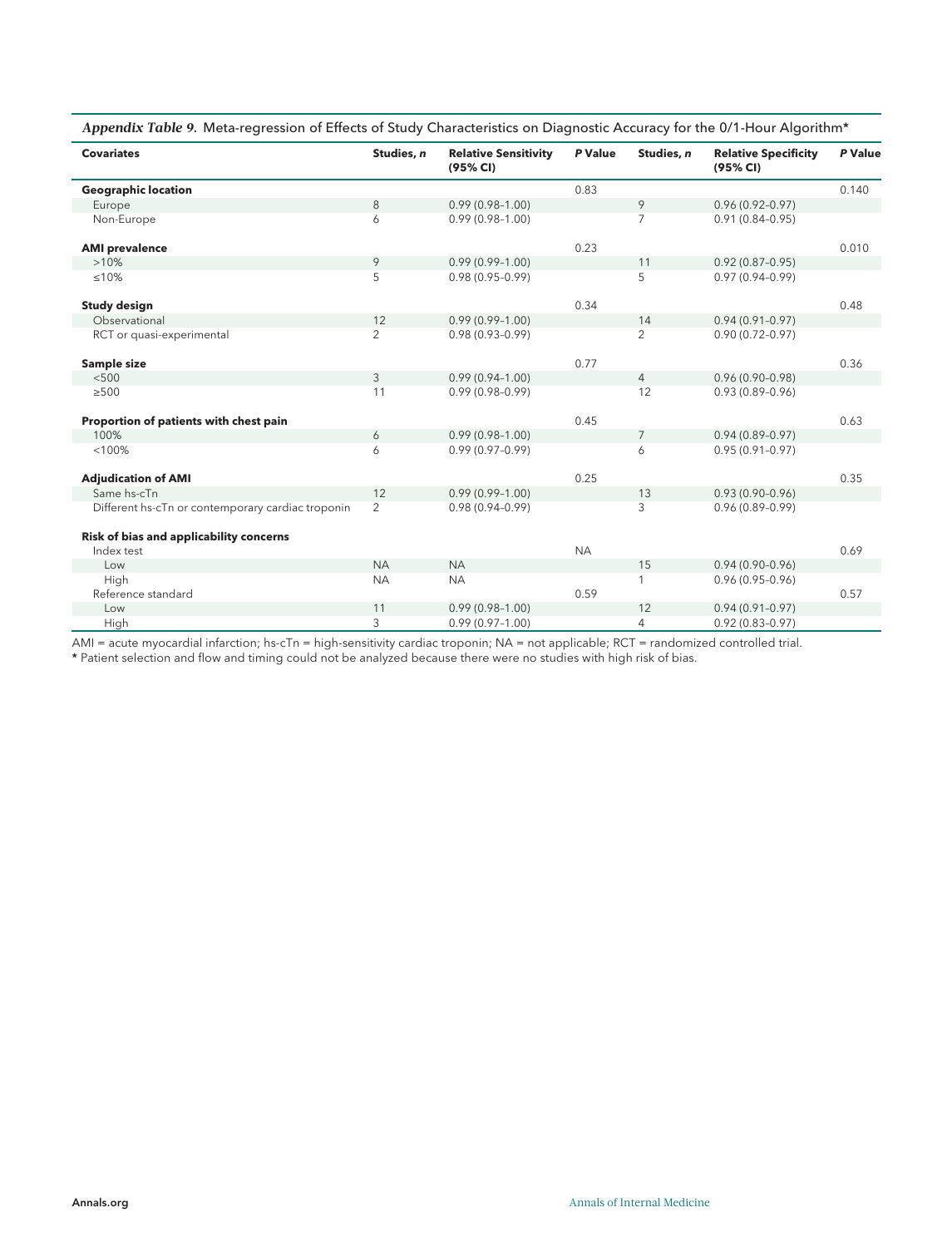|  |  |  | Appendix Table 9. Meta-regression of Effects of Study Characteristics on Diagnostic Accuracy for the 0/1-Hour Algorithm* |
|--|--|--|--------------------------------------------------------------------------------------------------------------------------|
|  |  |  |                                                                                                                          |

| <b>Covariates</b>                                 | Studies, n     | <b>Relative Sensitivity</b><br>(95% CI) | P Value   | Studies, n     | <b>Relative Specificity</b><br>(95% CI) | P Value |
|---------------------------------------------------|----------------|-----------------------------------------|-----------|----------------|-----------------------------------------|---------|
| <b>Geographic location</b>                        |                |                                         | 0.83      |                |                                         | 0.140   |
| Europe                                            | 8              | $0.99(0.98 - 1.00)$                     |           | 9              | $0.96(0.92 - 0.97)$                     |         |
| Non-Europe                                        | 6              | $0.99(0.98 - 1.00)$                     |           | 7              | $0.91(0.84 - 0.95)$                     |         |
| <b>AMI</b> prevalence                             |                |                                         | 0.23      |                |                                         | 0.010   |
| >10%                                              | 9              | $0.99(0.99 - 1.00)$                     |           | 11             | $0.92(0.87 - 0.95)$                     |         |
| $≤10%$                                            | 5              | $0.98(0.95 - 0.99)$                     |           | 5              | $0.97(0.94 - 0.99)$                     |         |
| <b>Study design</b>                               |                |                                         | 0.34      |                |                                         | 0.48    |
| Observational                                     | 12             | $0.99(0.99 - 1.00)$                     |           | 14             | $0.94(0.91 - 0.97)$                     |         |
| RCT or quasi-experimental                         | $\overline{2}$ | $0.98(0.93 - 0.99)$                     |           | $\overline{2}$ | $0.90(0.72 - 0.97)$                     |         |
| Sample size                                       |                |                                         | 0.77      |                |                                         | 0.36    |
| < 500                                             | 3              | $0.99(0.94 - 1.00)$                     |           | $\overline{4}$ | $0.96(0.90 - 0.98)$                     |         |
| $\geq 500$                                        | 11             | $0.99(0.98 - 0.99)$                     |           | 12             | $0.93(0.89 - 0.96)$                     |         |
| Proportion of patients with chest pain            |                |                                         | 0.45      |                |                                         | 0.63    |
| 100%                                              | 6              | $0.99(0.98 - 1.00)$                     |           | $\overline{7}$ | $0.94(0.89 - 0.97)$                     |         |
| < 100%                                            | 6              | $0.99(0.97-0.99)$                       |           | 6              | $0.95(0.91 - 0.97)$                     |         |
| <b>Adjudication of AMI</b>                        |                |                                         | 0.25      |                |                                         | 0.35    |
| Same hs-cTn                                       | 12             | $0.99(0.99 - 1.00)$                     |           | 13             | $0.93(0.90 - 0.96)$                     |         |
| Different hs-cTn or contemporary cardiac troponin | $\overline{2}$ | $0.98(0.94 - 0.99)$                     |           | 3              | $0.96(0.89 - 0.99)$                     |         |
| Risk of bias and applicability concerns           |                |                                         |           |                |                                         |         |
| Index test                                        |                |                                         | <b>NA</b> |                |                                         | 0.69    |
| Low                                               | <b>NA</b>      | <b>NA</b>                               |           | 15             | $0.94(0.90 - 0.96)$                     |         |
| High                                              | <b>NA</b>      | <b>NA</b>                               |           | 1              | $0.96(0.95 - 0.96)$                     |         |
| Reference standard                                |                |                                         | 0.59      |                |                                         | 0.57    |
| Low                                               | 11             | $0.99(0.98 - 1.00)$                     |           | 12             | $0.94(0.91 - 0.97)$                     |         |
| High                                              | 3              | $0.99(0.97 - 1.00)$                     |           | 4              | $0.92(0.83 - 0.97)$                     |         |

AMI = acute myocardial infarction; hs-cTn = high-sensitivity cardiac troponin; NA = not applicable; RCT = randomized controlled trial.<br>\* Patient selection and flow and timing could not be analyzed because there were no stu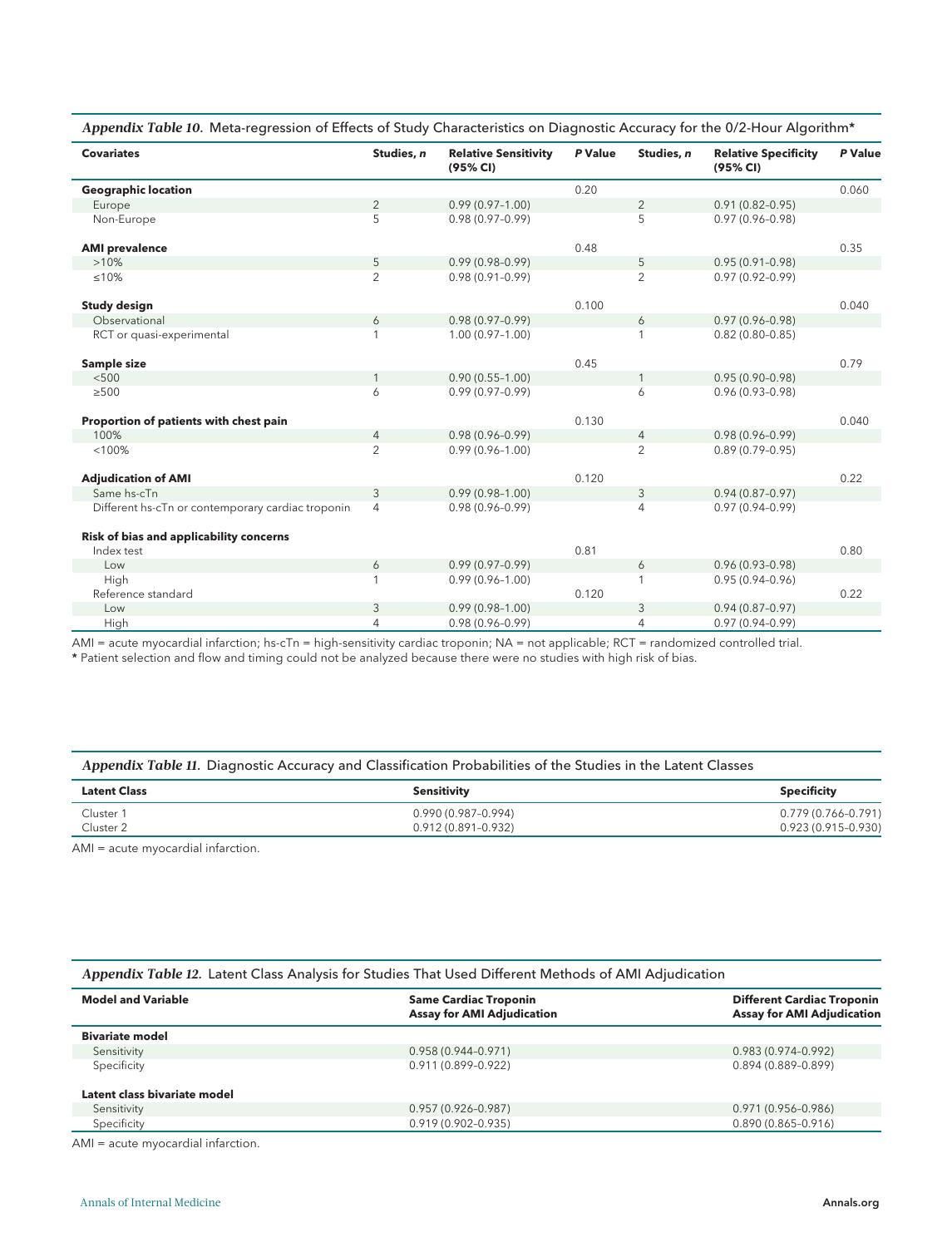|  |  |  |  |  | Appendix Table 10. Meta-regression of Effects of Study Characteristics on Diagnostic Accuracy for the 0/2-Hour Algorithm* |  |
|--|--|--|--|--|---------------------------------------------------------------------------------------------------------------------------|--|
|--|--|--|--|--|---------------------------------------------------------------------------------------------------------------------------|--|

| <b>Covariates</b>                                 | Studies, n     | <b>Relative Sensitivity</b><br>(95% CI) | P Value | Studies, n     | <b>Relative Specificity</b><br>(95% CI) | P Value |
|---------------------------------------------------|----------------|-----------------------------------------|---------|----------------|-----------------------------------------|---------|
| <b>Geographic location</b>                        |                |                                         | 0.20    |                |                                         | 0.060   |
| Europe                                            | 2              | $0.99(0.97 - 1.00)$                     |         | $\overline{2}$ | $0.91(0.82 - 0.95)$                     |         |
| Non-Europe                                        | 5              | $0.98(0.97-0.99)$                       |         | 5              | $0.97(0.96 - 0.98)$                     |         |
| <b>AMI</b> prevalence                             |                |                                         | 0.48    |                |                                         | 0.35    |
| >10%                                              | 5              | $0.99(0.98 - 0.99)$                     |         | 5              | $0.95(0.91 - 0.98)$                     |         |
| ≤10%                                              | $\overline{2}$ | $0.98(0.91 - 0.99)$                     |         | $\overline{2}$ | $0.97(0.92 - 0.99)$                     |         |
| <b>Study design</b>                               |                |                                         | 0.100   |                |                                         | 0.040   |
| Observational                                     | 6              | $0.98(0.97 - 0.99)$                     |         | 6              | $0.97(0.96 - 0.98)$                     |         |
| RCT or quasi-experimental                         |                | $1.00(0.97 - 1.00)$                     |         |                | $0.82(0.80 - 0.85)$                     |         |
| Sample size                                       |                |                                         | 0.45    |                |                                         | 0.79    |
| < 500                                             | $\mathbf{1}$   | $0.90(0.55 - 1.00)$                     |         | $\mathbf{1}$   | $0.95(0.90 - 0.98)$                     |         |
| $\geq 500$                                        | 6              | $0.99(0.97-0.99)$                       |         | 6              | $0.96(0.93 - 0.98)$                     |         |
| Proportion of patients with chest pain            |                |                                         | 0.130   |                |                                         | 0.040   |
| 100%                                              | $\overline{4}$ | $0.98(0.96 - 0.99)$                     |         | $\overline{4}$ | $0.98(0.96 - 0.99)$                     |         |
| < 100%                                            | $\overline{2}$ | $0.99(0.96 - 1.00)$                     |         | $\overline{2}$ | $0.89(0.79 - 0.95)$                     |         |
| <b>Adjudication of AMI</b>                        |                |                                         | 0.120   |                |                                         | 0.22    |
| Same hs-cTn                                       | 3              | $0.99(0.98 - 1.00)$                     |         | 3              | $0.94(0.87 - 0.97)$                     |         |
| Different hs-cTn or contemporary cardiac troponin | 4              | $0.98(0.96 - 0.99)$                     |         | $\overline{4}$ | $0.97(0.94 - 0.99)$                     |         |
| Risk of bias and applicability concerns           |                |                                         |         |                |                                         |         |
| Index test                                        |                |                                         | 0.81    |                |                                         | 0.80    |
| Low                                               | 6              | $0.99(0.97 - 0.99)$                     |         | 6              | $0.96(0.93 - 0.98)$                     |         |
| High                                              | 1              | $0.99(0.96 - 1.00)$                     |         | 1              | $0.95(0.94 - 0.96)$                     |         |
| Reference standard                                |                |                                         | 0.120   |                |                                         | 0.22    |
| Low                                               | 3              | $0.99(0.98 - 1.00)$                     |         | 3              | $0.94(0.87 - 0.97)$                     |         |
| High                                              | 4              | $0.98(0.96 - 0.99)$                     |         | $\overline{4}$ | $0.97(0.94 - 0.99)$                     |         |

AMI = acute myocardial infarction; hs-cTn = high-sensitivity cardiac troponin; NA = not applicable; RCT = randomized controlled trial.

\* Patient selection and flow and timing could not be analyzed because there were no studies with high risk of bias.

#### Appendix Table 11. Diagnostic Accuracy and Classification Probabilities of the Studies in the Latent Classes

| <b>Latent Class</b> | Sensitivity         | <b>Specificity</b>  |
|---------------------|---------------------|---------------------|
| Cluster 1           | 0.990 (0.987-0.994) | 0.779 (0.766-0.791) |
| Cluster 2           | 0.912 (0.891-0.932) | 0.923 (0.915-0.930) |

AMI = acute myocardial infarction.

|  | Appendix Table 12. Latent Class Analysis for Studies That Used Different Methods of AMI Adjudication |  |  |
|--|------------------------------------------------------------------------------------------------------|--|--|
|--|------------------------------------------------------------------------------------------------------|--|--|

| <b>Model and Variable</b>    | <b>Same Cardiac Troponin</b><br><b>Assay for AMI Adjudication</b> | <b>Different Cardiac Troponin</b><br><b>Assay for AMI Adjudication</b> |
|------------------------------|-------------------------------------------------------------------|------------------------------------------------------------------------|
| <b>Bivariate model</b>       |                                                                   |                                                                        |
| Sensitivity                  | $0.958(0.944 - 0.971)$                                            | $0.983(0.974 - 0.992)$                                                 |
| Specificity                  | 0.911 (0.899-0.922)                                               | $0.894(0.889 - 0.899)$                                                 |
| Latent class bivariate model |                                                                   |                                                                        |
| Sensitivity                  | $0.957(0.926 - 0.987)$                                            | $0.971(0.956 - 0.986)$                                                 |
| Specificity                  | $0.919(0.902 - 0.935)$                                            | $0.890(0.865 - 0.916)$                                                 |

AMI = acute myocardial infarction.